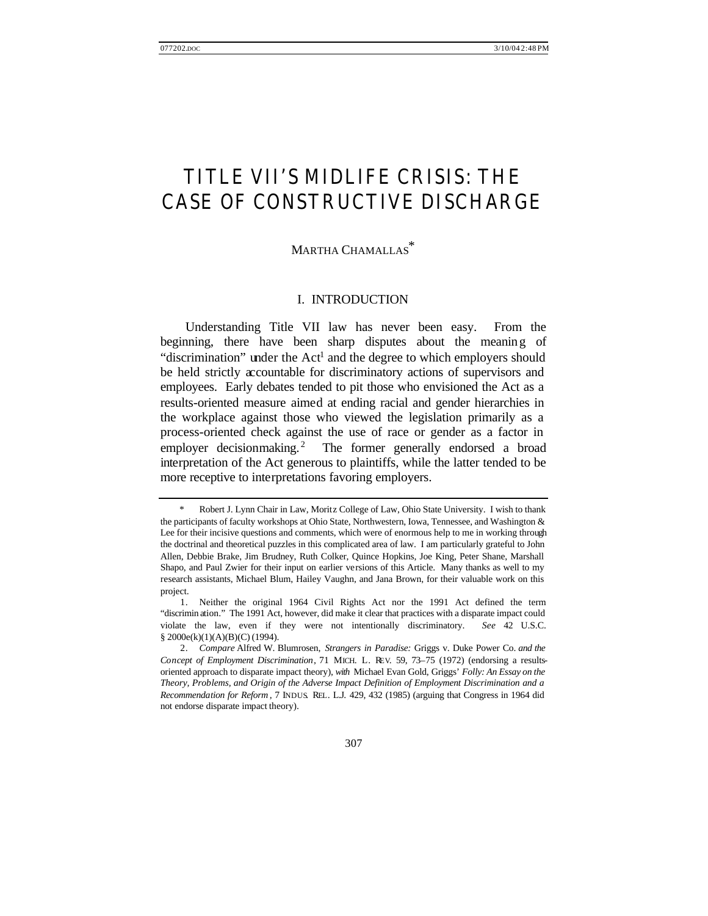# TITLE VII'S MIDLIFE CRISIS: THE CASE OF CONSTRUCTIVE DISCHARGE

# MARTHA CHAMALLAS \*

#### I. INTRODUCTION

Understanding Title VII law has never been easy. From the beginning, there have been sharp disputes about the meaning of "discrimination" under the Act<sup>1</sup> and the degree to which employers should be held strictly accountable for discriminatory actions of supervisors and employees. Early debates tended to pit those who envisioned the Act as a results-oriented measure aimed at ending racial and gender hierarchies in the workplace against those who viewed the legislation primarily as a process-oriented check against the use of race or gender as a factor in employer decisionmaking.<sup>2</sup> The former generally endorsed a broad interpretation of the Act generous to plaintiffs, while the latter tended to be more receptive to interpretations favoring employers.

Robert J. Lynn Chair in Law, Moritz College of Law, Ohio State University. I wish to thank the participants of faculty workshops at Ohio State, Northwestern, Iowa, Tennessee, and Washington & Lee for their incisive questions and comments, which were of enormous help to me in working through the doctrinal and theoretical puzzles in this complicated area of law. I am particularly grateful to John Allen, Debbie Brake, Jim Brudney, Ruth Colker, Quince Hopkins, Joe King, Peter Shane, Marshall Shapo, and Paul Zwier for their input on earlier versions of this Article. Many thanks as well to my research assistants, Michael Blum, Hailey Vaughn, and Jana Brown, for their valuable work on this project.

<sup>1.</sup> Neither the original 1964 Civil Rights Act nor the 1991 Act defined the term "discrimin ation." The 1991 Act, however, did make it clear that practices with a disparate impact could violate the law, even if they were not intentionally discriminatory. *See* 42 U.S.C. § 2000e(k)(1)(A)(B)(C) (1994).

<sup>2.</sup> *Compare* Alfred W. Blumrosen, *Strangers in Paradise:* Griggs v. Duke Power Co. *and the Concept of Employment Discrimination*, 71 MICH. L. REV. 59, 73–75 (1972) (endorsing a resultsoriented approach to disparate impact theory), *with* Michael Evan Gold, Griggs' *Folly: An Essay on the Theory, Problems, and Origin of the Adverse Impact Definition of Employment Discrimination and a Recommendation for Reform* , 7 INDUS. REL. L.J. 429, 432 (1985) (arguing that Congress in 1964 did not endorse disparate impact theory).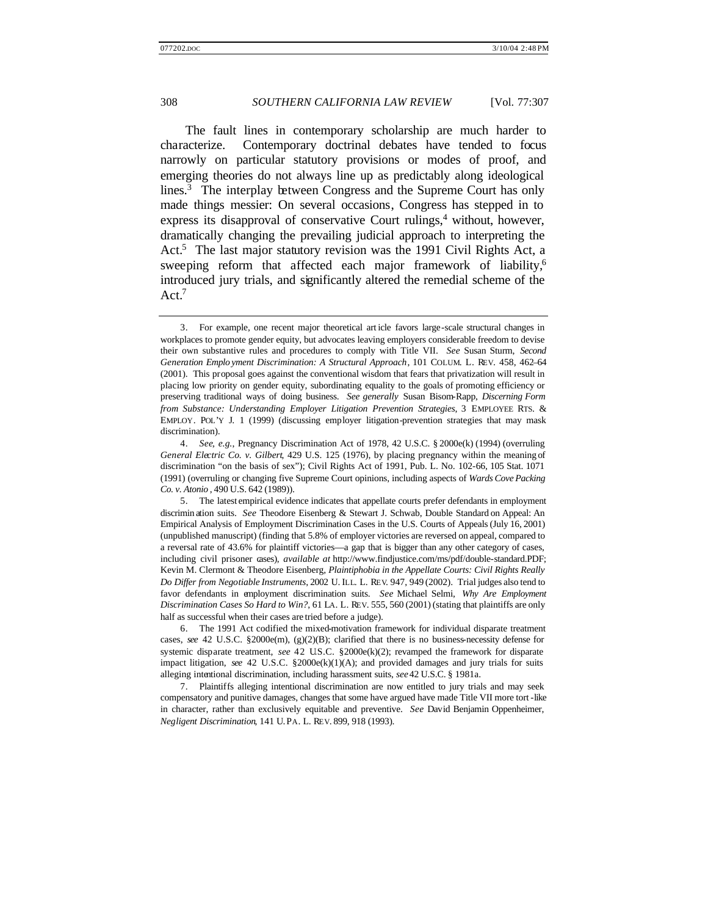The fault lines in contemporary scholarship are much harder to characterize. Contemporary doctrinal debates have tended to focus narrowly on particular statutory provisions or modes of proof, and emerging theories do not always line up as predictably along ideological lines.<sup>3</sup> The interplay between Congress and the Supreme Court has only made things messier: On several occasions, Congress has stepped in to express its disapproval of conservative Court rulings, $4$  without, however, dramatically changing the prevailing judicial approach to interpreting the Act.<sup>5</sup> The last major statutory revision was the 1991 Civil Rights Act, a sweeping reform that affected each major framework of liability,<sup>6</sup> introduced jury trials, and significantly altered the remedial scheme of the Act.<sup>7</sup>

<sup>3.</sup> For example, one recent major theoretical art icle favors large-scale structural changes in workplaces to promote gender equity, but advocates leaving employers considerable freedom to devise their own substantive rules and procedures to comply with Title VII. *See* Susan Sturm, *Second Generation Emplo yment Discrimination: A Structural Approach*, 101 COLUM. L. REV. 458, 462–64 (2001). This proposal goes against the conventional wisdom that fears that privatization will result in placing low priority on gender equity, subordinating equality to the goals of promoting efficiency or preserving traditional ways of doing business. *See generally* Susan Bisom-Rapp, *Discerning Form from Substance: Understanding Employer Litigation Prevention Strategies*, 3 EMPLOYEE RTS. & EMPLOY. POL'Y J. 1 (1999) (discussing employer litigation-prevention strategies that may mask discrimination).

<sup>4.</sup> *See, e.g.*, Pregnancy Discrimination Act of 1978, 42 U.S.C. § 2000e(k) (1994) (overruling *General Electric Co. v. Gilbert*, 429 U.S. 125 (1976), by placing pregnancy within the meaning of discrimination "on the basis of sex"); Civil Rights Act of 1991, Pub. L. No. 102-66, 105 Stat. 1071 (1991) (overruling or changing five Supreme Court opinions, including aspects of *Wards Cove Packing Co. v. Atonio* , 490 U.S. 642 (1989)).

<sup>5.</sup> The latest empirical evidence indicates that appellate courts prefer defendants in employment discrimin ation suits. *See* Theodore Eisenberg & Stewart J. Schwab, Double Standard on Appeal: An Empirical Analysis of Employment Discrimination Cases in the U.S. Courts of Appeals (July 16, 2001) (unpublished manuscript) (finding that 5.8% of employer victories are reversed on appeal, compared to a reversal rate of 43.6% for plaintiff victories—a gap that is bigger than any other category of cases, including civil prisoner cases), *available at* http://www.findjustice.com/ms/pdf/double-standard.PDF; Kevin M. Clermont & Theodore Eisenberg, *Plaintiphobia in the Appellate Courts: Civil Rights Really Do Differ from Negotiable Instruments*, 2002 U. ILL. L. REV. 947, 949 (2002). Trial judges also tend to favor defendants in employment discrimination suits. *See* Michael Selmi, *Why Are Employment Discrimination Cases So Hard to Win?*, 61 LA. L. REV. 555, 560 (2001) (stating that plaintiffs are only half as successful when their cases are tried before a judge).

<sup>6.</sup> The 1991 Act codified the mixed-motivation framework for individual disparate treatment cases, *see* 42 U.S.C. §2000e(m), (g)(2)(B); clarified that there is no business-necessity defense for systemic disparate treatment, see 42 U.S.C. §2000e(k)(2); revamped the framework for disparate impact litigation, *see* 42 U.S.C. §2000e(k)(1)(A); and provided damages and jury trials for suits alleging intentional discrimination, including harassment suits, *see* 42 U.S.C. § 1981a.

<sup>7.</sup> Plaintiffs alleging intentional discrimination are now entitled to jury trials and may seek compensatory and punitive damages, changes that some have argued have made Title VII more tort -like in character, rather than exclusively equitable and preventive. *See* David Benjamin Oppenheimer, *Negligent Discrimination*, 141 U. PA. L. REV. 899, 918 (1993).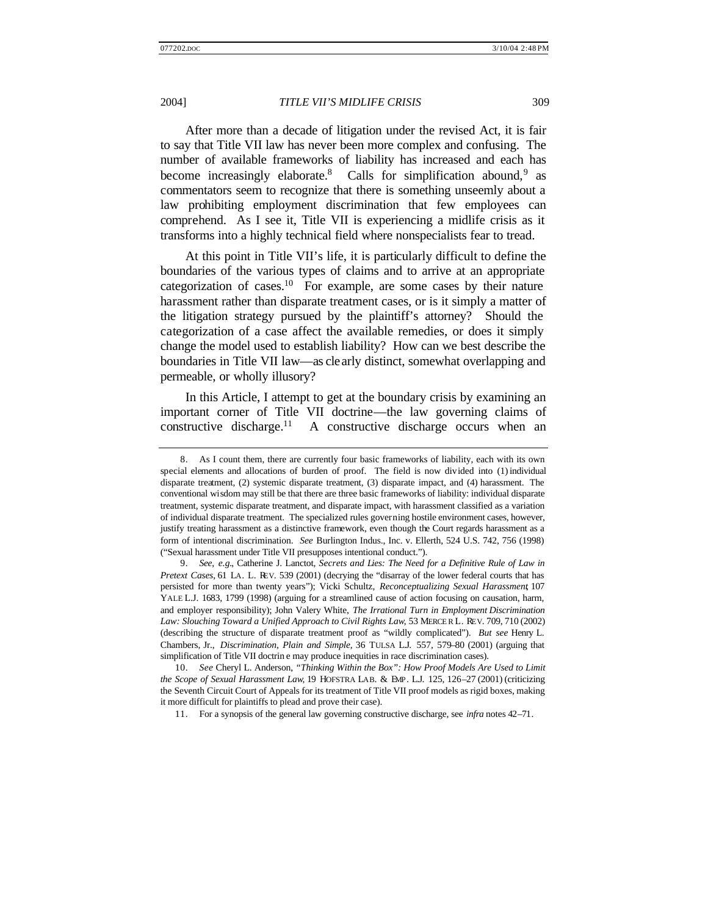After more than a decade of litigation under the revised Act, it is fair to say that Title VII law has never been more complex and confusing. The number of available frameworks of liability has increased and each has become increasingly elaborate.<sup>8</sup> Calls for simplification abound,  $9$  as commentators seem to recognize that there is something unseemly about a law prohibiting employment discrimination that few employees can comprehend. As I see it, Title VII is experiencing a midlife crisis as it transforms into a highly technical field where nonspecialists fear to tread.

At this point in Title VII's life, it is particularly difficult to define the boundaries of the various types of claims and to arrive at an appropriate categorization of cases.<sup>10</sup> For example, are some cases by their nature harassment rather than disparate treatment cases, or is it simply a matter of the litigation strategy pursued by the plaintiff's attorney? Should the categorization of a case affect the available remedies, or does it simply change the model used to establish liability? How can we best describe the boundaries in Title VII law—as clearly distinct, somewhat overlapping and permeable, or wholly illusory?

In this Article, I attempt to get at the boundary crisis by examining an important corner of Title VII doctrine—the law governing claims of constructive discharge.<sup>11</sup> A constructive discharge occurs when an

11. For a synopsis of the general law governing constructive discharge, see *infra* notes 42–71.

<sup>8.</sup> As I count them, there are currently four basic frameworks of liability, each with its own special elements and allocations of burden of proof. The field is now divided into (1) individual disparate treatment, (2) systemic disparate treatment, (3) disparate impact, and (4) harassment. The conventional wisdom may still be that there are three basic frameworks of liability: individual disparate treatment, systemic disparate treatment, and disparate impact, with harassment classified as a variation of individual disparate treatment. The specialized rules governing hostile environment cases, however, justify treating harassment as a distinctive framework, even though the Court regards harassment as a form of intentional discrimination. *See* Burlington Indus., Inc. v. Ellerth, 524 U.S. 742, 756 (1998) ("Sexual harassment under Title VII presupposes intentional conduct.").

<sup>9.</sup> *See, e.g.*, Catherine J. Lanctot, *Secrets and Lies: The Need for a Definitive Rule of Law in Pretext Cases*, 61 LA. L. REV. 539 (2001) (decrying the "disarray of the lower federal courts that has persisted for more than twenty years"); Vicki Schultz, *Reconceptualizing Sexual Harassment*, 107 YALE L.J. 1683, 1799 (1998) (arguing for a streamlined cause of action focusing on causation, harm, and employer responsibility); John Valery White, *The Irrational Turn in Employment Discrimination Law: Slouching Toward a Unified Approach to Civil Rights Law*, 53 MERCER L. REV. 709, 710 (2002) (describing the structure of disparate treatment proof as "wildly complicated"). *But see* Henry L. Chambers, Jr., *Discrimination, Plain and Simple*, 36 TULSA L.J. 557, 579–80 (2001) (arguing that simplification of Title VII doctrin e may produce inequities in race discrimination cases).

<sup>10.</sup> *See* Cheryl L. Anderson, *"Thinking Within the Box": How Proof Models Are Used to Limit the Scope of Sexual Harassment Law*, 19 HOFSTRA LAB. & EMP. L.J. 125, 126–27 (2001) (criticizing the Seventh Circuit Court of Appeals for its treatment of Title VII proof models as rigid boxes, making it more difficult for plaintiffs to plead and prove their case).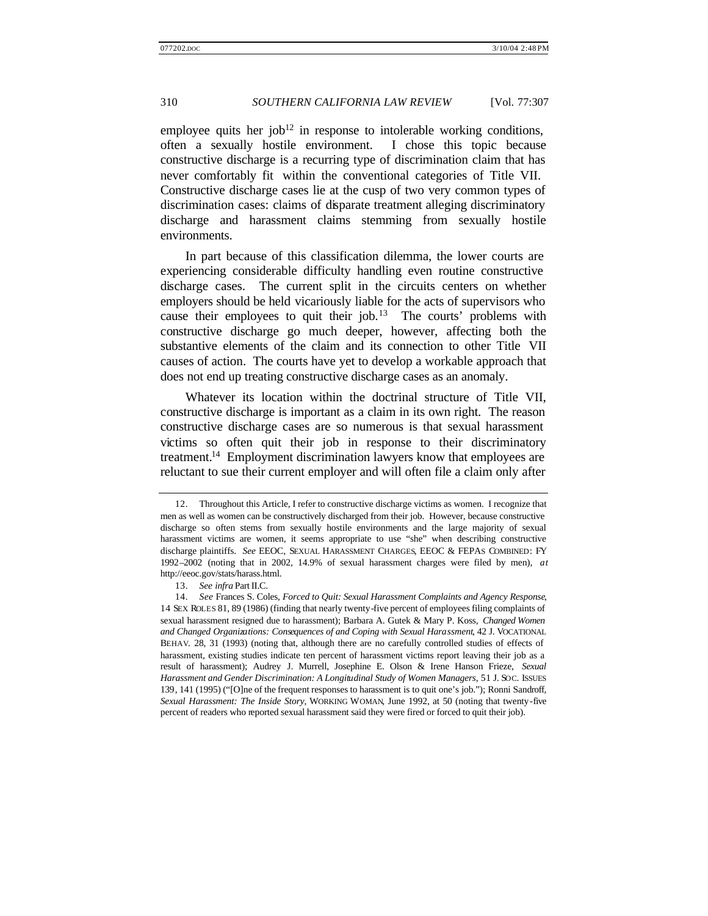employee quits her job<sup>12</sup> in response to intolerable working conditions, often a sexually hostile environment. I chose this topic because constructive discharge is a recurring type of discrimination claim that has never comfortably fit within the conventional categories of Title VII. Constructive discharge cases lie at the cusp of two very common types of discrimination cases: claims of disparate treatment alleging discriminatory discharge and harassment claims stemming from sexually hostile environments.

In part because of this classification dilemma, the lower courts are experiencing considerable difficulty handling even routine constructive discharge cases. The current split in the circuits centers on whether employers should be held vicariously liable for the acts of supervisors who cause their employees to quit their job.<sup>13</sup> The courts' problems with constructive discharge go much deeper, however, affecting both the substantive elements of the claim and its connection to other Title VII causes of action. The courts have yet to develop a workable approach that does not end up treating constructive discharge cases as an anomaly.

Whatever its location within the doctrinal structure of Title VII, constructive discharge is important as a claim in its own right. The reason constructive discharge cases are so numerous is that sexual harassment victims so often quit their job in response to their discriminatory treatment.<sup>14</sup> Employment discrimination lawyers know that employees are reluctant to sue their current employer and will often file a claim only after

<sup>12.</sup> Throughout this Article, I refer to constructive discharge victims as women. I recognize that men as well as women can be constructively discharged from their job. However, because constructive discharge so often stems from sexually hostile environments and the large majority of sexual harassment victims are women, it seems appropriate to use "she" when describing constructive discharge plaintiffs. *See* EEOC, SEXUAL HARASSMENT CHARGES, EEOC & FEPAS COMBINED: FY 1992–2002 (noting that in 2002, 14.9% of sexual harassment charges were filed by men), *at* http://eeoc.gov/stats/harass.html.

<sup>13.</sup> *See infra* Part II.C.

<sup>14.</sup> *See* Frances S. Coles, *Forced to Quit: Sexual Harassment Complaints and Agency Response*, 14 SEX ROLES 81, 89 (1986) (finding that nearly twenty-five percent of employees filing complaints of sexual harassment resigned due to harassment); Barbara A. Gutek & Mary P. Koss, *Changed Women and Changed Organizations: Consequences of and Coping with Sexual Harassment*, 42 J. VOCATIONAL BEHAV. 28, 31 (1993) (noting that, although there are no carefully controlled studies of effects of harassment, existing studies indicate ten percent of harassment victims report leaving their job as a result of harassment); Audrey J. Murrell, Josephine E. Olson & Irene Hanson Frieze, *Sexual Harassment and Gender Discrimination: A Longitudinal Study of Women Managers*, 51 J. SOC. ISSUES 139, 141 (1995) ("[O]ne of the frequent responses to harassment is to quit one's job."); Ronni Sandroff, *Sexual Harassment: The Inside Story*, WORKING WOMAN, June 1992, at 50 (noting that twenty-five percent of readers who reported sexual harassment said they were fired or forced to quit their job).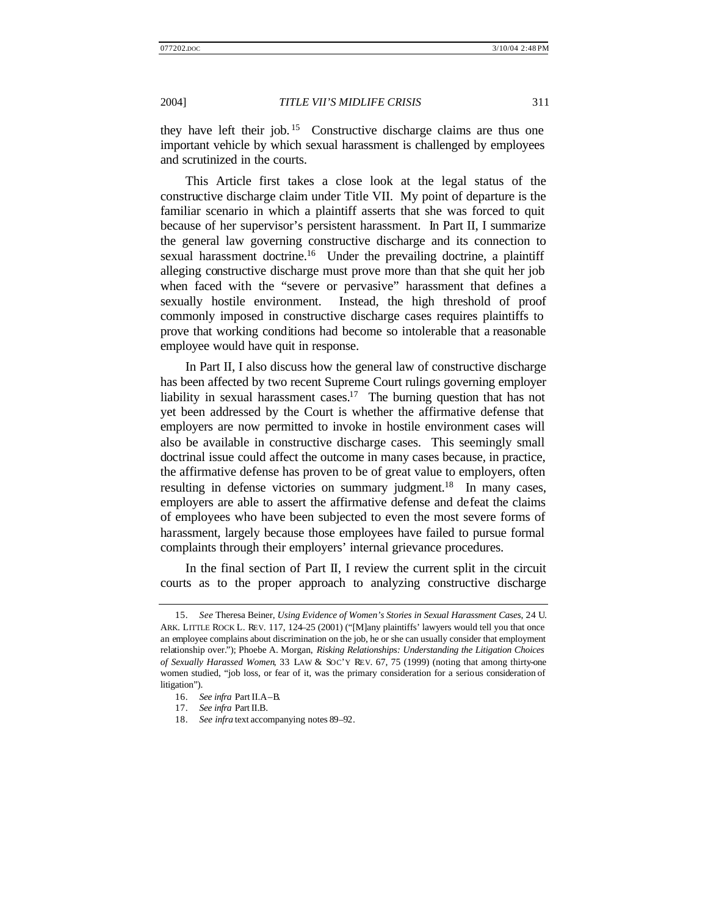they have left their job. <sup>15</sup> Constructive discharge claims are thus one important vehicle by which sexual harassment is challenged by employees and scrutinized in the courts.

This Article first takes a close look at the legal status of the constructive discharge claim under Title VII. My point of departure is the familiar scenario in which a plaintiff asserts that she was forced to quit because of her supervisor's persistent harassment. In Part II, I summarize the general law governing constructive discharge and its connection to sexual harassment doctrine.<sup>16</sup> Under the prevailing doctrine, a plaintiff alleging constructive discharge must prove more than that she quit her job when faced with the "severe or pervasive" harassment that defines a sexually hostile environment. Instead, the high threshold of proof commonly imposed in constructive discharge cases requires plaintiffs to prove that working conditions had become so intolerable that a reasonable employee would have quit in response.

In Part II, I also discuss how the general law of constructive discharge has been affected by two recent Supreme Court rulings governing employer liability in sexual harassment cases.<sup>17</sup> The burning question that has not yet been addressed by the Court is whether the affirmative defense that employers are now permitted to invoke in hostile environment cases will also be available in constructive discharge cases. This seemingly small doctrinal issue could affect the outcome in many cases because, in practice, the affirmative defense has proven to be of great value to employers, often resulting in defense victories on summary judgment.<sup>18</sup> In many cases, employers are able to assert the affirmative defense and defeat the claims of employees who have been subjected to even the most severe forms of harassment, largely because those employees have failed to pursue formal complaints through their employers' internal grievance procedures.

In the final section of Part II, I review the current split in the circuit courts as to the proper approach to analyzing constructive discharge

<sup>15.</sup> *See* Theresa Beiner, *Using Evidence of Women's Stories in Sexual Harassment Cases*, 24 U. ARK. LITTLE ROCK L. REV. 117, 124–25 (2001) ("[M]any plaintiffs' lawyers would tell you that once an employee complains about discrimination on the job, he or she can usually consider that employment relationship over."); Phoebe A. Morgan, *Risking Relationships: Understanding the Litigation Choices of Sexually Harassed Women*, 33 LAW & SOC'Y REV. 67, 75 (1999) (noting that among thirty-one women studied, "job loss, or fear of it, was the primary consideration for a serious consideration of litigation").

<sup>16.</sup> *See infra* Part II.A–B.

<sup>17.</sup> *See infra* Part II.B.

<sup>18.</sup> *See infra* text accompanying notes 89–92.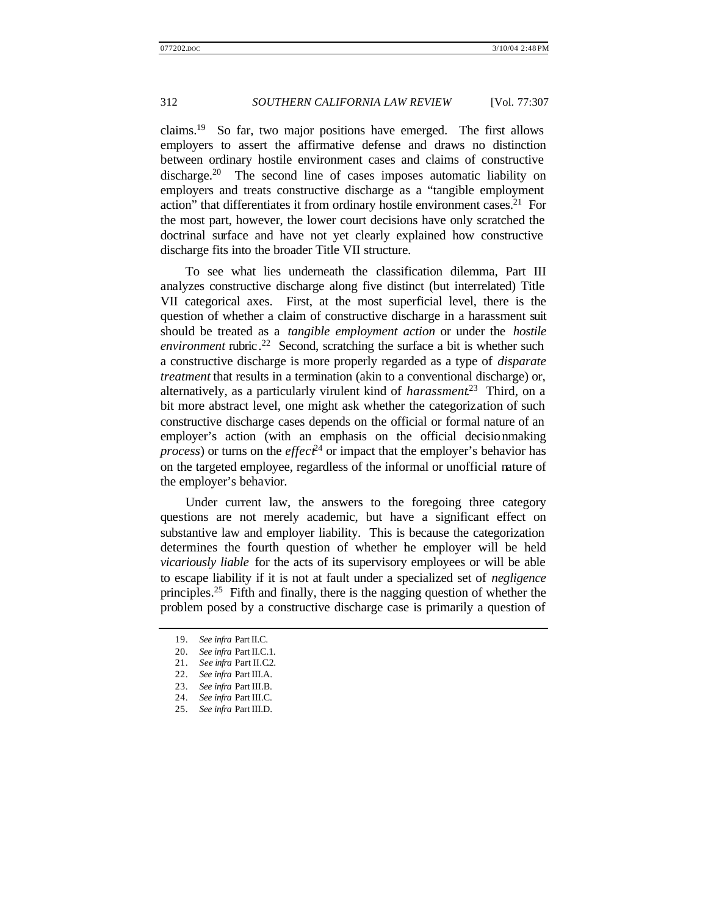claims.<sup>19</sup> So far, two major positions have emerged. The first allows employers to assert the affirmative defense and draws no distinction between ordinary hostile environment cases and claims of constructive discharge.<sup>20</sup> The second line of cases imposes automatic liability on employers and treats constructive discharge as a "tangible employment action" that differentiates it from ordinary hostile environment cases.<sup>21</sup> For the most part, however, the lower court decisions have only scratched the doctrinal surface and have not yet clearly explained how constructive discharge fits into the broader Title VII structure.

To see what lies underneath the classification dilemma, Part III analyzes constructive discharge along five distinct (but interrelated) Title VII categorical axes. First, at the most superficial level, there is the question of whether a claim of constructive discharge in a harassment suit should be treated as a *tangible employment action* or under the *hostile environment* rubric. <sup>22</sup> Second, scratching the surface a bit is whether such a constructive discharge is more properly regarded as a type of *disparate treatment* that results in a termination (akin to a conventional discharge) or, alternatively, as a particularly virulent kind of *harassment*. <sup>23</sup> Third, on a bit more abstract level, one might ask whether the categorization of such constructive discharge cases depends on the official or formal nature of an employer's action (with an emphasis on the official decisionmaking *process*) or turns on the *effect*<sup>24</sup> or impact that the employer's behavior has on the targeted employee, regardless of the informal or unofficial nature of the employer's behavior.

Under current law, the answers to the foregoing three category questions are not merely academic, but have a significant effect on substantive law and employer liability. This is because the categorization determines the fourth question of whether the employer will be held *vicariously liable* for the acts of its supervisory employees or will be able to escape liability if it is not at fault under a specialized set of *negligence* principles.<sup>25</sup> Fifth and finally, there is the nagging question of whether the problem posed by a constructive discharge case is primarily a question of

<sup>19.</sup> *See infra* Part II.C.

<sup>20.</sup> *See infra* Part II.C.1.

<sup>21.</sup> *See infra* Part II.C.2.

<sup>22.</sup> *See infra* Part III.A.

<sup>23.</sup> *See infra* Part III.B.

<sup>24.</sup> *See infra* Part III.C.

<sup>25.</sup> *See infra* Part III.D.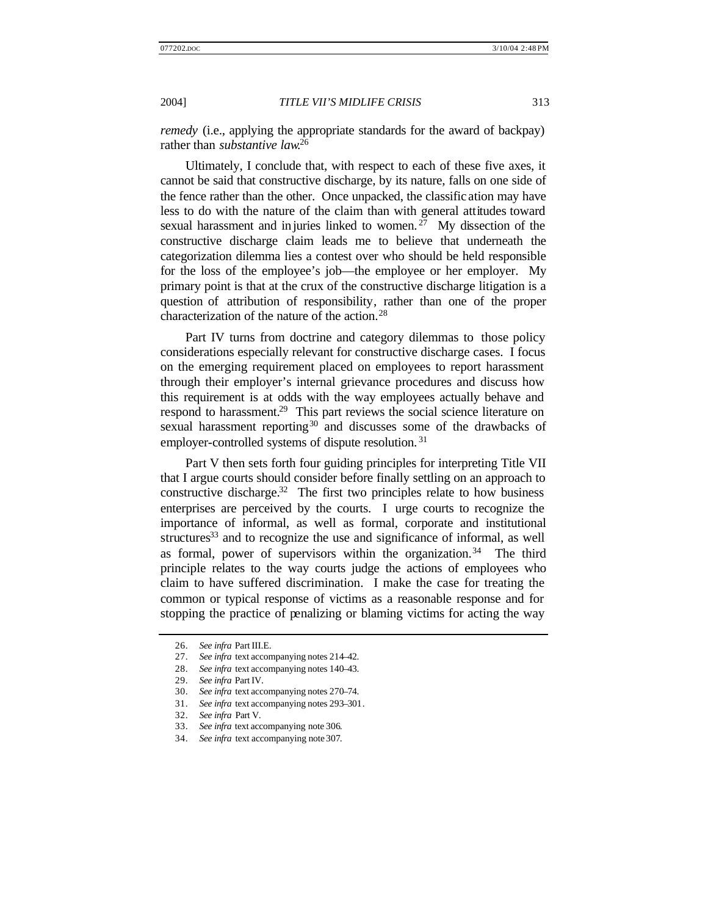*remedy* (i.e., applying the appropriate standards for the award of backpay) rather than *substantive law*. 26

Ultimately, I conclude that, with respect to each of these five axes, it cannot be said that constructive discharge, by its nature, falls on one side of the fence rather than the other. Once unpacked, the classific ation may have less to do with the nature of the claim than with general attitudes toward sexual harassment and in juries linked to women.  $27$  My dissection of the constructive discharge claim leads me to believe that underneath the categorization dilemma lies a contest over who should be held responsible for the loss of the employee's job—the employee or her employer. My primary point is that at the crux of the constructive discharge litigation is a question of attribution of responsibility, rather than one of the proper characterization of the nature of the action.<sup>28</sup>

Part IV turns from doctrine and category dilemmas to those policy considerations especially relevant for constructive discharge cases. I focus on the emerging requirement placed on employees to report harassment through their employer's internal grievance procedures and discuss how this requirement is at odds with the way employees actually behave and respond to harassment.<sup>29</sup> This part reviews the social science literature on sexual harassment reporting<sup>30</sup> and discusses some of the drawbacks of employer-controlled systems of dispute resolution.<sup>31</sup>

Part V then sets forth four guiding principles for interpreting Title VII that I argue courts should consider before finally settling on an approach to constructive discharge.<sup>32</sup> The first two principles relate to how business enterprises are perceived by the courts. I urge courts to recognize the importance of informal, as well as formal, corporate and institutional structures<sup>33</sup> and to recognize the use and significance of informal, as well as formal, power of supervisors within the organization.<sup>34</sup> The third principle relates to the way courts judge the actions of employees who claim to have suffered discrimination. I make the case for treating the common or typical response of victims as a reasonable response and for stopping the practice of penalizing or blaming victims for acting the way

<sup>26.</sup> *See infra* Part III.E.

<sup>27.</sup> *See infra* text accompanying notes 214–42.

<sup>28.</sup> *See infra* text accompanying notes 140–43.

<sup>29.</sup> *See infra* Part IV.

<sup>30.</sup> *See infra* text accompanying notes 270–74.

<sup>31.</sup> *See infra* text accompanying notes 293–301.

<sup>32.</sup> *See infra* Part V.

<sup>33.</sup> *See infra* text accompanying note 306.

<sup>34.</sup> *See infra* text accompanying note 307.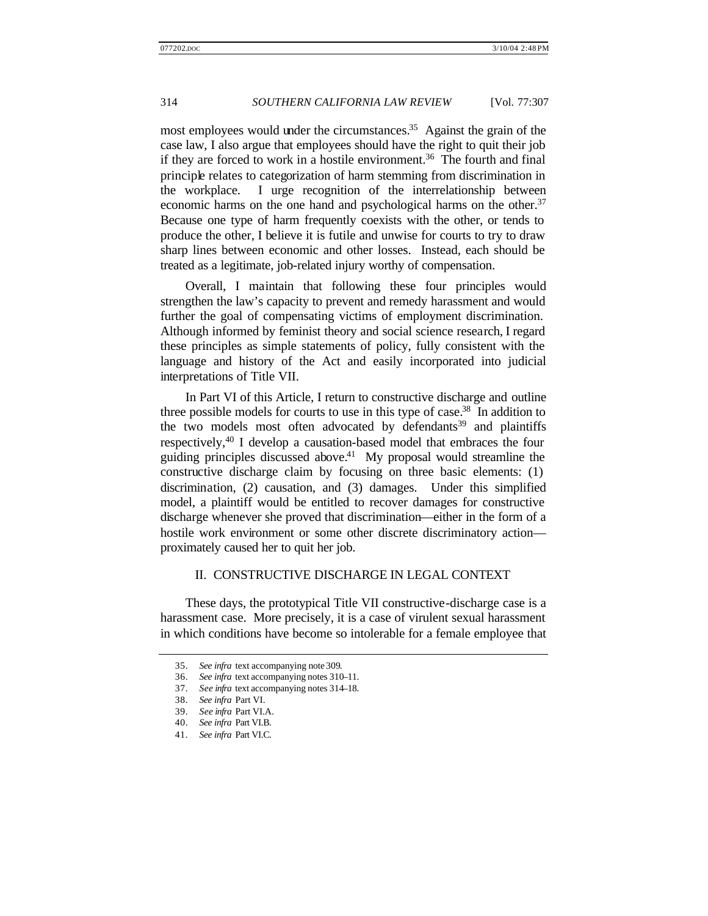most employees would under the circumstances.<sup>35</sup> Against the grain of the case law, I also argue that employees should have the right to quit their job if they are forced to work in a hostile environment.<sup>36</sup> The fourth and final principle relates to categorization of harm stemming from discrimination in the workplace. I urge recognition of the interrelationship between economic harms on the one hand and psychological harms on the other.<sup>37</sup> Because one type of harm frequently coexists with the other, or tends to produce the other, I believe it is futile and unwise for courts to try to draw sharp lines between economic and other losses. Instead, each should be treated as a legitimate, job-related injury worthy of compensation.

Overall, I maintain that following these four principles would strengthen the law's capacity to prevent and remedy harassment and would further the goal of compensating victims of employment discrimination. Although informed by feminist theory and social science research, I regard these principles as simple statements of policy, fully consistent with the language and history of the Act and easily incorporated into judicial interpretations of Title VII.

In Part VI of this Article, I return to constructive discharge and outline three possible models for courts to use in this type of case.<sup>38</sup> In addition to the two models most often advocated by defendants<sup>39</sup> and plaintiffs respectively,<sup>40</sup> I develop a causation-based model that embraces the four guiding principles discussed above.<sup>41</sup> My proposal would streamline the constructive discharge claim by focusing on three basic elements: (1) discrimination, (2) causation, and (3) damages. Under this simplified model, a plaintiff would be entitled to recover damages for constructive discharge whenever she proved that discrimination—either in the form of a hostile work environment or some other discrete discriminatory action proximately caused her to quit her job.

### II. CONSTRUCTIVE DISCHARGE IN LEGAL CONTEXT

These days, the prototypical Title VII constructive-discharge case is a harassment case. More precisely, it is a case of virulent sexual harassment in which conditions have become so intolerable for a female employee that

<sup>35.</sup> *See infra* text accompanying note 309.

<sup>36.</sup> *See infra* text accompanying notes 310–11.

<sup>37.</sup> *See infra* text accompanying notes 314–18.

<sup>38.</sup> *See infra* Part VI.

<sup>39.</sup> *See infra* Part VI.A.

<sup>40.</sup> *See infra* Part VI.B.

<sup>41.</sup> *See infra* Part VI.C.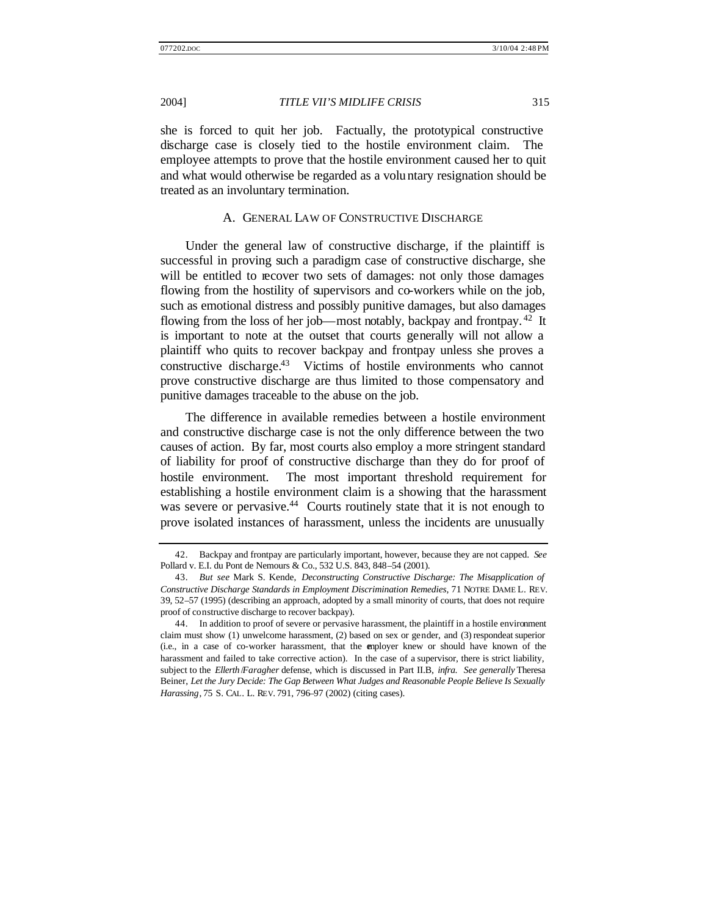she is forced to quit her job. Factually, the prototypical constructive discharge case is closely tied to the hostile environment claim. The employee attempts to prove that the hostile environment caused her to quit and what would otherwise be regarded as a voluntary resignation should be treated as an involuntary termination.

#### A. GENERAL LAW OF CONSTRUCTIVE DISCHARGE

Under the general law of constructive discharge, if the plaintiff is successful in proving such a paradigm case of constructive discharge, she will be entitled to recover two sets of damages: not only those damages flowing from the hostility of supervisors and co-workers while on the job, such as emotional distress and possibly punitive damages, but also damages flowing from the loss of her job—most notably, backpay and frontpay.<sup>42</sup> It is important to note at the outset that courts generally will not allow a plaintiff who quits to recover backpay and frontpay unless she proves a constructive discharge.<sup>43</sup> Victims of hostile environments who cannot prove constructive discharge are thus limited to those compensatory and punitive damages traceable to the abuse on the job.

The difference in available remedies between a hostile environment and constructive discharge case is not the only difference between the two causes of action. By far, most courts also employ a more stringent standard of liability for proof of constructive discharge than they do for proof of hostile environment. The most important threshold requirement for establishing a hostile environment claim is a showing that the harassment was severe or pervasive.<sup>44</sup> Courts routinely state that it is not enough to prove isolated instances of harassment, unless the incidents are unusually

<sup>42.</sup> Backpay and frontpay are particularly important, however, because they are not capped. *See* Pollard v. E.I. du Pont de Nemours & Co., 532 U.S. 843, 848–54 (2001).

<sup>43.</sup> *But see* Mark S. Kende, *Deconstructing Constructive Discharge: The Misapplication of Constructive Discharge Standards in Employment Discrimination Remedies*, 71 NOTRE DAME L. REV. 39, 52–57 (1995) (describing an approach, adopted by a small minority of courts, that does not require proof of constructive discharge to recover backpay).

<sup>44.</sup> In addition to proof of severe or pervasive harassment, the plaintiff in a hostile environment claim must show (1) unwelcome harassment, (2) based on sex or gender, and (3) respondeat superior (i.e., in a case of co-worker harassment, that the employer knew or should have known of the harassment and failed to take corrective action). In the case of a supervisor, there is strict liability, subject to the *Ellerth* /*Faragher* defense, which is discussed in Part II.B, *infra*. *See generally* Theresa Beiner, *Let the Jury Decide: The Gap Between What Judges and Reasonable People Believe Is Sexually Harassing*, 75 S. CAL. L. REV. 791, 796–97 (2002) (citing cases).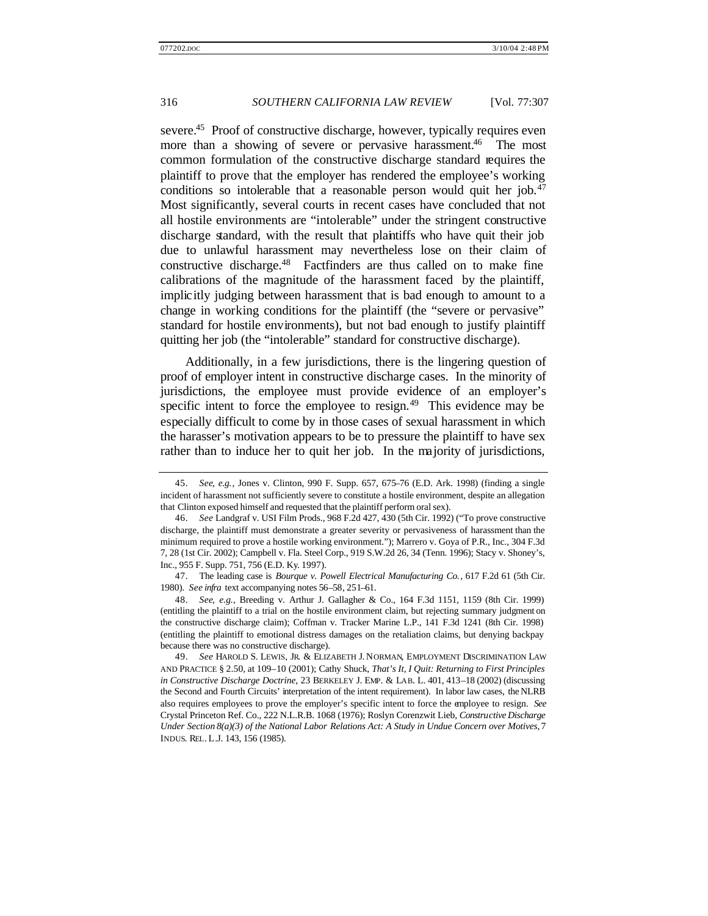severe.<sup>45</sup> Proof of constructive discharge, however, typically requires even more than a showing of severe or pervasive harassment.<sup>46</sup> The most common formulation of the constructive discharge standard requires the plaintiff to prove that the employer has rendered the employee's working conditions so intolerable that a reasonable person would quit her job.<sup>47</sup> Most significantly, several courts in recent cases have concluded that not all hostile environments are "intolerable" under the stringent constructive discharge standard, with the result that plaintiffs who have quit their job due to unlawful harassment may nevertheless lose on their claim of constructive discharge.<sup>48</sup> Factfinders are thus called on to make fine calibrations of the magnitude of the harassment faced by the plaintiff, implicitly judging between harassment that is bad enough to amount to a change in working conditions for the plaintiff (the "severe or pervasive" standard for hostile environments), but not bad enough to justify plaintiff quitting her job (the "intolerable" standard for constructive discharge).

Additionally, in a few jurisdictions, there is the lingering question of proof of employer intent in constructive discharge cases. In the minority of jurisdictions, the employee must provide evidence of an employer's specific intent to force the employee to resign. $49$  This evidence may be especially difficult to come by in those cases of sexual harassment in which the harasser's motivation appears to be to pressure the plaintiff to have sex rather than to induce her to quit her job. In the majority of jurisdictions,

<sup>45.</sup> *See, e.g.*, Jones v. Clinton, 990 F. Supp. 657, 675–76 (E.D. Ark. 1998) (finding a single incident of harassment not sufficiently severe to constitute a hostile environment, despite an allegation that Clinton exposed himself and requested that the plaintiff perform oral sex).

<sup>46.</sup> *See* Landgraf v. USI Film Prods., 968 F.2d 427, 430 (5th Cir. 1992) ("To prove constructive discharge, the plaintiff must demonstrate a greater severity or pervasiveness of harassment than the minimum required to prove a hostile working environment."); Marrero v. Goya of P.R., Inc., 304 F.3d 7, 28 (1st Cir. 2002); Campbell v. Fla. Steel Corp., 919 S.W.2d 26, 34 (Tenn. 1996); Stacy v. Shoney's, Inc., 955 F. Supp. 751, 756 (E.D. Ky. 1997).

<sup>47.</sup> The leading case is *Bourque v. Powell Electrical Manufacturing Co.*, 617 F.2d 61 (5th Cir. 1980). *See infra* text accompanying notes 56–58, 251–61.

<sup>48.</sup> *See, e.g.*, Breeding v. Arthur J. Gallagher & Co., 164 F.3d 1151, 1159 (8th Cir. 1999) (entitling the plaintiff to a trial on the hostile environment claim, but rejecting summary judgment on the constructive discharge claim); Coffman v. Tracker Marine L.P., 141 F.3d 1241 (8th Cir. 1998) (entitling the plaintiff to emotional distress damages on the retaliation claims, but denying backpay because there was no constructive discharge).

<sup>49.</sup> *See* HAROLD S. LEWIS, JR. & ELIZABETH J. NORMAN, EMPLOYMENT DISCRIMINATION LAW AND PRACTICE § 2.50, at 109–10 (2001); Cathy Shuck, *That's It, I Quit: Returning to First Principles in Constructive Discharge Doctrine*, 23 BERKELEY J. EMP. & LAB. L. 401, 413–18 (2002) (discussing the Second and Fourth Circuits' interpretation of the intent requirement). In labor law cases, the NLRB also requires employees to prove the employer's specific intent to force the employee to resign. *See*  Crystal Princeton Ref. Co., 222 N.L.R.B. 1068 (1976); Roslyn Corenzwit Lieb, *Constructive Discharge Under Section 8(a)(3) of the National Labor Relations Act: A Study in Undue Concern over Motives*, 7 INDUS. REL. L.J. 143, 156 (1985).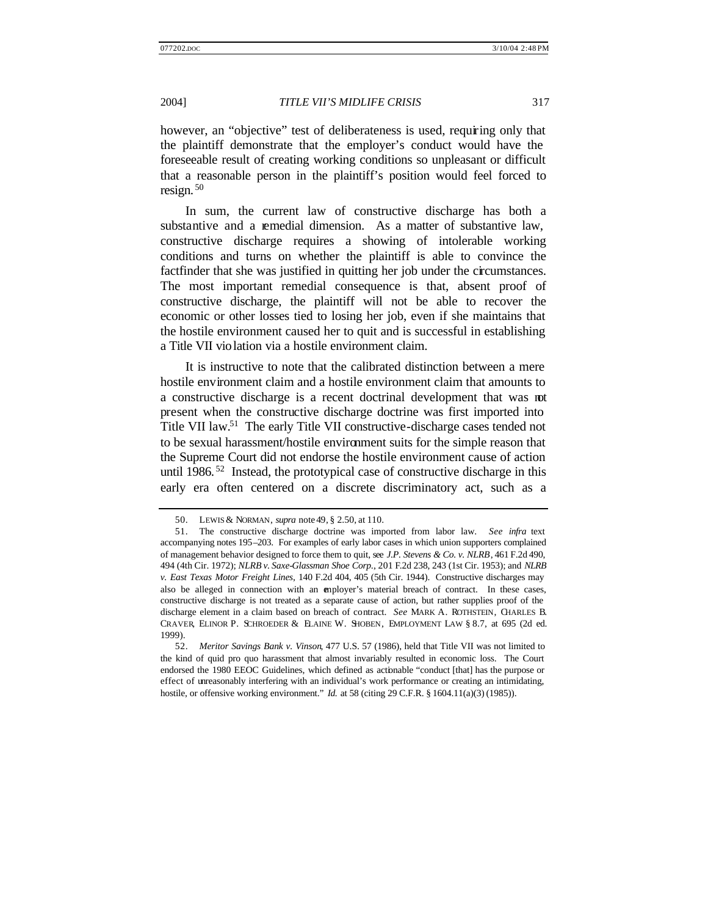however, an "objective" test of deliberateness is used, requiring only that the plaintiff demonstrate that the employer's conduct would have the foreseeable result of creating working conditions so unpleasant or difficult that a reasonable person in the plaintiff's position would feel forced to resign. <sup>50</sup>

In sum, the current law of constructive discharge has both a substantive and a remedial dimension. As a matter of substantive law, constructive discharge requires a showing of intolerable working conditions and turns on whether the plaintiff is able to convince the factfinder that she was justified in quitting her job under the circumstances. The most important remedial consequence is that, absent proof of constructive discharge, the plaintiff will not be able to recover the economic or other losses tied to losing her job, even if she maintains that the hostile environment caused her to quit and is successful in establishing a Title VII violation via a hostile environment claim.

It is instructive to note that the calibrated distinction between a mere hostile environment claim and a hostile environment claim that amounts to a constructive discharge is a recent doctrinal development that was not present when the constructive discharge doctrine was first imported into Title VII law.<sup>51</sup> The early Title VII constructive-discharge cases tended not to be sexual harassment/hostile environment suits for the simple reason that the Supreme Court did not endorse the hostile environment cause of action until 1986.<sup>52</sup> Instead, the prototypical case of constructive discharge in this early era often centered on a discrete discriminatory act, such as a

<sup>50.</sup> LEWIS & NORMAN, *supra* note 49, § 2.50, at 110.

<sup>51.</sup> The constructive discharge doctrine was imported from labor law. *See infra* text accompanying notes 195–203. For examples of early labor cases in which union supporters complained of management behavior designed to force them to quit, see *J.P. Stevens & Co. v. NLRB*, 461 F.2d 490, 494 (4th Cir. 1972); *NLRB v. Saxe-Glassman Shoe Corp*., 201 F.2d 238, 243 (1st Cir. 1953); and *NLRB v. East Texas Motor Freight Lines*, 140 F.2d 404, 405 (5th Cir. 1944). Constructive discharges may also be alleged in connection with an employer's material breach of contract. In these cases, constructive discharge is not treated as a separate cause of action, but rather supplies proof of the discharge element in a claim based on breach of contract. *See* MARK A. ROTHSTEIN, CHARLES B. CRAVER, ELINOR P. SCHROEDER & ELAINE W. SHOBEN, EMPLOYMENT LAW § 8.7, at 695 (2d ed. 1999).

<sup>52.</sup> *Meritor Savings Bank v. Vinson*, 477 U.S. 57 (1986), held that Title VII was not limited to the kind of quid pro quo harassment that almost invariably resulted in economic loss. The Court endorsed the 1980 EEOC Guidelines, which defined as actionable "conduct [that] has the purpose or effect of unreasonably interfering with an individual's work performance or creating an intimidating, hostile, or offensive working environment." *Id.* at 58 (citing 29 C.F.R. § 1604.11(a)(3) (1985)).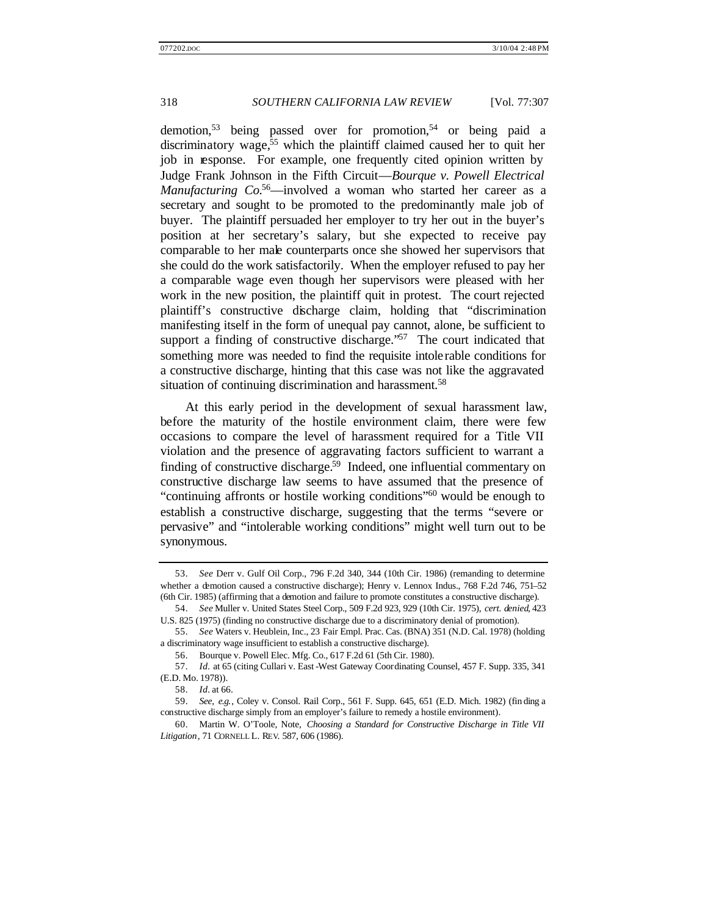demotion,<sup>53</sup> being passed over for promotion,<sup>54</sup> or being paid a discriminatory wage,<sup>55</sup> which the plaintiff claimed caused her to quit her job in response. For example, one frequently cited opinion written by Judge Frank Johnson in the Fifth Circuit—*Bourque v. Powell Electrical Manufacturing Co.*<sup>56</sup>—involved a woman who started her career as a secretary and sought to be promoted to the predominantly male job of buyer. The plaintiff persuaded her employer to try her out in the buyer's position at her secretary's salary, but she expected to receive pay comparable to her male counterparts once she showed her supervisors that she could do the work satisfactorily. When the employer refused to pay her a comparable wage even though her supervisors were pleased with her work in the new position, the plaintiff quit in protest. The court rejected plaintiff's constructive discharge claim, holding that "discrimination manifesting itself in the form of unequal pay cannot, alone, be sufficient to support a finding of constructive discharge."<sup>57</sup> The court indicated that something more was needed to find the requisite intolerable conditions for a constructive discharge, hinting that this case was not like the aggravated situation of continuing discrimination and harassment.<sup>58</sup>

At this early period in the development of sexual harassment law, before the maturity of the hostile environment claim, there were few occasions to compare the level of harassment required for a Title VII violation and the presence of aggravating factors sufficient to warrant a finding of constructive discharge.<sup>59</sup> Indeed, one influential commentary on constructive discharge law seems to have assumed that the presence of "continuing affronts or hostile working conditions"<sup>60</sup> would be enough to establish a constructive discharge, suggesting that the terms "severe or pervasive" and "intolerable working conditions" might well turn out to be synonymous.

<sup>53.</sup> *See* Derr v. Gulf Oil Corp., 796 F.2d 340, 344 (10th Cir. 1986) (remanding to determine whether a demotion caused a constructive discharge); Henry v. Lennox Indus., 768 F.2d 746, 751-52 (6th Cir. 1985) (affirming that a demotion and failure to promote constitutes a constructive discharge).

<sup>54.</sup> *See* Muller v. United States Steel Corp., 509 F.2d 923, 929 (10th Cir. 1975), *cert. denied*, 423 U.S. 825 (1975) (finding no constructive discharge due to a discriminatory denial of promotion).

<sup>55.</sup> *See* Waters v. Heublein, Inc., 23 Fair Empl. Prac. Cas. (BNA) 351 (N.D. Cal. 1978) (holding a discriminatory wage insufficient to establish a constructive discharge).

<sup>56.</sup> Bourque v. Powell Elec. Mfg. Co., 617 F.2d 61 (5th Cir. 1980).

<sup>57.</sup> *Id.* at 65 (citing Cullari v. East -West Gateway Coordinating Counsel, 457 F. Supp. 335, 341 (E.D. Mo. 1978)).

<sup>58.</sup> *Id.* at 66.

<sup>59.</sup> *See, e.g.*, Coley v. Consol. Rail Corp., 561 F. Supp. 645, 651 (E.D. Mich. 1982) (fin ding a constructive discharge simply from an employer's failure to remedy a hostile environment).

<sup>60.</sup> Martin W. O'Toole, Note, *Choosing a Standard for Constructive Discharge in Title VII Litigation*, 71 CORNELL L. REV. 587, 606 (1986).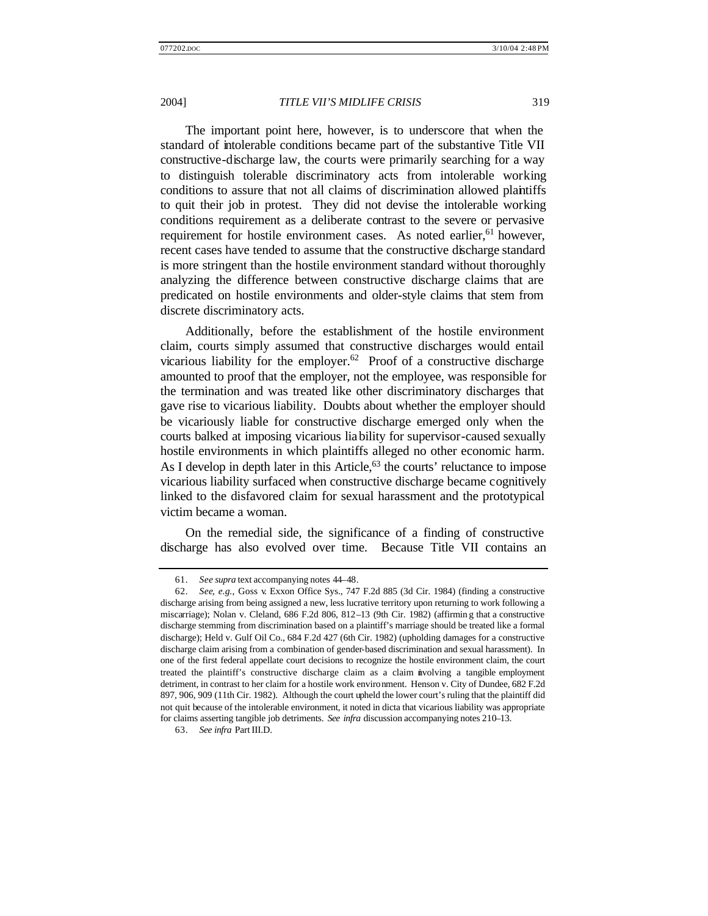The important point here, however, is to underscore that when the standard of intolerable conditions became part of the substantive Title VII constructive-discharge law, the courts were primarily searching for a way to distinguish tolerable discriminatory acts from intolerable working conditions to assure that not all claims of discrimination allowed plaintiffs to quit their job in protest. They did not devise the intolerable working conditions requirement as a deliberate contrast to the severe or pervasive requirement for hostile environment cases. As noted earlier,<sup>61</sup> however, recent cases have tended to assume that the constructive discharge standard is more stringent than the hostile environment standard without thoroughly analyzing the difference between constructive discharge claims that are predicated on hostile environments and older-style claims that stem from discrete discriminatory acts.

Additionally, before the establishment of the hostile environment claim, courts simply assumed that constructive discharges would entail vicarious liability for the employer.<sup>62</sup> Proof of a constructive discharge amounted to proof that the employer, not the employee, was responsible for the termination and was treated like other discriminatory discharges that gave rise to vicarious liability. Doubts about whether the employer should be vicariously liable for constructive discharge emerged only when the courts balked at imposing vicarious liability for supervisor-caused sexually hostile environments in which plaintiffs alleged no other economic harm. As I develop in depth later in this Article,<sup>63</sup> the courts' reluctance to impose vicarious liability surfaced when constructive discharge became cognitively linked to the disfavored claim for sexual harassment and the prototypical victim became a woman.

On the remedial side, the significance of a finding of constructive discharge has also evolved over time. Because Title VII contains an

<sup>61.</sup> *See supra* text accompanying notes 44–48.

<sup>62.</sup> *See, e.g.*, Goss v. Exxon Office Sys., 747 F.2d 885 (3d Cir. 1984) (finding a constructive discharge arising from being assigned a new, less lucrative territory upon returning to work following a miscarriage); Nolan v. Cleland, 686 F.2d 806, 812–13 (9th Cir. 1982) (affirmin g that a constructive discharge stemming from discrimination based on a plaintiff's marriage should be treated like a formal discharge); Held v. Gulf Oil Co., 684 F.2d 427 (6th Cir. 1982) (upholding damages for a constructive discharge claim arising from a combination of gender-based discrimination and sexual harassment). In one of the first federal appellate court decisions to recognize the hostile environment claim, the court treated the plaintiff's constructive discharge claim as a claim involving a tangible employment detriment, in contrast to her claim for a hostile work environment. Henson v. City of Dundee, 682 F.2d 897, 906, 909 (11th Cir. 1982). Although the court upheld the lower court's ruling that the plaintiff did not quit because of the intolerable environment, it noted in dicta that vicarious liability was appropriate for claims asserting tangible job detriments. *See infra* discussion accompanying notes 210–13.

<sup>63.</sup> *See infra* Part III.D.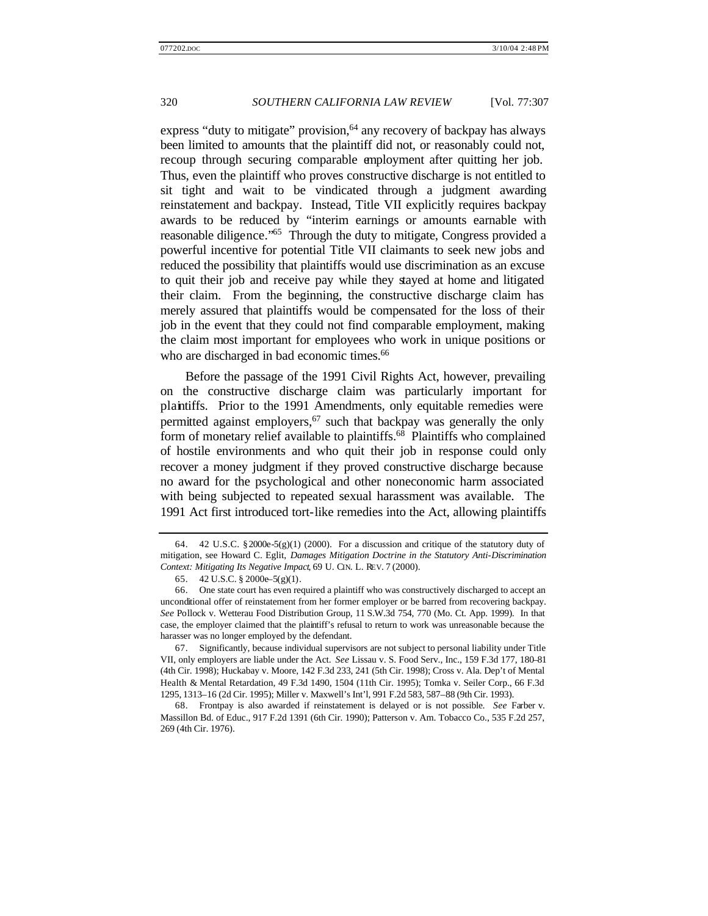express "duty to mitigate" provision,  $64$  any recovery of backpay has always been limited to amounts that the plaintiff did not, or reasonably could not, recoup through securing comparable employment after quitting her job. Thus, even the plaintiff who proves constructive discharge is not entitled to sit tight and wait to be vindicated through a judgment awarding reinstatement and backpay. Instead, Title VII explicitly requires backpay awards to be reduced by "interim earnings or amounts earnable with reasonable diligence."<sup>65</sup> Through the duty to mitigate, Congress provided a powerful incentive for potential Title VII claimants to seek new jobs and reduced the possibility that plaintiffs would use discrimination as an excuse to quit their job and receive pay while they stayed at home and litigated their claim. From the beginning, the constructive discharge claim has merely assured that plaintiffs would be compensated for the loss of their job in the event that they could not find comparable employment, making the claim most important for employees who work in unique positions or who are discharged in bad economic times.<sup>66</sup>

Before the passage of the 1991 Civil Rights Act, however, prevailing on the constructive discharge claim was particularly important for plaintiffs. Prior to the 1991 Amendments, only equitable remedies were permitted against employers, $67$  such that backpay was generally the only form of monetary relief available to plaintiffs.<sup>68</sup> Plaintiffs who complained of hostile environments and who quit their job in response could only recover a money judgment if they proved constructive discharge because no award for the psychological and other noneconomic harm associated with being subjected to repeated sexual harassment was available. The 1991 Act first introduced tort-like remedies into the Act, allowing plaintiffs

67. Significantly, because individual supervisors are not subject to personal liability under Title VII, only employers are liable under the Act. *See* Lissau v. S. Food Serv., Inc., 159 F.3d 177, 180–81 (4th Cir. 1998); Huckabay v. Moore, 142 F.3d 233, 241 (5th Cir. 1998); Cross v. Ala. Dep't of Mental Health & Mental Retardation, 49 F.3d 1490, 1504 (11th Cir. 1995); Tomka v. Seiler Corp., 66 F.3d 1295, 1313–16 (2d Cir. 1995); Miller v. Maxwell's Int'l, 991 F.2d 583, 587–88 (9th Cir. 1993).

<sup>64. 42</sup> U.S.C. §2000e-5(g)(1) (2000). For a discussion and critique of the statutory duty of mitigation, see Howard C. Eglit, *Damages Mitigation Doctrine in the Statutory Anti-Discrimination Context: Mitigating Its Negative Impact*, 69 U. CIN. L. REV. 7 (2000).

<sup>65.</sup> 42 U.S.C. § 2000e–5(g)(1).

<sup>66.</sup> One state court has even required a plaintiff who was constructively discharged to accept an unconditional offer of reinstatement from her former employer or be barred from recovering backpay. *See* Pollock v. Wetterau Food Distribution Group, 11 S.W.3d 754, 770 (Mo. Ct. App. 1999). In that case, the employer claimed that the plaintiff's refusal to return to work was unreasonable because the harasser was no longer employed by the defendant.

<sup>68.</sup> Frontpay is also awarded if reinstatement is delayed or is not possible. *See* Farber v. Massillon Bd. of Educ., 917 F.2d 1391 (6th Cir. 1990); Patterson v. Am. Tobacco Co., 535 F.2d 257, 269 (4th Cir. 1976).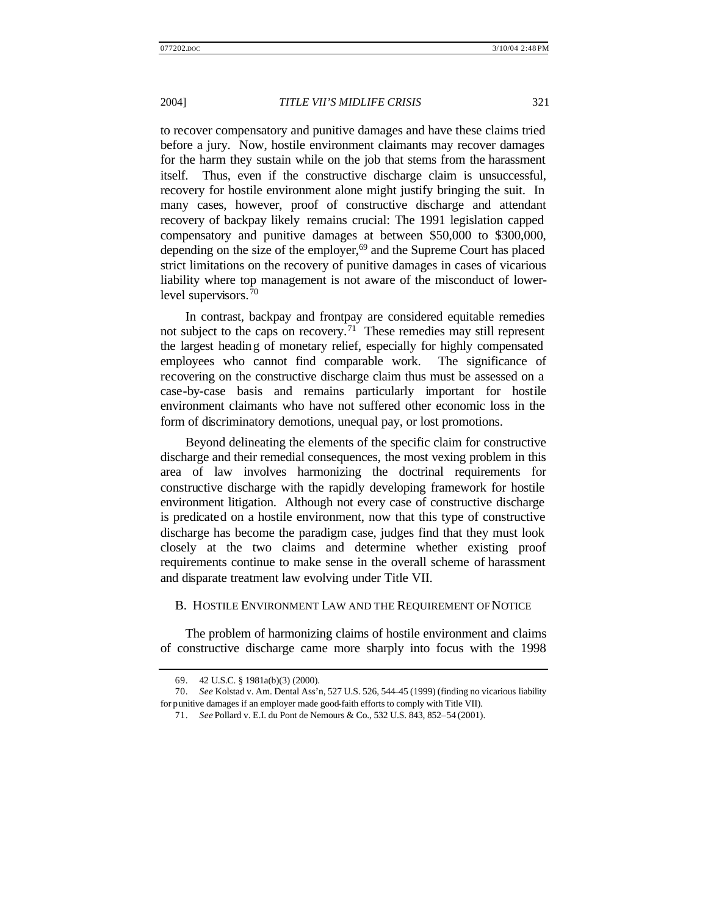to recover compensatory and punitive damages and have these claims tried before a jury. Now, hostile environment claimants may recover damages for the harm they sustain while on the job that stems from the harassment itself. Thus, even if the constructive discharge claim is unsuccessful, recovery for hostile environment alone might justify bringing the suit. In many cases, however, proof of constructive discharge and attendant recovery of backpay likely remains crucial: The 1991 legislation capped compensatory and punitive damages at between \$50,000 to \$300,000, depending on the size of the employer, $69$  and the Supreme Court has placed strict limitations on the recovery of punitive damages in cases of vicarious liability where top management is not aware of the misconduct of lowerlevel supervisors.<sup>70</sup>

In contrast, backpay and frontpay are considered equitable remedies not subject to the caps on recovery.<sup>71</sup> These remedies may still represent the largest heading of monetary relief, especially for highly compensated employees who cannot find comparable work. The significance of recovering on the constructive discharge claim thus must be assessed on a case-by-case basis and remains particularly important for hostile environment claimants who have not suffered other economic loss in the form of discriminatory demotions, unequal pay, or lost promotions.

Beyond delineating the elements of the specific claim for constructive discharge and their remedial consequences, the most vexing problem in this area of law involves harmonizing the doctrinal requirements for constructive discharge with the rapidly developing framework for hostile environment litigation. Although not every case of constructive discharge is predicated on a hostile environment, now that this type of constructive discharge has become the paradigm case, judges find that they must look closely at the two claims and determine whether existing proof requirements continue to make sense in the overall scheme of harassment and disparate treatment law evolving under Title VII.

# B. HOSTILE ENVIRONMENT LAW AND THE REQUIREMENT OF NOTICE

The problem of harmonizing claims of hostile environment and claims of constructive discharge came more sharply into focus with the 1998

<sup>69.</sup> 42 U.S.C. § 1981a(b)(3) (2000).

<sup>70.</sup> *See* Kolstad v. Am. Dental Ass'n, 527 U.S. 526, 544–45 (1999) (finding no vicarious liability for punitive damages if an employer made good-faith efforts to comply with Title VII).

<sup>71.</sup> *See* Pollard v. E.I. du Pont de Nemours & Co., 532 U.S. 843, 852–54 (2001).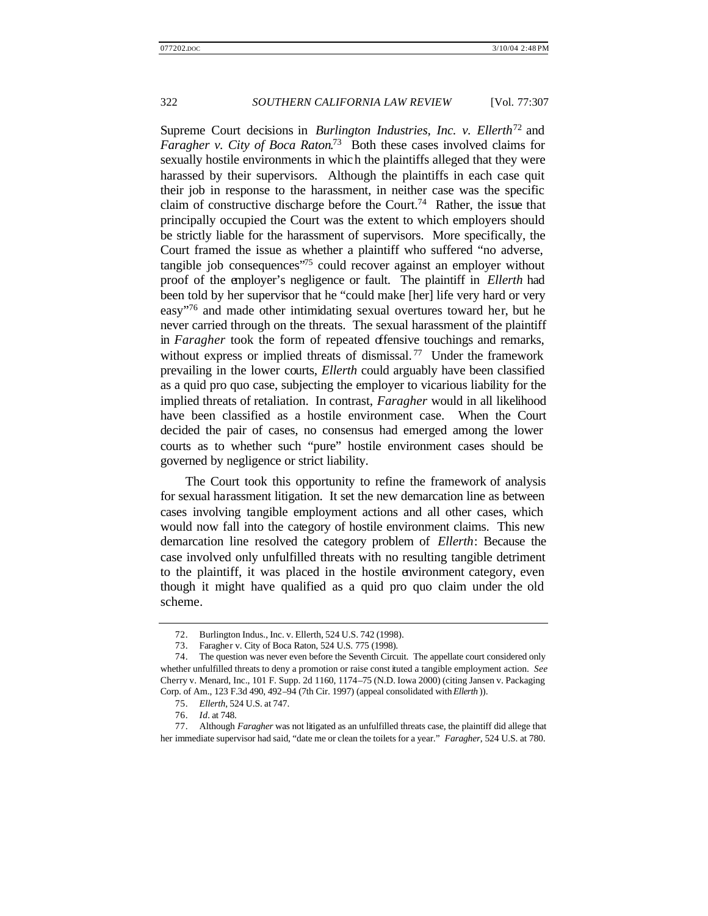Supreme Court decisions in *Burlington Industries, Inc. v. Ellerth*<sup>72</sup> and *Faragher v. City of Boca Raton*. <sup>73</sup> Both these cases involved claims for sexually hostile environments in which the plaintiffs alleged that they were harassed by their supervisors. Although the plaintiffs in each case quit their job in response to the harassment, in neither case was the specific claim of constructive discharge before the Court.<sup>74</sup> Rather, the issue that principally occupied the Court was the extent to which employers should be strictly liable for the harassment of supervisors. More specifically, the Court framed the issue as whether a plaintiff who suffered "no adverse, tangible job consequences<sup>"75</sup> could recover against an employer without proof of the employer's negligence or fault. The plaintiff in *Ellerth* had been told by her supervisor that he "could make [her] life very hard or very easy"<sup>76</sup> and made other intimidating sexual overtures toward her, but he never carried through on the threats. The sexual harassment of the plaintiff in *Faragher* took the form of repeated offensive touchings and remarks, without express or implied threats of dismissal.<sup>77</sup> Under the framework prevailing in the lower courts, *Ellerth* could arguably have been classified as a quid pro quo case, subjecting the employer to vicarious liability for the implied threats of retaliation. In contrast, *Faragher* would in all likelihood have been classified as a hostile environment case. When the Court decided the pair of cases, no consensus had emerged among the lower courts as to whether such "pure" hostile environment cases should be governed by negligence or strict liability.

The Court took this opportunity to refine the framework of analysis for sexual harassment litigation. It set the new demarcation line as between cases involving tangible employment actions and all other cases, which would now fall into the category of hostile environment claims. This new demarcation line resolved the category problem of *Ellerth*: Because the case involved only unfulfilled threats with no resulting tangible detriment to the plaintiff, it was placed in the hostile environment category, even though it might have qualified as a quid pro quo claim under the old scheme.

<sup>72.</sup> Burlington Indus., Inc. v. Ellerth, 524 U.S. 742 (1998).

<sup>73.</sup> Faragher v. City of Boca Raton, 524 U.S. 775 (1998).

<sup>74.</sup> The question was never even before the Seventh Circuit. The appellate court considered only whether unfulfilled threats to deny a promotion or raise const ituted a tangible employment action. *See* Cherry v. Menard, Inc., 101 F. Supp. 2d 1160, 1174–75 (N.D. Iowa 2000) (citing Jansen v. Packaging Corp. of Am., 123 F.3d 490, 492–94 (7th Cir. 1997) (appeal consolidated with *Ellerth* )).

<sup>75.</sup> *Ellerth*, 524 U.S. at 747.

<sup>76.</sup> *Id.* at 748.

<sup>77.</sup> Although *Faragher* was not litigated as an unfulfilled threats case, the plaintiff did allege that her immediate supervisor had said, "date me or clean the toilets for a year." *Faragher*, 524 U.S. at 780.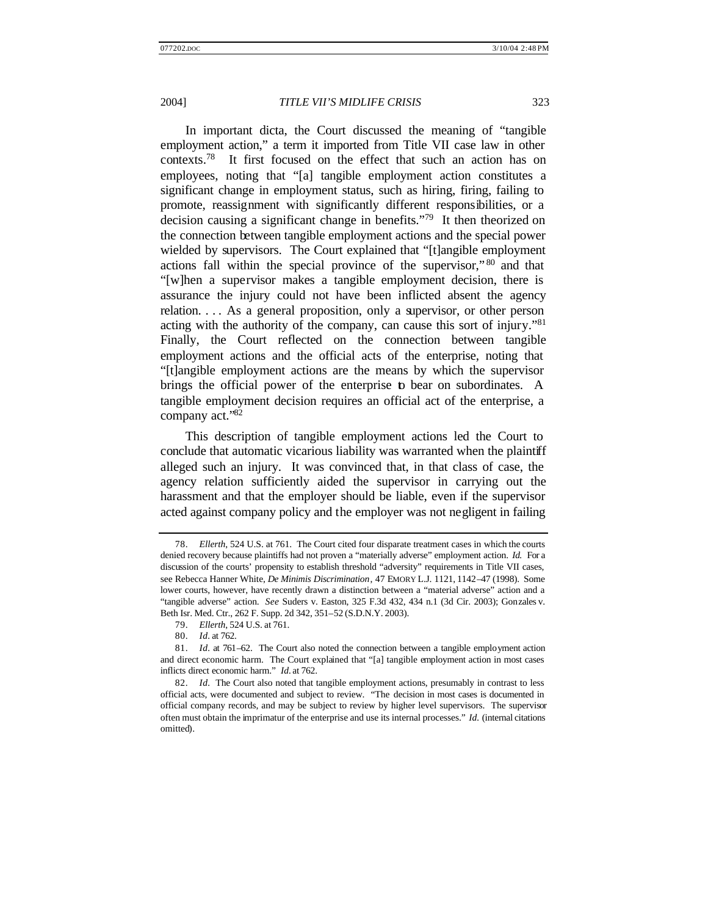In important dicta, the Court discussed the meaning of "tangible employment action," a term it imported from Title VII case law in other contexts.<sup>78</sup> It first focused on the effect that such an action has on employees, noting that "[a] tangible employment action constitutes a significant change in employment status, such as hiring, firing, failing to promote, reassignment with significantly different responsibilities, or a decision causing a significant change in benefits."<sup>79</sup> It then theorized on the connection between tangible employment actions and the special power wielded by supervisors. The Court explained that "[t]angible employment actions fall within the special province of the supervisor," <sup>80</sup> and that "[w]hen a supervisor makes a tangible employment decision, there is assurance the injury could not have been inflicted absent the agency relation. . . . As a general proposition, only a supervisor, or other person acting with the authority of the company, can cause this sort of injury."<sup>81</sup> Finally, the Court reflected on the connection between tangible employment actions and the official acts of the enterprise, noting that "[t]angible employment actions are the means by which the supervisor brings the official power of the enterprise to bear on subordinates. A tangible employment decision requires an official act of the enterprise, a company act."<sup>82</sup>

This description of tangible employment actions led the Court to conclude that automatic vicarious liability was warranted when the plaintiff alleged such an injury. It was convinced that, in that class of case, the agency relation sufficiently aided the supervisor in carrying out the harassment and that the employer should be liable, even if the supervisor acted against company policy and the employer was not negligent in failing

<sup>78.</sup> *Ellerth*, 524 U.S. at 761. The Court cited four disparate treatment cases in which the courts denied recovery because plaintiffs had not proven a "materially adverse" employment action. *Id.* For a discussion of the courts' propensity to establish threshold "adversity" requirements in Title VII cases, see Rebecca Hanner White, *De Minimis Discrimination*, 47 EMORY L.J. 1121, 1142–47 (1998). Some lower courts, however, have recently drawn a distinction between a "material adverse" action and a "tangible adverse" action. *See* Suders v. Easton, 325 F.3d 432, 434 n.1 (3d Cir. 2003); Gonzales v. Beth Isr. Med. Ctr., 262 F. Supp. 2d 342, 351–52 (S.D.N.Y. 2003).

<sup>79.</sup> *Ellerth*, 524 U.S. at 761.

<sup>80.</sup> *Id.* at 762.

<sup>81.</sup> *Id.* at 761–62. The Court also noted the connection between a tangible employment action and direct economic harm. The Court explained that "[a] tangible employment action in most cases inflicts direct economic harm." *Id.* at 762.

<sup>82.</sup> *Id.* The Court also noted that tangible employment actions, presumably in contrast to less official acts, were documented and subject to review. "The decision in most cases is documented in official company records, and may be subject to review by higher level supervisors. The supervisor often must obtain the imprimatur of the enterprise and use its internal processes." *Id.* (internal citations omitted).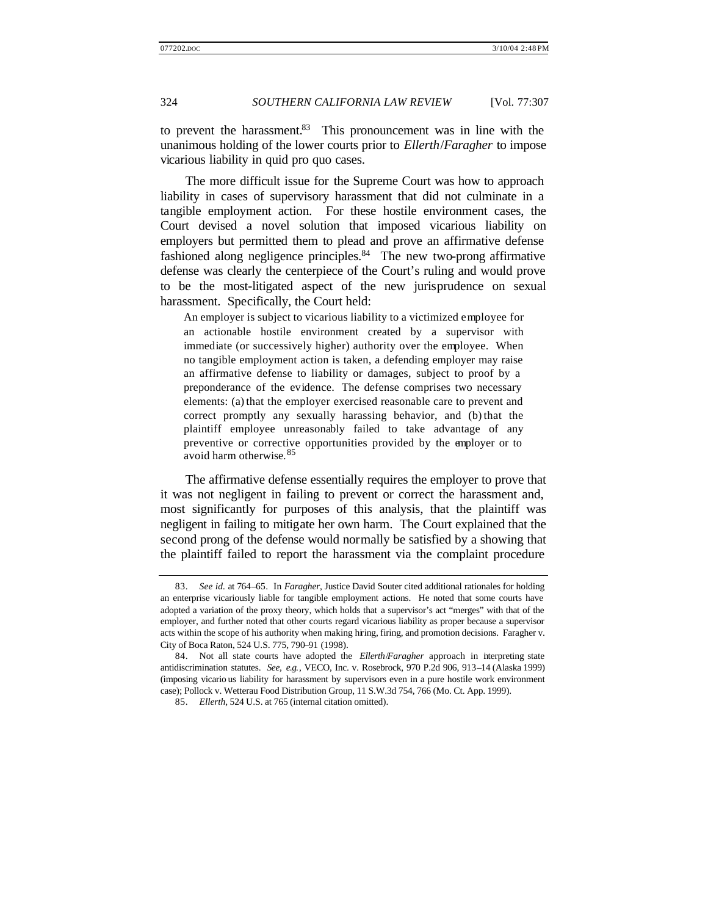to prevent the harassment.<sup>83</sup> This pronouncement was in line with the unanimous holding of the lower courts prior to *Ellerth*/*Faragher* to impose vicarious liability in quid pro quo cases.

The more difficult issue for the Supreme Court was how to approach liability in cases of supervisory harassment that did not culminate in a tangible employment action. For these hostile environment cases, the Court devised a novel solution that imposed vicarious liability on employers but permitted them to plead and prove an affirmative defense fashioned along negligence principles.<sup>84</sup> The new two-prong affirmative defense was clearly the centerpiece of the Court's ruling and would prove to be the most-litigated aspect of the new jurisprudence on sexual harassment. Specifically, the Court held:

An employer is subject to vicarious liability to a victimized employee for an actionable hostile environment created by a supervisor with immediate (or successively higher) authority over the employee. When no tangible employment action is taken, a defending employer may raise an affirmative defense to liability or damages, subject to proof by a preponderance of the evidence. The defense comprises two necessary elements: (a) that the employer exercised reasonable care to prevent and correct promptly any sexually harassing behavior, and (b) that the plaintiff employee unreasonably failed to take advantage of any preventive or corrective opportunities provided by the employer or to avoid harm otherwise.<sup>85</sup>

The affirmative defense essentially requires the employer to prove that it was not negligent in failing to prevent or correct the harassment and, most significantly for purposes of this analysis, that the plaintiff was negligent in failing to mitigate her own harm. The Court explained that the second prong of the defense would normally be satisfied by a showing that the plaintiff failed to report the harassment via the complaint procedure

<sup>83.</sup> *See id.* at 764–65. In *Faragher*, Justice David Souter cited additional rationales for holding an enterprise vicariously liable for tangible employment actions. He noted that some courts have adopted a variation of the proxy theory, which holds that a supervisor's act "merges" with that of the employer, and further noted that other courts regard vicarious liability as proper because a supervisor acts within the scope of his authority when making hiring, firing, and promotion decisions. Faragher v. City of Boca Raton, 524 U.S. 775, 790–91 (1998).

<sup>84.</sup> Not all state courts have adopted the *Ellerth*/*Faragher* approach in interpreting state antidiscrimination statutes. *See, e.g.*, VECO, Inc. v. Rosebrock, 970 P.2d 906, 913–14 (Alaska 1999) (imposing vicario us liability for harassment by supervisors even in a pure hostile work environment case); Pollock v. Wetterau Food Distribution Group, 11 S.W.3d 754, 766 (Mo. Ct. App. 1999).

<sup>85.</sup> *Ellerth*, 524 U.S. at 765 (internal citation omitted).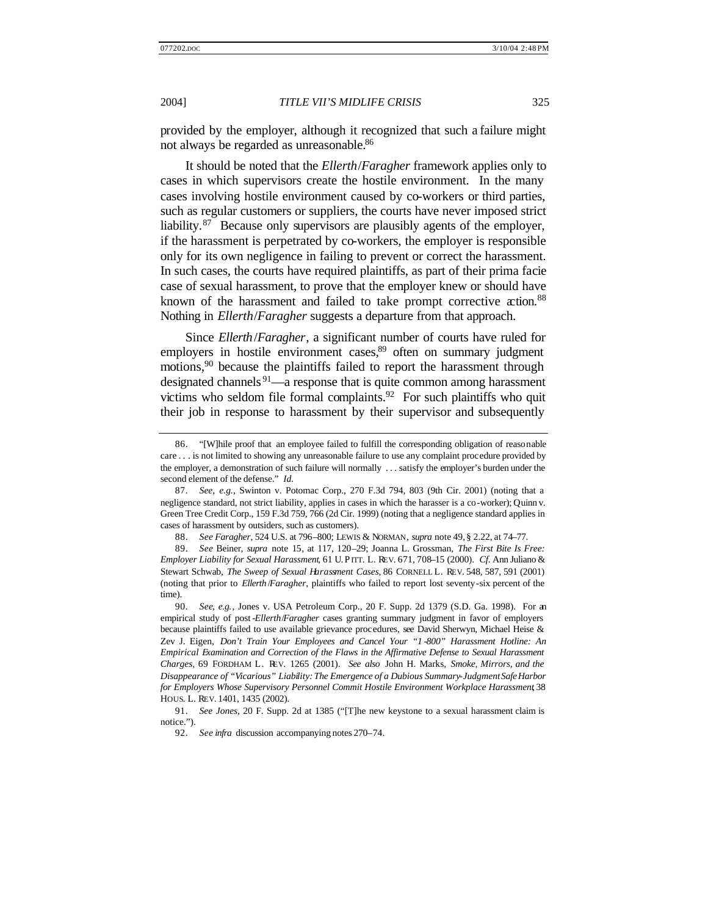provided by the employer, although it recognized that such a failure might not always be regarded as unreasonable.<sup>86</sup>

It should be noted that the *Ellerth*/*Faragher* framework applies only to cases in which supervisors create the hostile environment. In the many cases involving hostile environment caused by co-workers or third parties, such as regular customers or suppliers, the courts have never imposed strict liability.<sup>87</sup> Because only supervisors are plausibly agents of the employer, if the harassment is perpetrated by co-workers, the employer is responsible only for its own negligence in failing to prevent or correct the harassment. In such cases, the courts have required plaintiffs, as part of their prima facie case of sexual harassment, to prove that the employer knew or should have known of the harassment and failed to take prompt corrective action.<sup>88</sup> Nothing in *Ellerth*/*Faragher* suggests a departure from that approach.

Since *Ellerth*/*Faragher*, a significant number of courts have ruled for employers in hostile environment cases, $89$  often on summary judgment motions,<sup>90</sup> because the plaintiffs failed to report the harassment through designated channels<sup>91</sup>—a response that is quite common among harassment victims who seldom file formal complaints.<sup>92</sup> For such plaintiffs who quit their job in response to harassment by their supervisor and subsequently

<sup>86.</sup> "[W]hile proof that an employee failed to fulfill the corresponding obligation of reasonable care . . . is not limited to showing any unreasonable failure to use any complaint procedure provided by the employer, a demonstration of such failure will normally . . . satisfy the employer's burden under the second element of the defense." *Id.*

<sup>87.</sup> *See, e.g.*, Swinton v. Potomac Corp., 270 F.3d 794, 803 (9th Cir. 2001) (noting that a negligence standard, not strict liability, applies in cases in which the harasser is a co-worker); Quinn v. Green Tree Credit Corp., 159 F.3d 759, 766 (2d Cir. 1999) (noting that a negligence standard applies in cases of harassment by outsiders, such as customers).

<sup>88.</sup> *See Faragher*, 524 U.S. at 796–800; LEWIS & NORMAN, *supra* note 49, § 2.22, at 74–77.

<sup>89.</sup> *See* Beiner, *supra* note 15, at 117, 120–29; Joanna L. Grossman, *The First Bite Is Free: Employer Liability for Sexual Harassment*, 61 U. PITT. L. REV. 671, 708–15 (2000). *Cf.* Ann Juliano & Stewart Schwab, *The Sweep of Sexual Harassment Cases*, 86 CORNELL L. REV. 548, 587, 591 (2001) (noting that prior to *Ellerth* /*Faragher*, plaintiffs who failed to report lost seventy-six percent of the time).

<sup>90.</sup> *See, e.g.*, Jones v. USA Petroleum Corp., 20 F. Supp. 2d 1379 (S.D. Ga. 1998). For an empirical study of post -*Ellerth*/*Faragher* cases granting summary judgment in favor of employers because plaintiffs failed to use available grievance procedures, see David Sherwyn, Michael Heise & Zev J. Eigen, *Don't Train Your Employees and Cancel Your "1 -800" Harassment Hotline: An Empirical Examination and Correction of the Flaws in the Affirmative Defense to Sexual Harassment Charges*, 69 FORDHAM L. REV. 1265 (2001). *See also* John H. Marks, *Smoke, Mirrors, and the*  Disappearance of "Vicarious" Liability: The Emergence of a Dubious Summary-Judgment Safe Harbor *for Employers Whose Supervisory Personnel Commit Hostile Environment Workplace Harassment*, 38 HOUS. L. REV. 1401, 1435 (2002).

<sup>91.</sup> *See Jones*, 20 F. Supp. 2d at 1385 ("[T]he new keystone to a sexual harassment claim is notice.").

<sup>92.</sup> *See infra* discussion accompanying notes 270–74.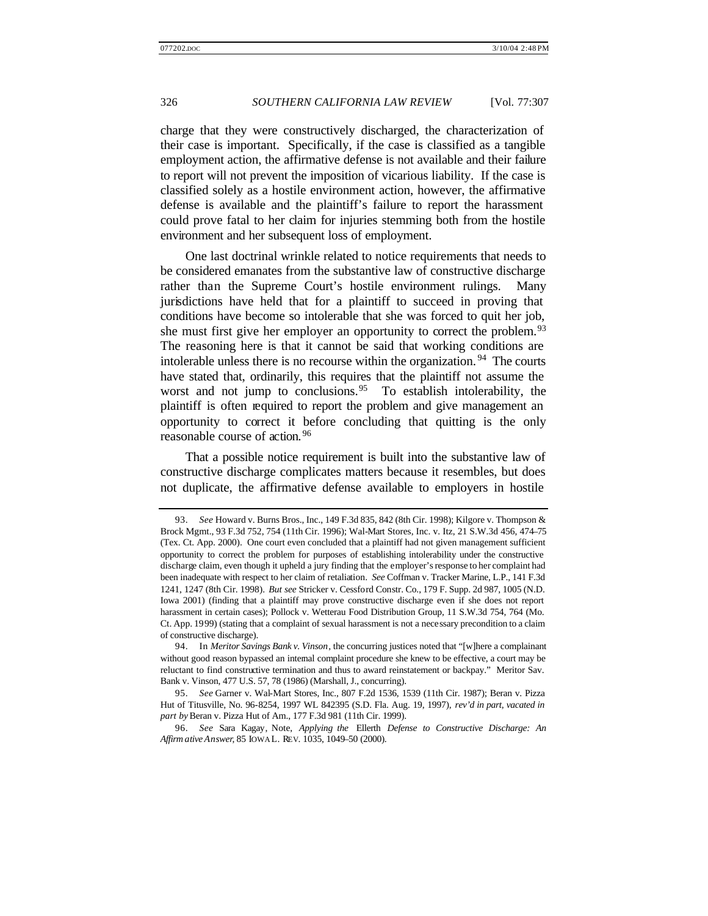charge that they were constructively discharged, the characterization of their case is important. Specifically, if the case is classified as a tangible employment action, the affirmative defense is not available and their failure to report will not prevent the imposition of vicarious liability. If the case is classified solely as a hostile environment action, however, the affirmative defense is available and the plaintiff's failure to report the harassment could prove fatal to her claim for injuries stemming both from the hostile environment and her subsequent loss of employment.

One last doctrinal wrinkle related to notice requirements that needs to be considered emanates from the substantive law of constructive discharge rather than the Supreme Court's hostile environment rulings. Many jurisdictions have held that for a plaintiff to succeed in proving that conditions have become so intolerable that she was forced to quit her job, she must first give her employer an opportunity to correct the problem.<sup>93</sup> The reasoning here is that it cannot be said that working conditions are intolerable unless there is no recourse within the organization. <sup>94</sup> The courts have stated that, ordinarily, this requires that the plaintiff not assume the worst and not jump to conclusions.<sup>95</sup> To establish intolerability, the plaintiff is often required to report the problem and give management an opportunity to correct it before concluding that quitting is the only reasonable course of action. <sup>96</sup>

That a possible notice requirement is built into the substantive law of constructive discharge complicates matters because it resembles, but does not duplicate, the affirmative defense available to employers in hostile

<sup>93.</sup> *See* Howard v. Burns Bros., Inc., 149 F.3d 835, 842 (8th Cir. 1998); Kilgore v. Thompson & Brock Mgmt., 93 F.3d 752, 754 (11th Cir. 1996); Wal-Mart Stores, Inc. v. Itz, 21 S.W.3d 456, 474–75 (Tex. Ct. App. 2000). One court even concluded that a plaintiff had not given management sufficient opportunity to correct the problem for purposes of establishing intolerability under the constructive discharge claim, even though it upheld a jury finding that the employer's response to her complaint had been inadequate with respect to her claim of retaliation. *See* Coffman v. Tracker Marine, L.P., 141 F.3d 1241, 1247 (8th Cir. 1998). *But see* Stricker v. Cessford Constr. Co., 179 F. Supp. 2d 987, 1005 (N.D. Iowa 2001) (finding that a plaintiff may prove constructive discharge even if she does not report harassment in certain cases); Pollock v. Wetterau Food Distribution Group, 11 S.W.3d 754, 764 (Mo. Ct. App. 1999) (stating that a complaint of sexual harassment is not a necessary precondition to a claim of constructive discharge).

<sup>94.</sup> In *Meritor Savings Bank v. Vinson*, the concurring justices noted that "[w]here a complainant without good reason bypassed an internal complaint procedure she knew to be effective, a court may be reluctant to find constructive termination and thus to award reinstatement or backpay." Meritor Sav. Bank v. Vinson, 477 U.S. 57, 78 (1986) (Marshall, J., concurring).

<sup>95.</sup> *See* Garner v. Wal-Mart Stores, Inc., 807 F.2d 1536, 1539 (11th Cir. 1987); Beran v. Pizza Hut of Titusville, No. 96-8254, 1997 WL 842395 (S.D. Fla. Aug. 19, 1997), *rev'd in part, vacated in part by* Beran v. Pizza Hut of Am., 177 F.3d 981 (11th Cir. 1999).

<sup>96.</sup> *See* Sara Kagay, Note, *Applying the* Ellerth *Defense to Constructive Discharge: An Affirm ative Answer*, 85 IOWA L. REV. 1035, 1049–50 (2000).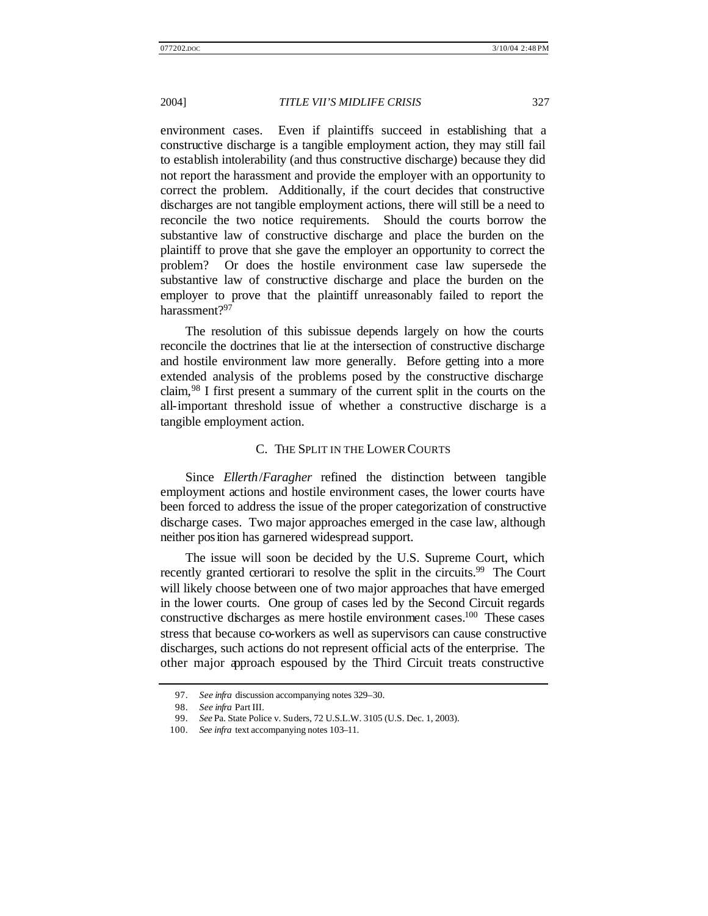environment cases. Even if plaintiffs succeed in establishing that a constructive discharge is a tangible employment action, they may still fail to establish intolerability (and thus constructive discharge) because they did not report the harassment and provide the employer with an opportunity to correct the problem. Additionally, if the court decides that constructive discharges are not tangible employment actions, there will still be a need to reconcile the two notice requirements. Should the courts borrow the substantive law of constructive discharge and place the burden on the plaintiff to prove that she gave the employer an opportunity to correct the problem? Or does the hostile environment case law supersede the substantive law of constructive discharge and place the burden on the employer to prove that the plaintiff unreasonably failed to report the harassment?<sup>97</sup>

The resolution of this subissue depends largely on how the courts reconcile the doctrines that lie at the intersection of constructive discharge and hostile environment law more generally. Before getting into a more extended analysis of the problems posed by the constructive discharge claim,<sup>98</sup> I first present a summary of the current split in the courts on the all-important threshold issue of whether a constructive discharge is a tangible employment action.

#### C. THE SPLIT IN THE LOWER COURTS

Since *Ellerth*/*Faragher* refined the distinction between tangible employment actions and hostile environment cases, the lower courts have been forced to address the issue of the proper categorization of constructive discharge cases. Two major approaches emerged in the case law, although neither position has garnered widespread support.

The issue will soon be decided by the U.S. Supreme Court, which recently granted certiorari to resolve the split in the circuits.<sup>99</sup> The Court will likely choose between one of two major approaches that have emerged in the lower courts. One group of cases led by the Second Circuit regards constructive discharges as mere hostile environment cases.<sup>100</sup> These cases stress that because co-workers as well as supervisors can cause constructive discharges, such actions do not represent official acts of the enterprise. The other major approach espoused by the Third Circuit treats constructive

<sup>97.</sup> *See infra* discussion accompanying notes 329–30.

<sup>98.</sup> *See infra* Part III.

<sup>99.</sup> *See* Pa. State Police v. Suders, 72 U.S.L.W. 3105 (U.S. Dec. 1, 2003).

<sup>100.</sup> *See infra* text accompanying notes 103–11.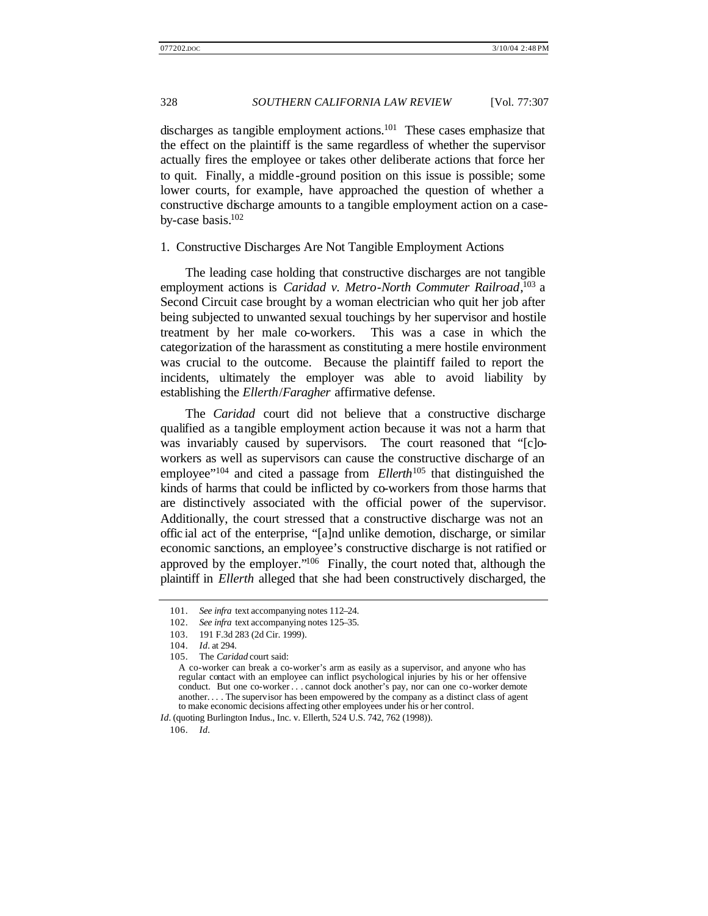discharges as tangible employment actions.<sup>101</sup> These cases emphasize that the effect on the plaintiff is the same regardless of whether the supervisor actually fires the employee or takes other deliberate actions that force her to quit. Finally, a middle -ground position on this issue is possible; some lower courts, for example, have approached the question of whether a constructive discharge amounts to a tangible employment action on a caseby-case basis. $102$ 

#### 1. Constructive Discharges Are Not Tangible Employment Actions

The leading case holding that constructive discharges are not tangible employment actions is *Caridad v. Metro-North Commuter Railroad*, <sup>103</sup> a Second Circuit case brought by a woman electrician who quit her job after being subjected to unwanted sexual touchings by her supervisor and hostile treatment by her male co-workers. This was a case in which the categorization of the harassment as constituting a mere hostile environment was crucial to the outcome. Because the plaintiff failed to report the incidents, ultimately the employer was able to avoid liability by establishing the *Ellerth*/*Faragher* affirmative defense.

The *Caridad* court did not believe that a constructive discharge qualified as a tangible employment action because it was not a harm that was invariably caused by supervisors. The court reasoned that "[c]oworkers as well as supervisors can cause the constructive discharge of an employee<sup>"104</sup> and cited a passage from *Ellerth*<sup>105</sup> that distinguished the kinds of harms that could be inflicted by co-workers from those harms that are distinctively associated with the official power of the supervisor. Additionally, the court stressed that a constructive discharge was not an offic ial act of the enterprise, "[a]nd unlike demotion, discharge, or similar economic sanctions, an employee's constructive discharge is not ratified or approved by the employer."<sup>106</sup> Finally, the court noted that, although the plaintiff in *Ellerth* alleged that she had been constructively discharged, the

106. *Id.*

<sup>101.</sup> *See infra* text accompanying notes 112–24.

<sup>102.</sup> *See infra* text accompanying notes 125–35.

<sup>103.</sup> 191 F.3d 283 (2d Cir. 1999).

<sup>104.</sup> *Id.* at 294.

<sup>105.</sup> The *Caridad* court said:

A co-worker can break a co-worker's arm as easily as a supervisor, and anyone who has regular contact with an employee can inflict psychological injuries by his or her offensive conduct. But one co-worker . . . cannot dock another's pay, nor can one co-worker demote another. . . . The supervisor has been empowered by the company as a distinct class of agent to make economic decisions affecting other employees under his or her control.

*Id.* (quoting Burlington Indus., Inc. v. Ellerth, 524 U.S. 742, 762 (1998)).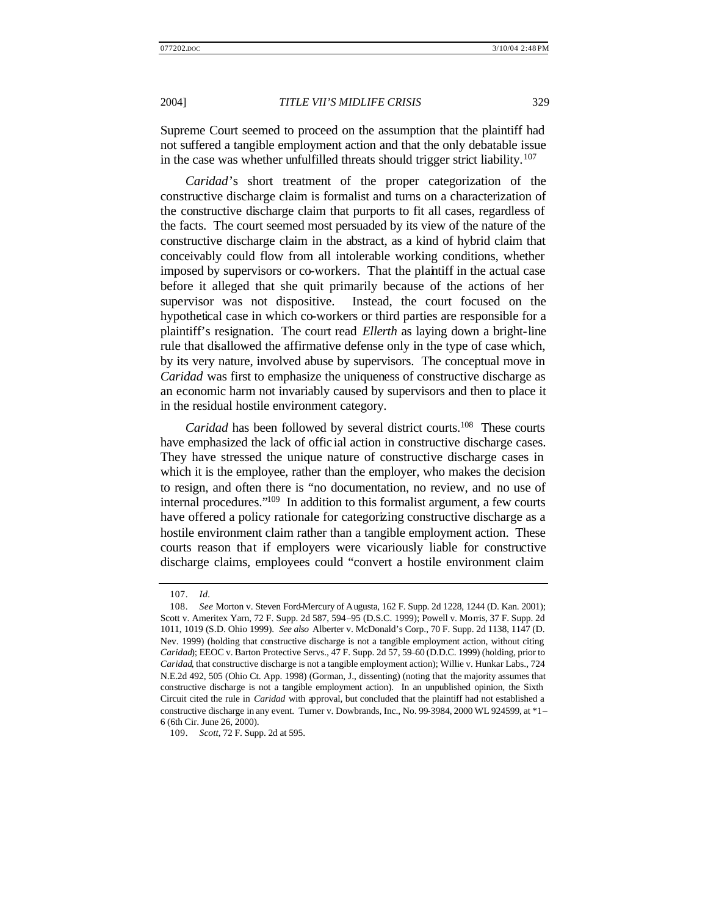Supreme Court seemed to proceed on the assumption that the plaintiff had not suffered a tangible employment action and that the only debatable issue in the case was whether unfulfilled threats should trigger strict liability.<sup>107</sup>

*Caridad*'s short treatment of the proper categorization of the constructive discharge claim is formalist and turns on a characterization of the constructive discharge claim that purports to fit all cases, regardless of the facts. The court seemed most persuaded by its view of the nature of the constructive discharge claim in the abstract, as a kind of hybrid claim that conceivably could flow from all intolerable working conditions, whether imposed by supervisors or co-workers. That the plaintiff in the actual case before it alleged that she quit primarily because of the actions of her supervisor was not dispositive. Instead, the court focused on the hypothetical case in which co-workers or third parties are responsible for a plaintiff's resignation. The court read *Ellerth* as laying down a bright-line rule that disallowed the affirmative defense only in the type of case which, by its very nature, involved abuse by supervisors. The conceptual move in *Caridad* was first to emphasize the uniqueness of constructive discharge as an economic harm not invariably caused by supervisors and then to place it in the residual hostile environment category.

*Caridad* has been followed by several district courts.<sup>108</sup> These courts have emphasized the lack of offic ial action in constructive discharge cases. They have stressed the unique nature of constructive discharge cases in which it is the employee, rather than the employer, who makes the decision to resign, and often there is "no documentation, no review, and no use of internal procedures."<sup>109</sup> In addition to this formalist argument, a few courts have offered a policy rationale for categorizing constructive discharge as a hostile environment claim rather than a tangible employment action. These courts reason that if employers were vicariously liable for constructive discharge claims, employees could "convert a hostile environment claim

<sup>107.</sup> *Id.*

<sup>108.</sup> *See* Morton v. Steven Ford-Mercury of Augusta, 162 F. Supp. 2d 1228, 1244 (D. Kan. 2001); Scott v. Ameritex Yarn, 72 F. Supp. 2d 587, 594–95 (D.S.C. 1999); Powell v. Morris, 37 F. Supp. 2d 1011, 1019 (S.D. Ohio 1999). *See also* Alberter v. McDonald's Corp., 70 F. Supp. 2d 1138, 1147 (D. Nev. 1999) (holding that constructive discharge is not a tangible employment action, without citing *Caridad*); EEOC v. Barton Protective Servs., 47 F. Supp. 2d 57, 59–60 (D.D.C. 1999) (holding, prior to *Caridad*, that constructive discharge is not a tangible employment action); Willie v. Hunkar Labs., 724 N.E.2d 492, 505 (Ohio Ct. App. 1998) (Gorman, J., dissenting) (noting that the majority assumes that constructive discharge is not a tangible employment action). In an unpublished opinion, the Sixth Circuit cited the rule in *Caridad* with approval, but concluded that the plaintiff had not established a constructive discharge in any event. Turner v. Dowbrands, Inc., No. 99-3984, 2000 WL 924599, at \*1– 6 (6th Cir. June 26, 2000).

<sup>109.</sup> *Scott*, 72 F. Supp. 2d at 595.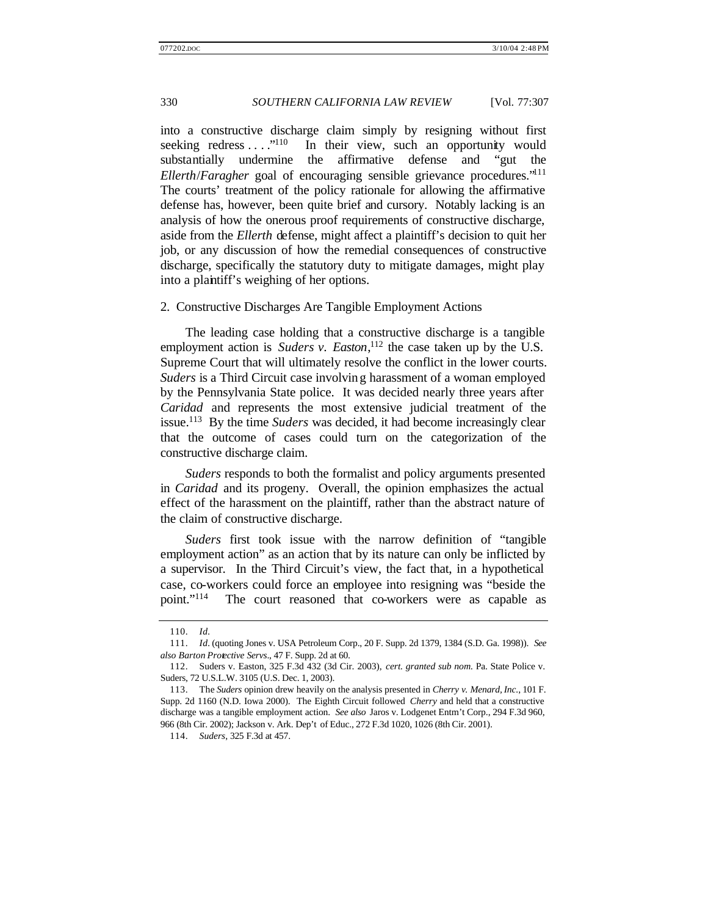into a constructive discharge claim simply by resigning without first seeking redress . . . . "<sup>110</sup> In their view, such an opportunity would substantially undermine the affirmative defense and "gut the *Ellerth*/*Faragher* goal of encouraging sensible grievance procedures."<sup>111</sup> The courts' treatment of the policy rationale for allowing the affirmative defense has, however, been quite brief and cursory. Notably lacking is an analysis of how the onerous proof requirements of constructive discharge, aside from the *Ellerth* defense, might affect a plaintiff's decision to quit her job, or any discussion of how the remedial consequences of constructive discharge, specifically the statutory duty to mitigate damages, might play into a plaintiff's weighing of her options.

#### 2. Constructive Discharges Are Tangible Employment Actions

The leading case holding that a constructive discharge is a tangible employment action is *Suders v. Easton*,<sup>112</sup> the case taken up by the U.S. Supreme Court that will ultimately resolve the conflict in the lower courts. *Suders* is a Third Circuit case involving harassment of a woman employed by the Pennsylvania State police. It was decided nearly three years after *Caridad* and represents the most extensive judicial treatment of the issue.<sup>113</sup> By the time *Suders* was decided, it had become increasingly clear that the outcome of cases could turn on the categorization of the constructive discharge claim.

*Suders* responds to both the formalist and policy arguments presented in *Caridad* and its progeny. Overall, the opinion emphasizes the actual effect of the harassment on the plaintiff, rather than the abstract nature of the claim of constructive discharge.

*Suders* first took issue with the narrow definition of "tangible employment action" as an action that by its nature can only be inflicted by a supervisor. In the Third Circuit's view, the fact that, in a hypothetical case, co-workers could force an employee into resigning was "beside the point."<sup>114</sup> The court reasoned that co-workers were as capable as

<sup>110.</sup> *Id.*

<sup>111.</sup> *Id.* (quoting Jones v. USA Petroleum Corp., 20 F. Supp. 2d 1379, 1384 (S.D. Ga. 1998)). *See also Barton Protective Servs*., 47 F. Supp. 2d at 60.

<sup>112.</sup> Suders v. Easton, 325 F.3d 432 (3d Cir. 2003), *cert. granted sub nom.* Pa. State Police v. Suders, 72 U.S.L.W. 3105 (U.S. Dec. 1, 2003).

<sup>113.</sup> The *Suders* opinion drew heavily on the analysis presented in *Cherry v. Menard, Inc.*, 101 F. Supp. 2d 1160 (N.D. Iowa 2000). The Eighth Circuit followed *Cherry* and held that a constructive discharge was a tangible employment action. *See also* Jaros v. Lodgenet Entm't Corp., 294 F.3d 960, 966 (8th Cir. 2002); Jackson v. Ark. Dep't of Educ., 272 F.3d 1020, 1026 (8th Cir. 2001).

<sup>114.</sup> *Suders*, 325 F.3d at 457.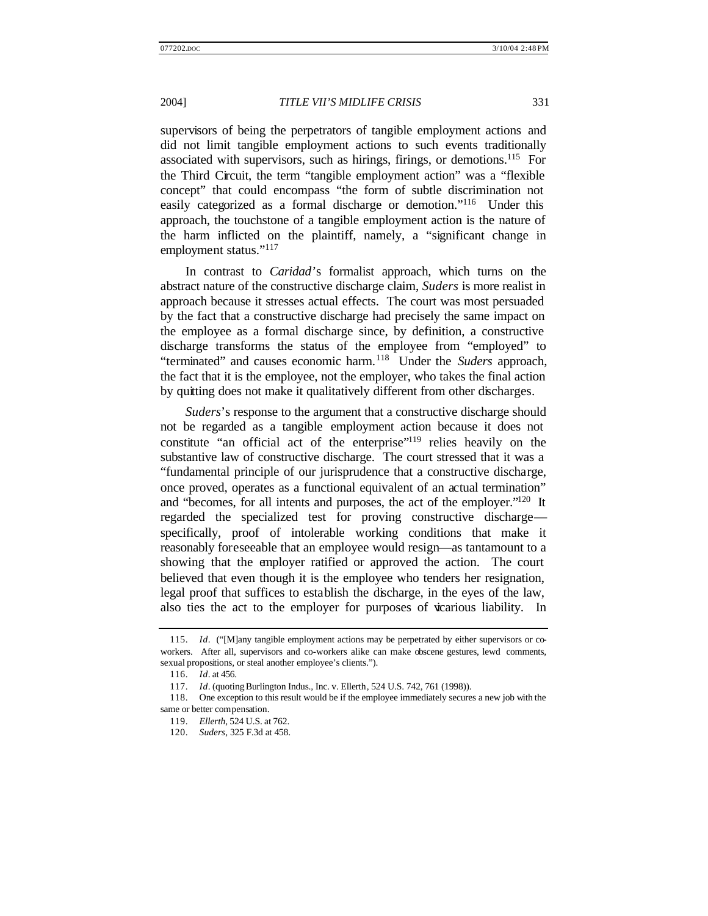supervisors of being the perpetrators of tangible employment actions and did not limit tangible employment actions to such events traditionally associated with supervisors, such as hirings, firings, or demotions.<sup>115</sup> For the Third Circuit, the term "tangible employment action" was a "flexible concept" that could encompass "the form of subtle discrimination not easily categorized as a formal discharge or demotion."<sup>116</sup> Under this approach, the touchstone of a tangible employment action is the nature of the harm inflicted on the plaintiff, namely, a "significant change in employment status."<sup>117</sup>

In contrast to *Caridad*'s formalist approach, which turns on the abstract nature of the constructive discharge claim, *Suders* is more realist in approach because it stresses actual effects. The court was most persuaded by the fact that a constructive discharge had precisely the same impact on the employee as a formal discharge since, by definition, a constructive discharge transforms the status of the employee from "employed" to "terminated" and causes economic harm.<sup>118</sup> Under the *Suders* approach, the fact that it is the employee, not the employer, who takes the final action by quitting does not make it qualitatively different from other discharges.

*Suders*'s response to the argument that a constructive discharge should not be regarded as a tangible employment action because it does not constitute "an official act of the enterprise"<sup>119</sup> relies heavily on the substantive law of constructive discharge. The court stressed that it was a "fundamental principle of our jurisprudence that a constructive discharge, once proved, operates as a functional equivalent of an actual termination" and "becomes, for all intents and purposes, the act of the employer."<sup>120</sup> It regarded the specialized test for proving constructive discharge specifically, proof of intolerable working conditions that make it reasonably foreseeable that an employee would resign—as tantamount to a showing that the employer ratified or approved the action. The court believed that even though it is the employee who tenders her resignation, legal proof that suffices to establish the discharge, in the eyes of the law, also ties the act to the employer for purposes of vicarious liability. In

<sup>115.</sup> *Id*. ("[M]any tangible employment actions may be perpetrated by either supervisors or coworkers. After all, supervisors and co-workers alike can make obscene gestures, lewd comments, sexual propositions, or steal another employee's clients.").

<sup>116.</sup> *Id*. at 456.

<sup>117.</sup> *Id*. (quoting Burlington Indus., Inc. v. Ellerth, 524 U.S. 742, 761 (1998)).

<sup>118.</sup> One exception to this result would be if the employee immediately secures a new job with the same or better compensation.

<sup>119.</sup> *Ellerth*, 524 U.S. at 762.

<sup>120.</sup> *Suders*, 325 F.3d at 458.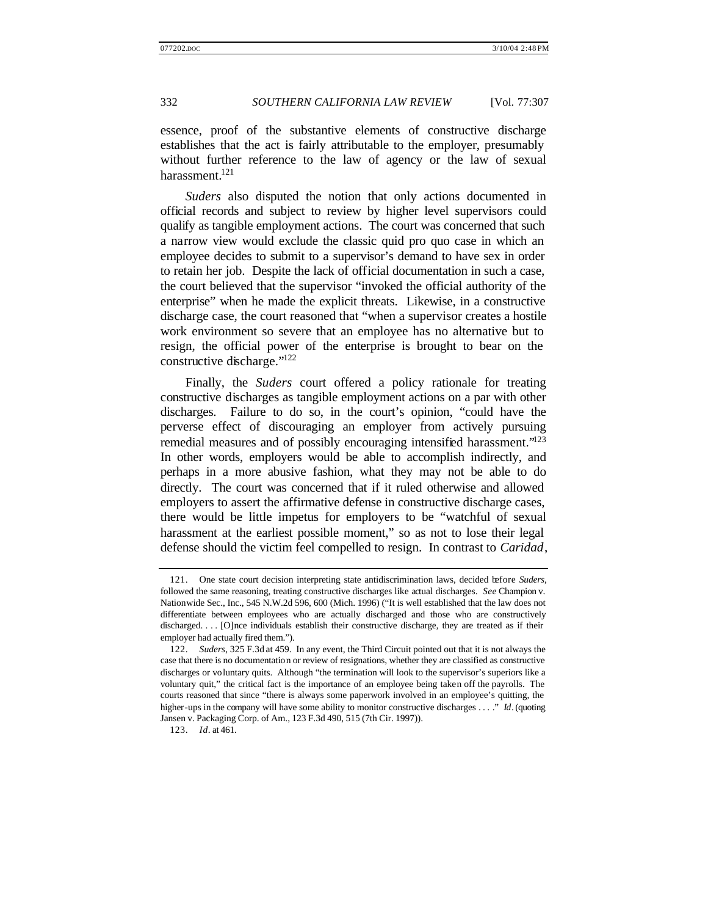essence, proof of the substantive elements of constructive discharge establishes that the act is fairly attributable to the employer, presumably without further reference to the law of agency or the law of sexual harassment.<sup>121</sup>

*Suders* also disputed the notion that only actions documented in official records and subject to review by higher level supervisors could qualify as tangible employment actions. The court was concerned that such a narrow view would exclude the classic quid pro quo case in which an employee decides to submit to a supervisor's demand to have sex in order to retain her job. Despite the lack of official documentation in such a case, the court believed that the supervisor "invoked the official authority of the enterprise" when he made the explicit threats. Likewise, in a constructive discharge case, the court reasoned that "when a supervisor creates a hostile work environment so severe that an employee has no alternative but to resign, the official power of the enterprise is brought to bear on the constructive discharge."<sup>122</sup>

Finally, the *Suders* court offered a policy rationale for treating constructive discharges as tangible employment actions on a par with other discharges. Failure to do so, in the court's opinion, "could have the perverse effect of discouraging an employer from actively pursuing remedial measures and of possibly encouraging intensified harassment."<sup>123</sup> In other words, employers would be able to accomplish indirectly, and perhaps in a more abusive fashion, what they may not be able to do directly. The court was concerned that if it ruled otherwise and allowed employers to assert the affirmative defense in constructive discharge cases, there would be little impetus for employers to be "watchful of sexual harassment at the earliest possible moment," so as not to lose their legal defense should the victim feel compelled to resign. In contrast to *Caridad*,

<sup>121.</sup> One state court decision interpreting state antidiscrimination laws, decided before *Suders*, followed the same reasoning, treating constructive discharges like actual discharges. *See* Champion v. Nationwide Sec., Inc., 545 N.W.2d 596, 600 (Mich. 1996) ("It is well established that the law does not differentiate between employees who are actually discharged and those who are constructively discharged. . . . [O]nce individuals establish their constructive discharge, they are treated as if their employer had actually fired them.").

<sup>122.</sup> *Suders*, 325 F.3d at 459. In any event, the Third Circuit pointed out that it is not always the case that there is no documentation or review of resignations, whether they are classified as constructive discharges or voluntary quits. Although "the termination will look to the supervisor's superiors like a voluntary quit," the critical fact is the importance of an employee being taken off the payrolls. The courts reasoned that since "there is always some paperwork involved in an employee's quitting, the higher-ups in the company will have some ability to monitor constructive discharges . . . ." *Id*. (quoting Jansen v. Packaging Corp. of Am., 123 F.3d 490, 515 (7th Cir. 1997)).

<sup>123.</sup> *Id*. at 461.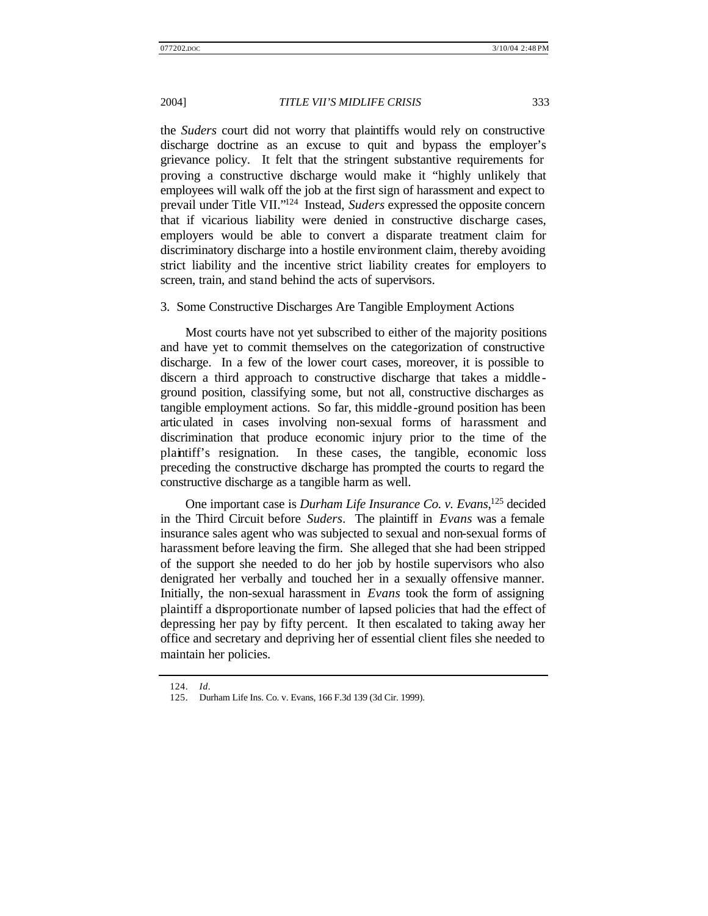the *Suders* court did not worry that plaintiffs would rely on constructive discharge doctrine as an excuse to quit and bypass the employer's grievance policy. It felt that the stringent substantive requirements for proving a constructive discharge would make it "highly unlikely that employees will walk off the job at the first sign of harassment and expect to prevail under Title VII."<sup>124</sup> Instead, *Suders* expressed the opposite concern that if vicarious liability were denied in constructive discharge cases, employers would be able to convert a disparate treatment claim for discriminatory discharge into a hostile environment claim, thereby avoiding strict liability and the incentive strict liability creates for employers to screen, train, and stand behind the acts of supervisors.

#### 3. Some Constructive Discharges Are Tangible Employment Actions

Most courts have not yet subscribed to either of the majority positions and have yet to commit themselves on the categorization of constructive discharge. In a few of the lower court cases, moreover, it is possible to discern a third approach to constructive discharge that takes a middle ground position, classifying some, but not all, constructive discharges as tangible employment actions. So far, this middle -ground position has been articulated in cases involving non-sexual forms of harassment and discrimination that produce economic injury prior to the time of the plaintiff's resignation. In these cases, the tangible, economic loss preceding the constructive discharge has prompted the courts to regard the constructive discharge as a tangible harm as well.

One important case is *Durham Life Insurance Co. v. Evans*, <sup>125</sup> decided in the Third Circuit before *Suders*. The plaintiff in *Evans* was a female insurance sales agent who was subjected to sexual and non-sexual forms of harassment before leaving the firm. She alleged that she had been stripped of the support she needed to do her job by hostile supervisors who also denigrated her verbally and touched her in a sexually offensive manner. Initially, the non-sexual harassment in *Evans* took the form of assigning plaintiff a disproportionate number of lapsed policies that had the effect of depressing her pay by fifty percent. It then escalated to taking away her office and secretary and depriving her of essential client files she needed to maintain her policies.

<sup>124.</sup> *Id*.

<sup>125.</sup> Durham Life Ins. Co. v. Evans, 166 F.3d 139 (3d Cir. 1999).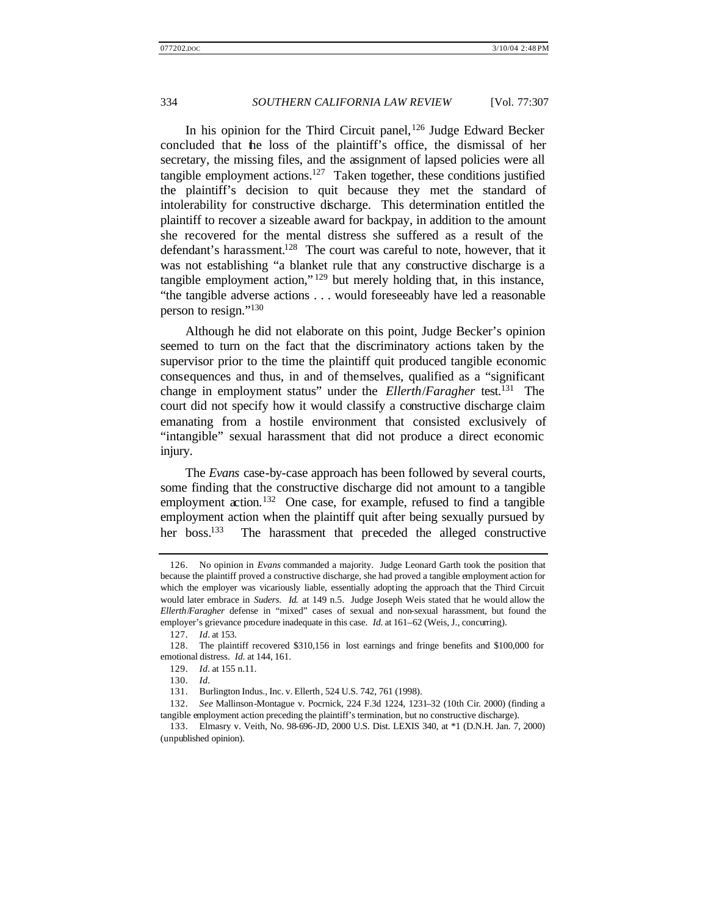In his opinion for the Third Circuit panel,<sup>126</sup> Judge Edward Becker concluded that the loss of the plaintiff's office, the dismissal of her secretary, the missing files, and the assignment of lapsed policies were all tangible employment actions.<sup>127</sup> Taken together, these conditions justified the plaintiff's decision to quit because they met the standard of intolerability for constructive discharge. This determination entitled the plaintiff to recover a sizeable award for backpay, in addition to the amount she recovered for the mental distress she suffered as a result of the defendant's harassment.<sup>128</sup> The court was careful to note, however, that it was not establishing "a blanket rule that any constructive discharge is a tangible employment action," <sup>129</sup> but merely holding that, in this instance, "the tangible adverse actions . . . would foreseeably have led a reasonable person to resign."<sup>130</sup>

Although he did not elaborate on this point, Judge Becker's opinion seemed to turn on the fact that the discriminatory actions taken by the supervisor prior to the time the plaintiff quit produced tangible economic consequences and thus, in and of themselves, qualified as a "significant change in employment status" under the *Ellerth*/*Faragher* test.<sup>131</sup> The court did not specify how it would classify a constructive discharge claim emanating from a hostile environment that consisted exclusively of "intangible" sexual harassment that did not produce a direct economic injury.

The *Evans* case-by-case approach has been followed by several courts, some finding that the constructive discharge did not amount to a tangible employment action.<sup>132</sup> One case, for example, refused to find a tangible employment action when the plaintiff quit after being sexually pursued by her boss.<sup>133</sup> The harassment that preceded the alleged constructive

<sup>126.</sup> No opinion in *Evans* commanded a majority. Judge Leonard Garth took the position that because the plaintiff proved a constructive discharge, she had proved a tangible employment action for which the employer was vicariously liable, essentially adopting the approach that the Third Circuit would later embrace in *Suders*. *Id.* at 149 n.5. Judge Joseph Weis stated that he would allow the *Ellerth*/*Faragher* defense in "mixed" cases of sexual and non-sexual harassment, but found the employer's grievance procedure inadequate in this case. *Id.* at 161-62 (Weis, J., concurring).

<sup>127.</sup> *Id.* at 153.

<sup>128.</sup> The plaintiff recovered \$310,156 in lost earnings and fringe benefits and \$100,000 for emotional distress. *Id.* at 144, 161.

<sup>129.</sup> *Id.* at 155 n.11.

<sup>130.</sup> *Id.*

<sup>131.</sup> Burlington Indus., Inc. v. Ellerth, 524 U.S. 742, 761 (1998).

<sup>132.</sup> *See* Mallinson-Montague v. Pocrnick, 224 F.3d 1224, 1231–32 (10th Cir. 2000) (finding a tangible employment action preceding the plaintiff's termination, but no constructive discharge).

<sup>133.</sup> Elmasry v. Veith, No. 98-696-JD, 2000 U.S. Dist. LEXIS 340, at \*1 (D.N.H. Jan. 7, 2000) (unpublished opinion).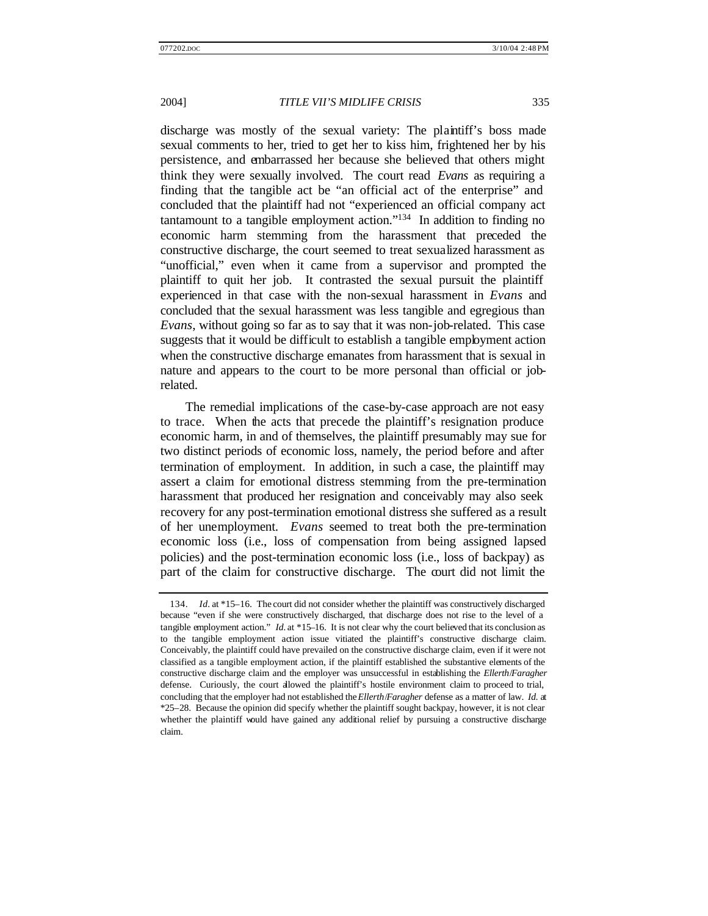discharge was mostly of the sexual variety: The plaintiff's boss made sexual comments to her, tried to get her to kiss him, frightened her by his persistence, and embarrassed her because she believed that others might think they were sexually involved. The court read *Evans* as requiring a finding that the tangible act be "an official act of the enterprise" and concluded that the plaintiff had not "experienced an official company act tantamount to a tangible employment action."<sup>134</sup> In addition to finding no economic harm stemming from the harassment that preceded the constructive discharge, the court seemed to treat sexualized harassment as "unofficial," even when it came from a supervisor and prompted the plaintiff to quit her job. It contrasted the sexual pursuit the plaintiff experienced in that case with the non-sexual harassment in *Evans* and concluded that the sexual harassment was less tangible and egregious than *Evans*, without going so far as to say that it was non-job-related. This case suggests that it would be difficult to establish a tangible employment action when the constructive discharge emanates from harassment that is sexual in nature and appears to the court to be more personal than official or jobrelated.

The remedial implications of the case-by-case approach are not easy to trace. When the acts that precede the plaintiff's resignation produce economic harm, in and of themselves, the plaintiff presumably may sue for two distinct periods of economic loss, namely, the period before and after termination of employment. In addition, in such a case, the plaintiff may assert a claim for emotional distress stemming from the pre-termination harassment that produced her resignation and conceivably may also seek recovery for any post-termination emotional distress she suffered as a result of her unemployment. *Evans* seemed to treat both the pre-termination economic loss (i.e., loss of compensation from being assigned lapsed policies) and the post-termination economic loss (i.e., loss of backpay) as part of the claim for constructive discharge. The court did not limit the

<sup>134.</sup> *Id.* at \*15–16. The court did not consider whether the plaintiff was constructively discharged because "even if she were constructively discharged, that discharge does not rise to the level of a tangible employment action." *Id.* at \*15–16. It is not clear why the court believed that its conclusion as to the tangible employment action issue vitiated the plaintiff's constructive discharge claim. Conceivably, the plaintiff could have prevailed on the constructive discharge claim, even if it were not classified as a tangible employment action, if the plaintiff established the substantive elements of the constructive discharge claim and the employer was unsuccessful in establishing the *Ellerth*/*Faragher* defense. Curiously, the court allowed the plaintiff's hostile environment claim to proceed to trial, concluding that the employer had not established the *Ellerth*/*Faragher* defense as a matter of law. *Id.* at \*25–28. Because the opinion did specify whether the plaintiff sought backpay, however, it is not clear whether the plaintiff would have gained any additional relief by pursuing a constructive discharge claim.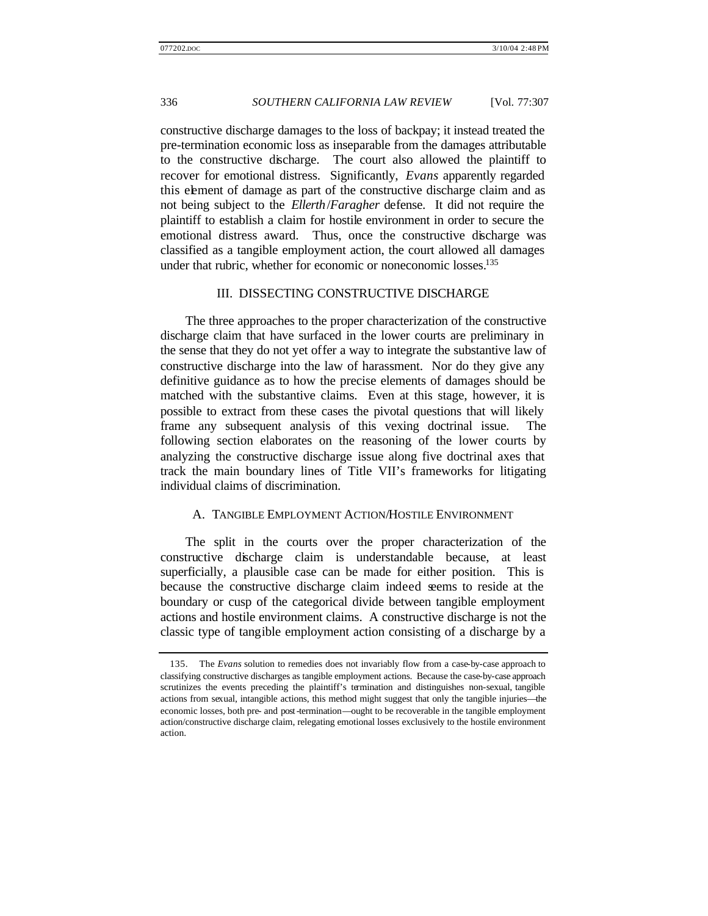constructive discharge damages to the loss of backpay; it instead treated the pre-termination economic loss as inseparable from the damages attributable to the constructive discharge. The court also allowed the plaintiff to recover for emotional distress. Significantly, *Evans* apparently regarded this element of damage as part of the constructive discharge claim and as not being subject to the *Ellerth*/*Faragher* defense. It did not require the plaintiff to establish a claim for hostile environment in order to secure the emotional distress award. Thus, once the constructive discharge was classified as a tangible employment action, the court allowed all damages under that rubric, whether for economic or noneconomic losses.<sup>135</sup>

# III. DISSECTING CONSTRUCTIVE DISCHARGE

The three approaches to the proper characterization of the constructive discharge claim that have surfaced in the lower courts are preliminary in the sense that they do not yet offer a way to integrate the substantive law of constructive discharge into the law of harassment. Nor do they give any definitive guidance as to how the precise elements of damages should be matched with the substantive claims. Even at this stage, however, it is possible to extract from these cases the pivotal questions that will likely frame any subsequent analysis of this vexing doctrinal issue. The following section elaborates on the reasoning of the lower courts by analyzing the constructive discharge issue along five doctrinal axes that track the main boundary lines of Title VII's frameworks for litigating individual claims of discrimination.

#### A. TANGIBLE EMPLOYMENT ACTION/HOSTILE ENVIRONMENT

The split in the courts over the proper characterization of the constructive discharge claim is understandable because, at least superficially, a plausible case can be made for either position. This is because the constructive discharge claim indeed seems to reside at the boundary or cusp of the categorical divide between tangible employment actions and hostile environment claims. A constructive discharge is not the classic type of tangible employment action consisting of a discharge by a

<sup>135.</sup> The *Evans* solution to remedies does not invariably flow from a case-by-case approach to classifying constructive discharges as tangible employment actions. Because the case-by-case approach scrutinizes the events preceding the plaintiff's termination and distinguishes non-sexual, tangible actions from sexual, intangible actions, this method might suggest that only the tangible injuries—the economic losses, both pre- and post-termination—ought to be recoverable in the tangible employment action/constructive discharge claim, relegating emotional losses exclusively to the hostile environment action.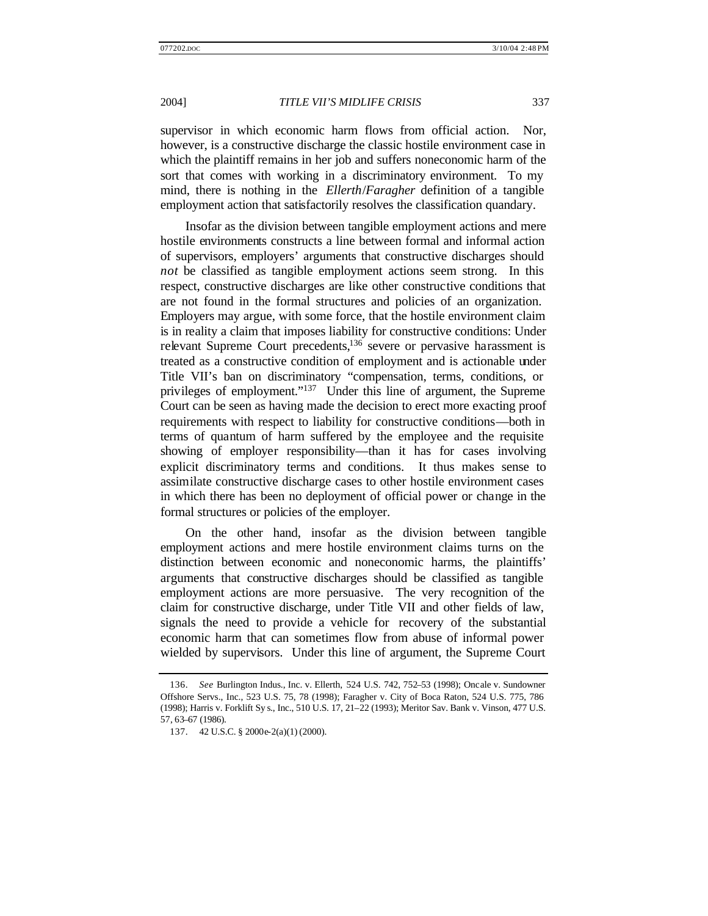supervisor in which economic harm flows from official action. Nor, however, is a constructive discharge the classic hostile environment case in which the plaintiff remains in her job and suffers noneconomic harm of the sort that comes with working in a discriminatory environment. To my mind, there is nothing in the *Ellerth*/*Faragher* definition of a tangible employment action that satisfactorily resolves the classification quandary.

Insofar as the division between tangible employment actions and mere hostile environments constructs a line between formal and informal action of supervisors, employers' arguments that constructive discharges should *not* be classified as tangible employment actions seem strong. In this respect, constructive discharges are like other constructive conditions that are not found in the formal structures and policies of an organization. Employers may argue, with some force, that the hostile environment claim is in reality a claim that imposes liability for constructive conditions: Under relevant Supreme Court precedents,<sup>136</sup> severe or pervasive harassment is treated as a constructive condition of employment and is actionable under Title VII's ban on discriminatory "compensation, terms, conditions, or privileges of employment."<sup>137</sup> Under this line of argument, the Supreme Court can be seen as having made the decision to erect more exacting proof requirements with respect to liability for constructive conditions—both in terms of quantum of harm suffered by the employee and the requisite showing of employer responsibility—than it has for cases involving explicit discriminatory terms and conditions. It thus makes sense to assimilate constructive discharge cases to other hostile environment cases in which there has been no deployment of official power or change in the formal structures or policies of the employer.

On the other hand, insofar as the division between tangible employment actions and mere hostile environment claims turns on the distinction between economic and noneconomic harms, the plaintiffs' arguments that constructive discharges should be classified as tangible employment actions are more persuasive. The very recognition of the claim for constructive discharge, under Title VII and other fields of law, signals the need to provide a vehicle for recovery of the substantial economic harm that can sometimes flow from abuse of informal power wielded by supervisors. Under this line of argument, the Supreme Court

<sup>136.</sup> *See* Burlington Indus., Inc. v. Ellerth, 524 U.S. 742, 752–53 (1998); Oncale v. Sundowner Offshore Servs., Inc., 523 U.S. 75, 78 (1998); Faragher v. City of Boca Raton, 524 U.S. 775, 786 (1998); Harris v. Forklift Sy s., Inc., 510 U.S. 17, 21–22 (1993); Meritor Sav. Bank v. Vinson, 477 U.S. 57, 63–67 (1986).

<sup>137.</sup> 42 U.S.C. § 2000e-2(a)(1) (2000).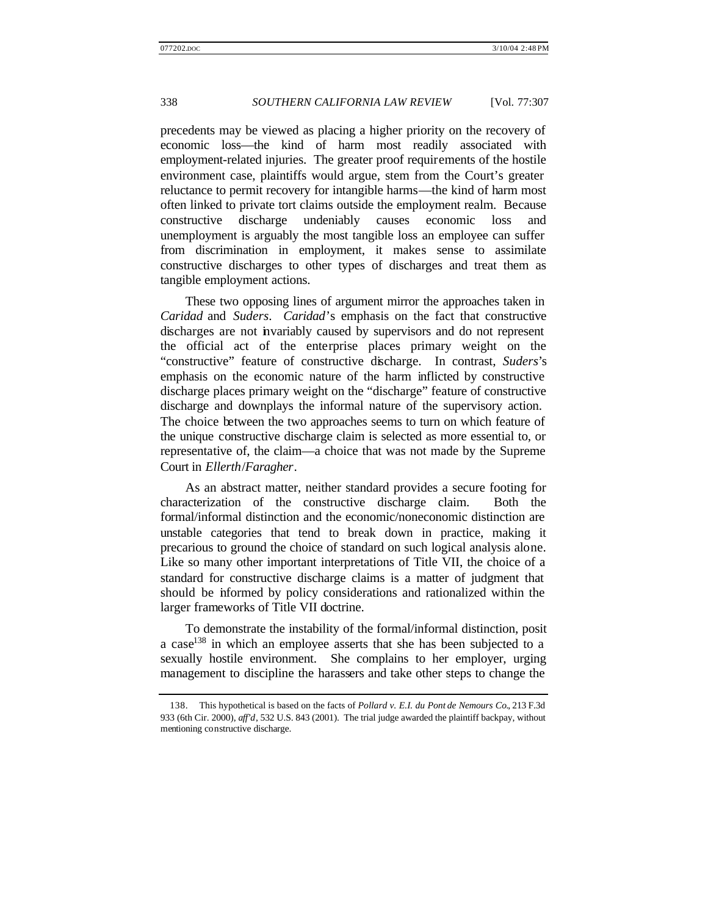precedents may be viewed as placing a higher priority on the recovery of economic loss—the kind of harm most readily associated with employment-related injuries. The greater proof requirements of the hostile environment case, plaintiffs would argue, stem from the Court's greater reluctance to permit recovery for intangible harms—the kind of harm most often linked to private tort claims outside the employment realm. Because constructive discharge undeniably causes economic loss and unemployment is arguably the most tangible loss an employee can suffer from discrimination in employment, it makes sense to assimilate constructive discharges to other types of discharges and treat them as tangible employment actions.

These two opposing lines of argument mirror the approaches taken in *Caridad* and *Suders*. *Caridad*'s emphasis on the fact that constructive discharges are not invariably caused by supervisors and do not represent the official act of the enterprise places primary weight on the "constructive" feature of constructive discharge. In contrast, *Suders*'s emphasis on the economic nature of the harm inflicted by constructive discharge places primary weight on the "discharge" feature of constructive discharge and downplays the informal nature of the supervisory action. The choice between the two approaches seems to turn on which feature of the unique constructive discharge claim is selected as more essential to, or representative of, the claim—a choice that was not made by the Supreme Court in *Ellerth*/*Faragher*.

As an abstract matter, neither standard provides a secure footing for characterization of the constructive discharge claim. Both the formal/informal distinction and the economic/noneconomic distinction are unstable categories that tend to break down in practice, making it precarious to ground the choice of standard on such logical analysis alone. Like so many other important interpretations of Title VII, the choice of a standard for constructive discharge claims is a matter of judgment that should be informed by policy considerations and rationalized within the larger frameworks of Title VII doctrine.

To demonstrate the instability of the formal/informal distinction, posit a case<sup>138</sup> in which an employee asserts that she has been subjected to a sexually hostile environment. She complains to her employer, urging management to discipline the harassers and take other steps to change the

<sup>138.</sup> This hypothetical is based on the facts of *Pollard v. E.I. du Pont de Nemours Co.*, 213 F.3d 933 (6th Cir. 2000), *aff'd*, 532 U.S. 843 (2001). The trial judge awarded the plaintiff backpay, without mentioning constructive discharge.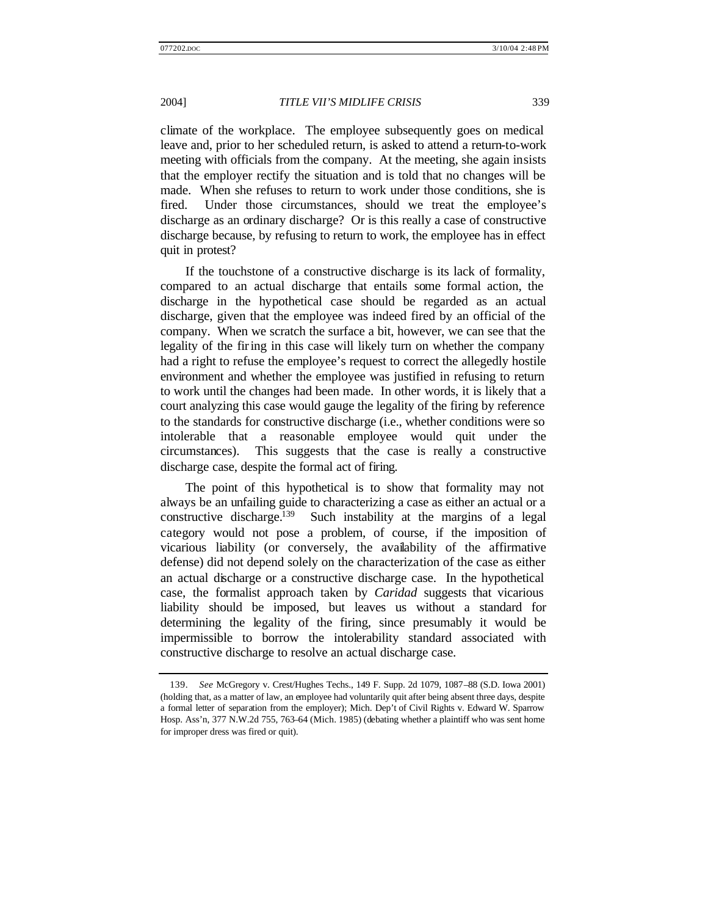climate of the workplace. The employee subsequently goes on medical leave and, prior to her scheduled return, is asked to attend a return-to-work meeting with officials from the company. At the meeting, she again insists that the employer rectify the situation and is told that no changes will be made. When she refuses to return to work under those conditions, she is fired. Under those circumstances, should we treat the employee's discharge as an ordinary discharge? Or is this really a case of constructive discharge because, by refusing to return to work, the employee has in effect quit in protest?

If the touchstone of a constructive discharge is its lack of formality, compared to an actual discharge that entails some formal action, the discharge in the hypothetical case should be regarded as an actual discharge, given that the employee was indeed fired by an official of the company. When we scratch the surface a bit, however, we can see that the legality of the firing in this case will likely turn on whether the company had a right to refuse the employee's request to correct the allegedly hostile environment and whether the employee was justified in refusing to return to work until the changes had been made. In other words, it is likely that a court analyzing this case would gauge the legality of the firing by reference to the standards for constructive discharge (i.e., whether conditions were so intolerable that a reasonable employee would quit under the circumstances). This suggests that the case is really a constructive discharge case, despite the formal act of firing.

The point of this hypothetical is to show that formality may not always be an unfailing guide to characterizing a case as either an actual or a constructive discharge.<sup>139</sup> Such instability at the margins of a legal category would not pose a problem, of course, if the imposition of vicarious liability (or conversely, the availability of the affirmative defense) did not depend solely on the characterization of the case as either an actual discharge or a constructive discharge case. In the hypothetical case, the formalist approach taken by *Caridad* suggests that vicarious liability should be imposed, but leaves us without a standard for determining the legality of the firing, since presumably it would be impermissible to borrow the intolerability standard associated with constructive discharge to resolve an actual discharge case.

<sup>139.</sup> *See* McGregory v. Crest/Hughes Techs., 149 F. Supp. 2d 1079, 1087–88 (S.D. Iowa 2001) (holding that, as a matter of law, an employee had voluntarily quit after being absent three days, despite a formal letter of separation from the employer); Mich. Dep't of Civil Rights v. Edward W. Sparrow Hosp. Ass'n, 377 N.W.2d 755, 763–64 (Mich. 1985) (debating whether a plaintiff who was sent home for improper dress was fired or quit).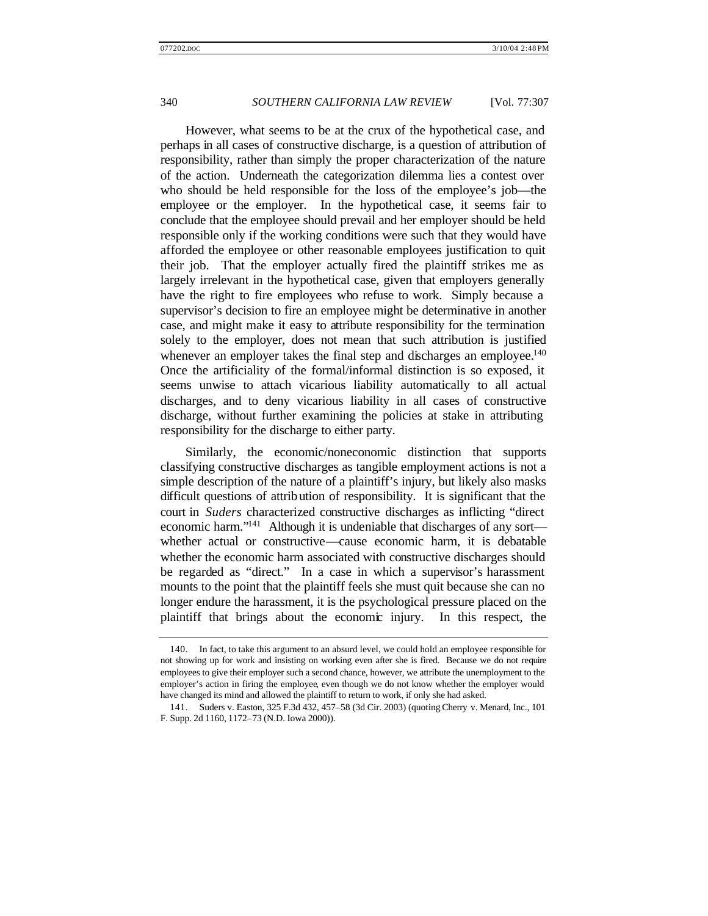However, what seems to be at the crux of the hypothetical case, and perhaps in all cases of constructive discharge, is a question of attribution of responsibility, rather than simply the proper characterization of the nature of the action. Underneath the categorization dilemma lies a contest over who should be held responsible for the loss of the employee's job—the employee or the employer. In the hypothetical case, it seems fair to conclude that the employee should prevail and her employer should be held responsible only if the working conditions were such that they would have afforded the employee or other reasonable employees justification to quit their job. That the employer actually fired the plaintiff strikes me as largely irrelevant in the hypothetical case, given that employers generally have the right to fire employees who refuse to work. Simply because a supervisor's decision to fire an employee might be determinative in another case, and might make it easy to attribute responsibility for the termination solely to the employer, does not mean that such attribution is justified whenever an employer takes the final step and discharges an employee.<sup>140</sup> Once the artificiality of the formal/informal distinction is so exposed, it seems unwise to attach vicarious liability automatically to all actual discharges, and to deny vicarious liability in all cases of constructive discharge, without further examining the policies at stake in attributing responsibility for the discharge to either party.

Similarly, the economic/noneconomic distinction that supports classifying constructive discharges as tangible employment actions is not a simple description of the nature of a plaintiff's injury, but likely also masks difficult questions of attribution of responsibility. It is significant that the court in *Suders* characterized constructive discharges as inflicting "direct economic harm."<sup>141</sup> Although it is undeniable that discharges of any sort whether actual or constructive—cause economic harm, it is debatable whether the economic harm associated with constructive discharges should be regarded as "direct." In a case in which a supervisor's harassment mounts to the point that the plaintiff feels she must quit because she can no longer endure the harassment, it is the psychological pressure placed on the plaintiff that brings about the economic injury. In this respect, the

<sup>140.</sup> In fact, to take this argument to an absurd level, we could hold an employee responsible for not showing up for work and insisting on working even after she is fired. Because we do not require employees to give their employer such a second chance, however, we attribute the unemployment to the employer's action in firing the employee, even though we do not know whether the employer would have changed its mind and allowed the plaintiff to return to work, if only she had asked.

<sup>141.</sup> Suders v. Easton, 325 F.3d 432, 457–58 (3d Cir. 2003) (quoting Cherry v. Menard, Inc., 101 F. Supp. 2d 1160, 1172–73 (N.D. Iowa 2000)).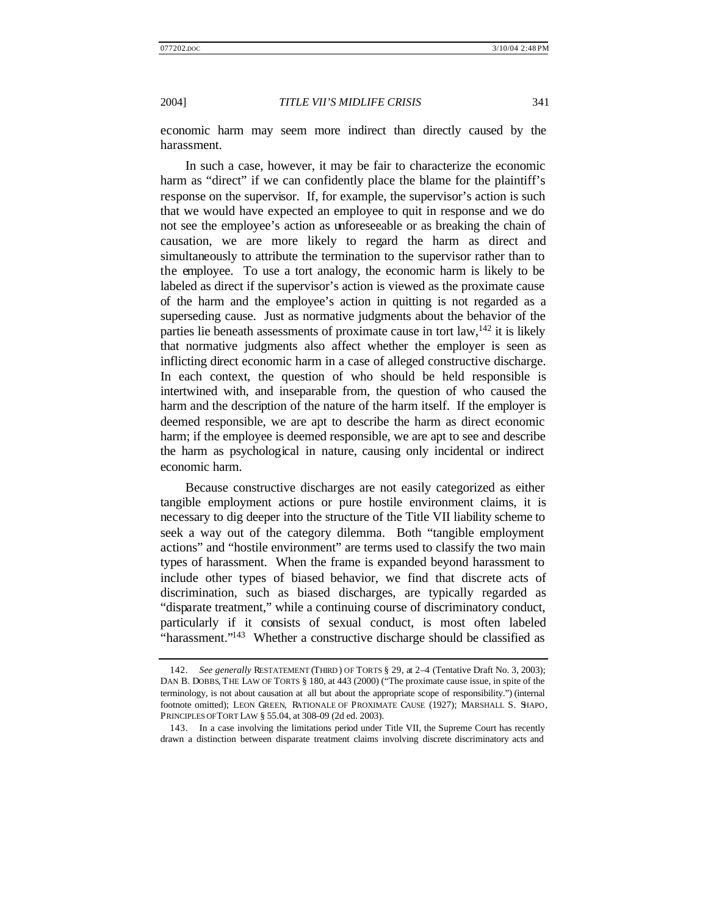economic harm may seem more indirect than directly caused by the harassment.

In such a case, however, it may be fair to characterize the economic harm as "direct" if we can confidently place the blame for the plaintiff's response on the supervisor. If, for example, the supervisor's action is such that we would have expected an employee to quit in response and we do not see the employee's action as unforeseeable or as breaking the chain of causation, we are more likely to regard the harm as direct and simultaneously to attribute the termination to the supervisor rather than to the employee. To use a tort analogy, the economic harm is likely to be labeled as direct if the supervisor's action is viewed as the proximate cause of the harm and the employee's action in quitting is not regarded as a superseding cause. Just as normative judgments about the behavior of the parties lie beneath assessments of proximate cause in tort law,  $142$  it is likely that normative judgments also affect whether the employer is seen as inflicting direct economic harm in a case of alleged constructive discharge. In each context, the question of who should be held responsible is intertwined with, and inseparable from, the question of who caused the harm and the description of the nature of the harm itself. If the employer is deemed responsible, we are apt to describe the harm as direct economic harm; if the employee is deemed responsible, we are apt to see and describe the harm as psychological in nature, causing only incidental or indirect economic harm.

Because constructive discharges are not easily categorized as either tangible employment actions or pure hostile environment claims, it is necessary to dig deeper into the structure of the Title VII liability scheme to seek a way out of the category dilemma. Both "tangible employment actions" and "hostile environment" are terms used to classify the two main types of harassment. When the frame is expanded beyond harassment to include other types of biased behavior, we find that discrete acts of discrimination, such as biased discharges, are typically regarded as "disparate treatment," while a continuing course of discriminatory conduct, particularly if it consists of sexual conduct, is most often labeled "harassment."<sup>143</sup> Whether a constructive discharge should be classified as

<sup>142.</sup> *See generally* RESTATEMENT (THIRD ) OF TORTS § 29, at 2–4 (Tentative Draft No. 3, 2003); DAN B. DOBBS, THE LAW OF TORTS § 180, at 443 (2000) ("The proximate cause issue, in spite of the terminology, is not about causation at all but about the appropriate scope of responsibility.") (internal footnote omitted); LEON GREEN, RATIONALE OF PROXIMATE CAUSE (1927); MARSHALL S. SHAPO, PRINCIPLES OF TORT LAW § 55.04, at 308–09 (2d ed. 2003).

<sup>143.</sup> In a case involving the limitations period under Title VII, the Supreme Court has recently drawn a distinction between disparate treatment claims involving discrete discriminatory acts and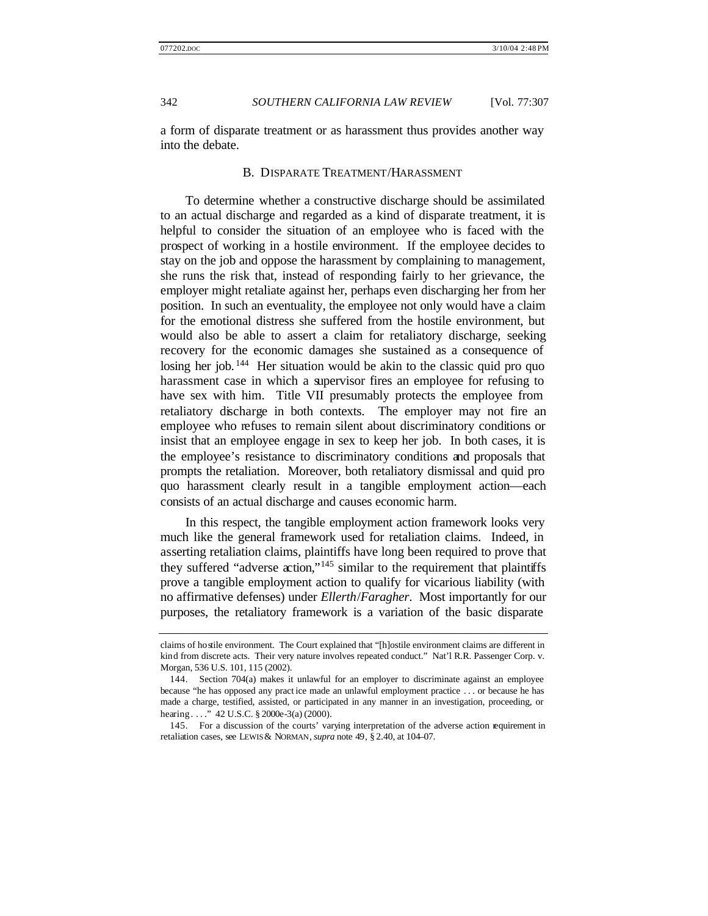a form of disparate treatment or as harassment thus provides another way into the debate.

#### B. DISPARATE TREATMENT/HARASSMENT

To determine whether a constructive discharge should be assimilated to an actual discharge and regarded as a kind of disparate treatment, it is helpful to consider the situation of an employee who is faced with the prospect of working in a hostile environment. If the employee decides to stay on the job and oppose the harassment by complaining to management, she runs the risk that, instead of responding fairly to her grievance, the employer might retaliate against her, perhaps even discharging her from her position. In such an eventuality, the employee not only would have a claim for the emotional distress she suffered from the hostile environment, but would also be able to assert a claim for retaliatory discharge, seeking recovery for the economic damages she sustained as a consequence of losing her job. <sup>144</sup> Her situation would be akin to the classic quid pro quo harassment case in which a supervisor fires an employee for refusing to have sex with him. Title VII presumably protects the employee from retaliatory discharge in both contexts. The employer may not fire an employee who refuses to remain silent about discriminatory conditions or insist that an employee engage in sex to keep her job. In both cases, it is the employee's resistance to discriminatory conditions and proposals that prompts the retaliation. Moreover, both retaliatory dismissal and quid pro quo harassment clearly result in a tangible employment action—each consists of an actual discharge and causes economic harm.

In this respect, the tangible employment action framework looks very much like the general framework used for retaliation claims. Indeed, in asserting retaliation claims, plaintiffs have long been required to prove that they suffered "adverse action,"<sup>145</sup> similar to the requirement that plaintiffs prove a tangible employment action to qualify for vicarious liability (with no affirmative defenses) under *Ellerth*/*Faragher*. Most importantly for our purposes, the retaliatory framework is a variation of the basic disparate

claims of hostile environment. The Court explained that "[h]ostile environment claims are different in kind from discrete acts. Their very nature involves repeated conduct." Nat'l R.R. Passenger Corp. v. Morgan, 536 U.S. 101, 115 (2002).

<sup>144.</sup> Section 704(a) makes it unlawful for an employer to discriminate against an employee because "he has opposed any pract ice made an unlawful employment practice . . . or because he has made a charge, testified, assisted, or participated in any manner in an investigation, proceeding, or hearing...." 42 U.S.C. § 2000e-3(a) (2000).

<sup>145.</sup> For a discussion of the courts' varying interpretation of the adverse action requirement in retaliation cases, see LEWIS & NORMAN, *supra* note 49, § 2.40, at 104–07.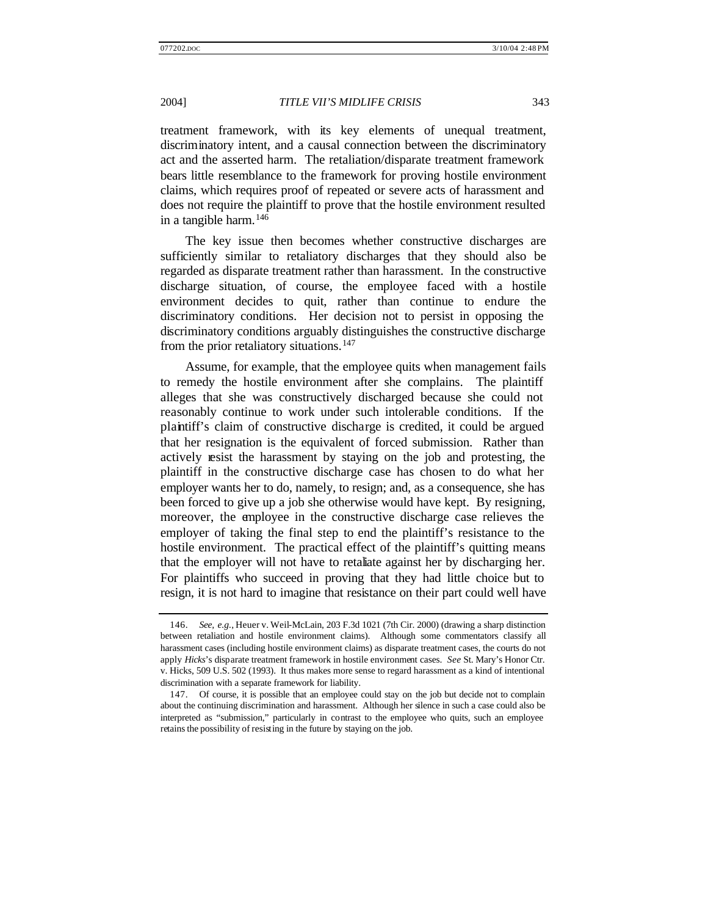treatment framework, with its key elements of unequal treatment, discriminatory intent, and a causal connection between the discriminatory act and the asserted harm. The retaliation/disparate treatment framework bears little resemblance to the framework for proving hostile environment claims, which requires proof of repeated or severe acts of harassment and does not require the plaintiff to prove that the hostile environment resulted in a tangible harm.  $146$ 

The key issue then becomes whether constructive discharges are sufficiently similar to retaliatory discharges that they should also be regarded as disparate treatment rather than harassment. In the constructive discharge situation, of course, the employee faced with a hostile environment decides to quit, rather than continue to endure the discriminatory conditions. Her decision not to persist in opposing the discriminatory conditions arguably distinguishes the constructive discharge from the prior retaliatory situations.<sup>147</sup>

Assume, for example, that the employee quits when management fails to remedy the hostile environment after she complains. The plaintiff alleges that she was constructively discharged because she could not reasonably continue to work under such intolerable conditions. If the plaintiff's claim of constructive discharge is credited, it could be argued that her resignation is the equivalent of forced submission. Rather than actively resist the harassment by staying on the job and protesting, the plaintiff in the constructive discharge case has chosen to do what her employer wants her to do, namely, to resign; and, as a consequence, she has been forced to give up a job she otherwise would have kept. By resigning, moreover, the employee in the constructive discharge case relieves the employer of taking the final step to end the plaintiff's resistance to the hostile environment. The practical effect of the plaintiff's quitting means that the employer will not have to retaliate against her by discharging her. For plaintiffs who succeed in proving that they had little choice but to resign, it is not hard to imagine that resistance on their part could well have

<sup>146.</sup> *See, e.g.*, Heuer v. Weil-McLain, 203 F.3d 1021 (7th Cir. 2000) (drawing a sharp distinction between retaliation and hostile environment claims). Although some commentators classify all harassment cases (including hostile environment claims) as disparate treatment cases, the courts do not apply *Hicks*'s disparate treatment framework in hostile environment cases. *See* St. Mary's Honor Ctr. v. Hicks, 509 U.S. 502 (1993). It thus makes more sense to regard harassment as a kind of intentional discrimination with a separate framework for liability.

<sup>147.</sup> Of course, it is possible that an employee could stay on the job but decide not to complain about the continuing discrimination and harassment. Although her silence in such a case could also be interpreted as "submission," particularly in contrast to the employee who quits, such an employee retains the possibility of resisting in the future by staying on the job.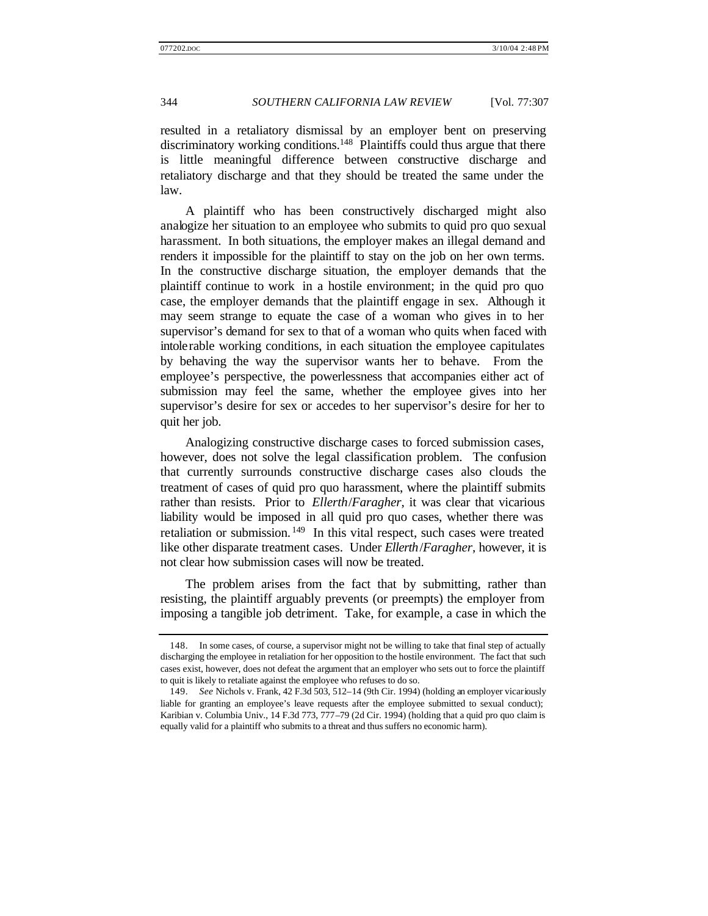resulted in a retaliatory dismissal by an employer bent on preserving discriminatory working conditions.<sup>148</sup> Plaintiffs could thus argue that there is little meaningful difference between constructive discharge and retaliatory discharge and that they should be treated the same under the law.

A plaintiff who has been constructively discharged might also analogize her situation to an employee who submits to quid pro quo sexual harassment. In both situations, the employer makes an illegal demand and renders it impossible for the plaintiff to stay on the job on her own terms. In the constructive discharge situation, the employer demands that the plaintiff continue to work in a hostile environment; in the quid pro quo case, the employer demands that the plaintiff engage in sex. Although it may seem strange to equate the case of a woman who gives in to her supervisor's demand for sex to that of a woman who quits when faced with intolerable working conditions, in each situation the employee capitulates by behaving the way the supervisor wants her to behave. From the employee's perspective, the powerlessness that accompanies either act of submission may feel the same, whether the employee gives into her supervisor's desire for sex or accedes to her supervisor's desire for her to quit her job.

Analogizing constructive discharge cases to forced submission cases, however, does not solve the legal classification problem. The confusion that currently surrounds constructive discharge cases also clouds the treatment of cases of quid pro quo harassment, where the plaintiff submits rather than resists. Prior to *Ellerth*/*Faragher*, it was clear that vicarious liability would be imposed in all quid pro quo cases, whether there was retaliation or submission.<sup>149</sup> In this vital respect, such cases were treated like other disparate treatment cases. Under *Ellerth*/*Faragher*, however, it is not clear how submission cases will now be treated.

The problem arises from the fact that by submitting, rather than resisting, the plaintiff arguably prevents (or preempts) the employer from imposing a tangible job detriment. Take, for example, a case in which the

<sup>148.</sup> In some cases, of course, a supervisor might not be willing to take that final step of actually discharging the employee in retaliation for her opposition to the hostile environment. The fact that such cases exist, however, does not defeat the argument that an employer who sets out to force the plaintiff to quit is likely to retaliate against the employee who refuses to do so.

<sup>149.</sup> *See* Nichols v. Frank, 42 F.3d 503, 512–14 (9th Cir. 1994) (holding an employer vicariously liable for granting an employee's leave requests after the employee submitted to sexual conduct); Karibian v. Columbia Univ., 14 F.3d 773, 777–79 (2d Cir. 1994) (holding that a quid pro quo claim is equally valid for a plaintiff who submits to a threat and thus suffers no economic harm).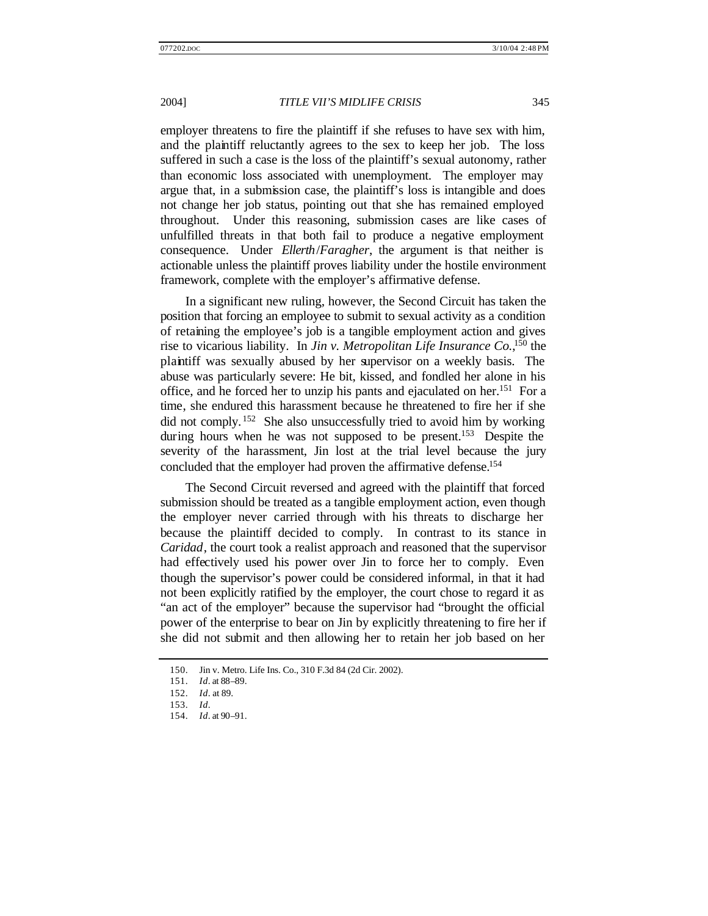employer threatens to fire the plaintiff if she refuses to have sex with him, and the plaintiff reluctantly agrees to the sex to keep her job. The loss suffered in such a case is the loss of the plaintiff's sexual autonomy, rather than economic loss associated with unemployment. The employer may argue that, in a submission case, the plaintiff's loss is intangible and does not change her job status, pointing out that she has remained employed throughout. Under this reasoning, submission cases are like cases of unfulfilled threats in that both fail to produce a negative employment consequence. Under *Ellerth*/*Faragher*, the argument is that neither is actionable unless the plaintiff proves liability under the hostile environment framework, complete with the employer's affirmative defense.

In a significant new ruling, however, the Second Circuit has taken the position that forcing an employee to submit to sexual activity as a condition of retaining the employee's job is a tangible employment action and gives rise to vicarious liability. In *Jin v. Metropolitan Life Insurance Co.*, <sup>150</sup> the plaintiff was sexually abused by her supervisor on a weekly basis. The abuse was particularly severe: He bit, kissed, and fondled her alone in his office, and he forced her to unzip his pants and ejaculated on her.<sup>151</sup> For a time, she endured this harassment because he threatened to fire her if she did not comply. <sup>152</sup> She also unsuccessfully tried to avoid him by working during hours when he was not supposed to be present.<sup>153</sup> Despite the severity of the harassment, Jin lost at the trial level because the jury concluded that the employer had proven the affirmative defense.<sup>154</sup>

The Second Circuit reversed and agreed with the plaintiff that forced submission should be treated as a tangible employment action, even though the employer never carried through with his threats to discharge her because the plaintiff decided to comply. In contrast to its stance in *Caridad*, the court took a realist approach and reasoned that the supervisor had effectively used his power over Jin to force her to comply. Even though the supervisor's power could be considered informal, in that it had not been explicitly ratified by the employer, the court chose to regard it as "an act of the employer" because the supervisor had "brought the official power of the enterprise to bear on Jin by explicitly threatening to fire her if she did not submit and then allowing her to retain her job based on her

<sup>150.</sup> Jin v. Metro. Life Ins. Co., 310 F.3d 84 (2d Cir. 2002).

<sup>151.</sup> *Id*. at 88–89.

<sup>152.</sup> *Id*. at 89.

<sup>153.</sup> *Id*.

<sup>154.</sup> *Id*. at 90–91.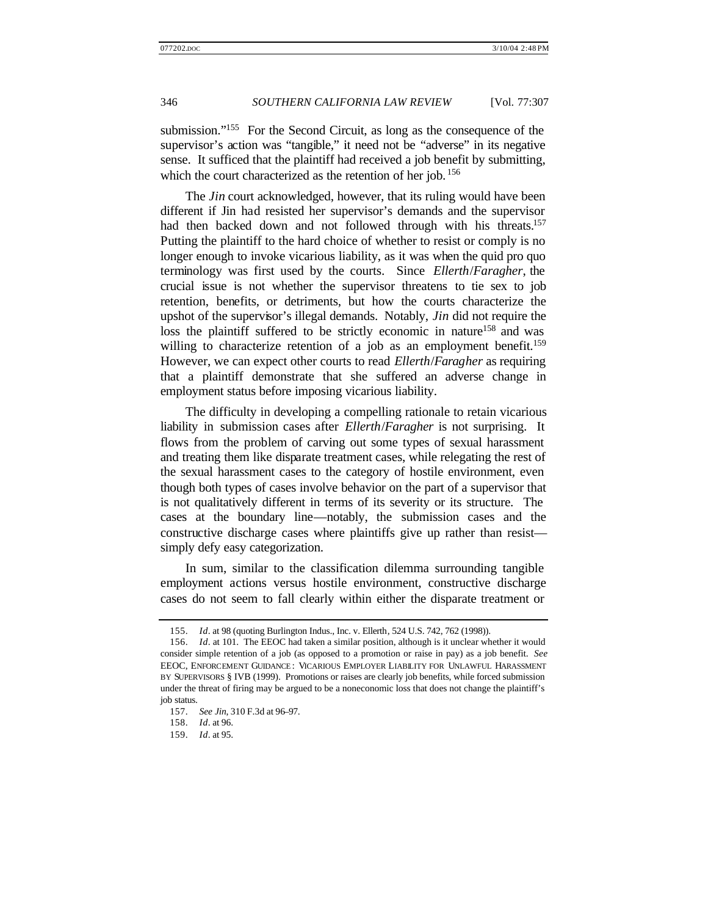submission."<sup>155</sup> For the Second Circuit, as long as the consequence of the supervisor's action was "tangible," it need not be "adverse" in its negative sense. It sufficed that the plaintiff had received a job benefit by submitting, which the court characterized as the retention of her job. <sup>156</sup>

The *Jin* court acknowledged, however, that its ruling would have been different if Jin had resisted her supervisor's demands and the supervisor had then backed down and not followed through with his threats.<sup>157</sup> Putting the plaintiff to the hard choice of whether to resist or comply is no longer enough to invoke vicarious liability, as it was when the quid pro quo terminology was first used by the courts. Since *Ellerth*/*Faragher*, the crucial issue is not whether the supervisor threatens to tie sex to job retention, benefits, or detriments, but how the courts characterize the upshot of the supervisor's illegal demands. Notably, *Jin* did not require the loss the plaintiff suffered to be strictly economic in nature<sup>158</sup> and was willing to characterize retention of a job as an employment benefit.<sup>159</sup> However, we can expect other courts to read *Ellerth*/*Faragher* as requiring that a plaintiff demonstrate that she suffered an adverse change in employment status before imposing vicarious liability.

The difficulty in developing a compelling rationale to retain vicarious liability in submission cases after *Ellerth*/*Faragher* is not surprising. It flows from the problem of carving out some types of sexual harassment and treating them like disparate treatment cases, while relegating the rest of the sexual harassment cases to the category of hostile environment, even though both types of cases involve behavior on the part of a supervisor that is not qualitatively different in terms of its severity or its structure. The cases at the boundary line—notably, the submission cases and the constructive discharge cases where plaintiffs give up rather than resist simply defy easy categorization.

In sum, similar to the classification dilemma surrounding tangible employment actions versus hostile environment, constructive discharge cases do not seem to fall clearly within either the disparate treatment or

<sup>155.</sup> *Id*. at 98 (quoting Burlington Indus., Inc. v. Ellerth, 524 U.S. 742, 762 (1998)).

<sup>156.</sup> *Id*. at 101. The EEOC had taken a similar position, although is it unclear whether it would consider simple retention of a job (as opposed to a promotion or raise in pay) as a job benefit. *See* EEOC, ENFORCEMENT GUIDANCE : VICARIOUS EMPLOYER LIABILITY FOR UNLAWFUL HARASSMENT BY SUPERVISORS § IVB (1999). Promotions or raises are clearly job benefits, while forced submission under the threat of firing may be argued to be a noneconomic loss that does not change the plaintiff's job status.

<sup>157.</sup> *See Jin*, 310 F.3d at 96–97.

<sup>158.</sup> *Id*. at 96.

<sup>159.</sup> *Id*. at 95.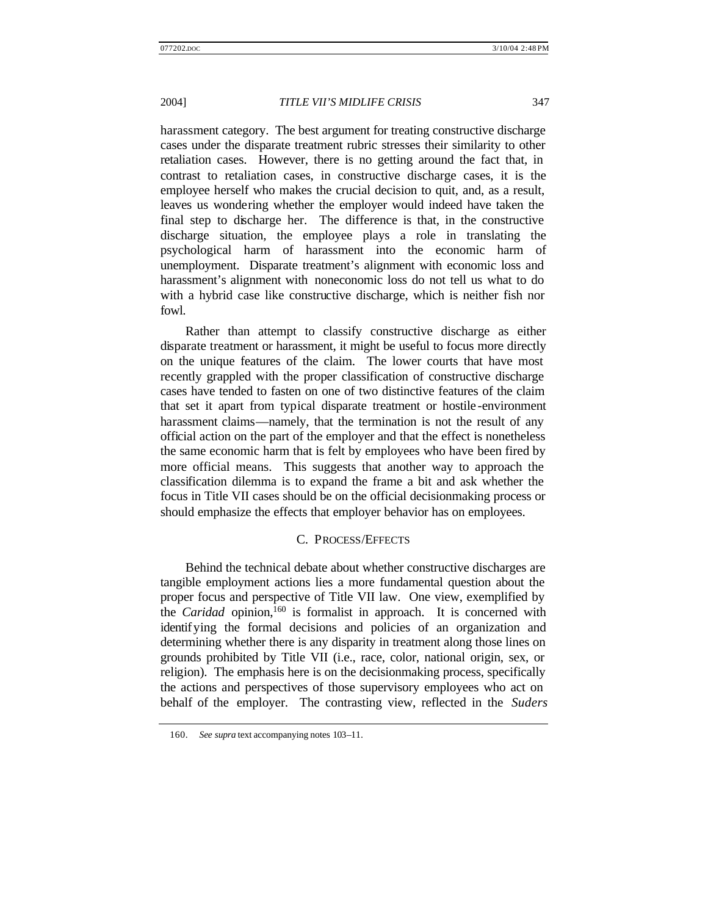harassment category. The best argument for treating constructive discharge cases under the disparate treatment rubric stresses their similarity to other retaliation cases. However, there is no getting around the fact that, in contrast to retaliation cases, in constructive discharge cases, it is the employee herself who makes the crucial decision to quit, and, as a result, leaves us wondering whether the employer would indeed have taken the final step to discharge her. The difference is that, in the constructive discharge situation, the employee plays a role in translating the psychological harm of harassment into the economic harm of unemployment. Disparate treatment's alignment with economic loss and harassment's alignment with noneconomic loss do not tell us what to do with a hybrid case like constructive discharge, which is neither fish nor fowl.

Rather than attempt to classify constructive discharge as either disparate treatment or harassment, it might be useful to focus more directly on the unique features of the claim. The lower courts that have most recently grappled with the proper classification of constructive discharge cases have tended to fasten on one of two distinctive features of the claim that set it apart from typical disparate treatment or hostile -environment harassment claims—namely, that the termination is not the result of any official action on the part of the employer and that the effect is nonetheless the same economic harm that is felt by employees who have been fired by more official means. This suggests that another way to approach the classification dilemma is to expand the frame a bit and ask whether the focus in Title VII cases should be on the official decisionmaking process or should emphasize the effects that employer behavior has on employees.

#### C. PROCESS/EFFECTS

Behind the technical debate about whether constructive discharges are tangible employment actions lies a more fundamental question about the proper focus and perspective of Title VII law. One view, exemplified by the *Caridad* opinion,<sup>160</sup> is formalist in approach. It is concerned with identifying the formal decisions and policies of an organization and determining whether there is any disparity in treatment along those lines on grounds prohibited by Title VII (i.e., race, color, national origin, sex, or religion). The emphasis here is on the decisionmaking process, specifically the actions and perspectives of those supervisory employees who act on behalf of the employer. The contrasting view, reflected in the *Suders*

<sup>160.</sup> *See supra* text accompanying notes 103–11.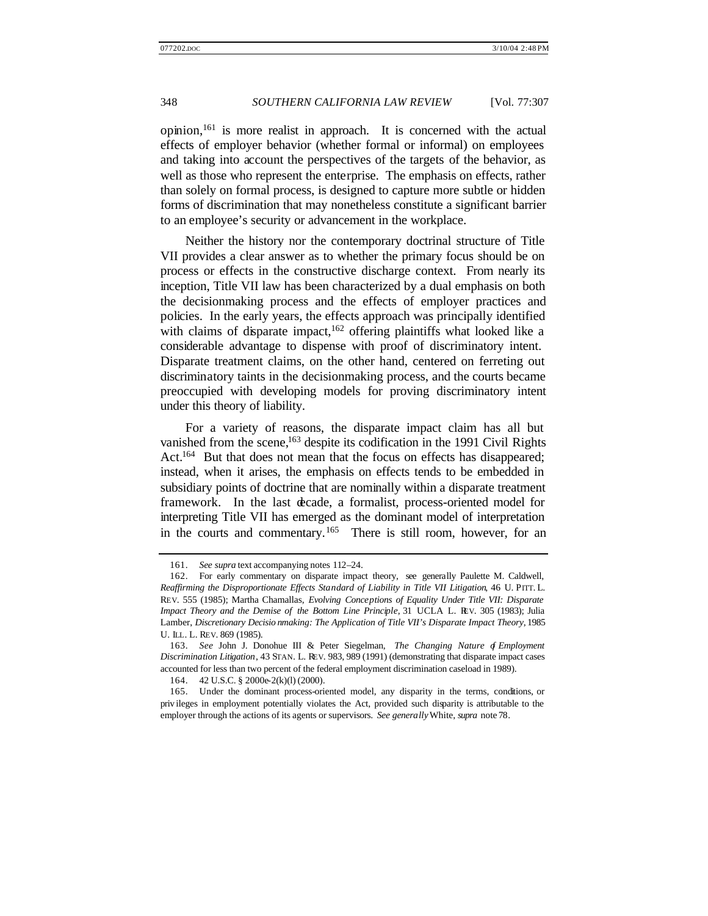opinion,<sup>161</sup> is more realist in approach. It is concerned with the actual effects of employer behavior (whether formal or informal) on employees and taking into account the perspectives of the targets of the behavior, as well as those who represent the enterprise. The emphasis on effects, rather than solely on formal process, is designed to capture more subtle or hidden forms of discrimination that may nonetheless constitute a significant barrier to an employee's security or advancement in the workplace.

Neither the history nor the contemporary doctrinal structure of Title VII provides a clear answer as to whether the primary focus should be on process or effects in the constructive discharge context. From nearly its inception, Title VII law has been characterized by a dual emphasis on both the decisionmaking process and the effects of employer practices and policies. In the early years, the effects approach was principally identified with claims of disparate impact,  $162$  offering plaintiffs what looked like a considerable advantage to dispense with proof of discriminatory intent. Disparate treatment claims, on the other hand, centered on ferreting out discriminatory taints in the decisionmaking process, and the courts became preoccupied with developing models for proving discriminatory intent under this theory of liability.

For a variety of reasons, the disparate impact claim has all but vanished from the scene,<sup>163</sup> despite its codification in the 1991 Civil Rights Act.<sup>164</sup> But that does not mean that the focus on effects has disappeared; instead, when it arises, the emphasis on effects tends to be embedded in subsidiary points of doctrine that are nominally within a disparate treatment framework. In the last decade, a formalist, process-oriented model for interpreting Title VII has emerged as the dominant model of interpretation in the courts and commentary.<sup>165</sup> There is still room, however, for an

<sup>161.</sup> *See supra* text accompanying notes 112–24.

<sup>162.</sup> For early commentary on disparate impact theory, see generally Paulette M. Caldwell, *Reaffirming the Disproportionate Effects Standard of Liability in Title VII Litigation*, 46 U. PITT. L. REV. 555 (1985); Martha Chamallas, *Evolving Conceptions of Equality Under Title VII: Disparate Impact Theory and the Demise of the Bottom Line Principle*, 31 UCLA L. REV. 305 (1983); Julia Lamber, *Discretionary Decisio nmaking: The Application of Title VII's Disparate Impact Theory*, 1985 U. ILL. L. REV. 869 (1985).

<sup>163.</sup> *See* John J. Donohue III & Peter Siegelman, *The Changing Nature of Employment Discrimination Litigation*, 43 STAN. L. REV. 983, 989 (1991) (demonstrating that disparate impact cases accounted for less than two percent of the federal employment discrimination caseload in 1989).

<sup>164.</sup> 42 U.S.C. § 2000e-2(k)(l) (2000).

<sup>165.</sup> Under the dominant process-oriented model, any disparity in the terms, conditions, or priv ileges in employment potentially violates the Act, provided such disparity is attributable to the employer through the actions of its agents or supervisors. *See generally* White, *supra* note 78.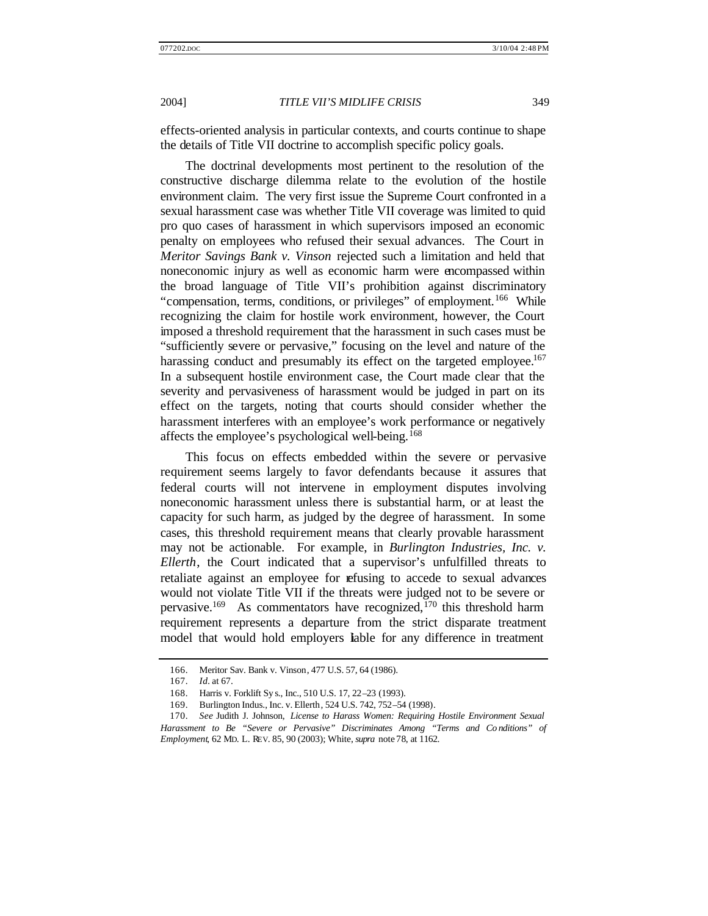effects-oriented analysis in particular contexts, and courts continue to shape the details of Title VII doctrine to accomplish specific policy goals.

The doctrinal developments most pertinent to the resolution of the constructive discharge dilemma relate to the evolution of the hostile environment claim. The very first issue the Supreme Court confronted in a sexual harassment case was whether Title VII coverage was limited to quid pro quo cases of harassment in which supervisors imposed an economic penalty on employees who refused their sexual advances. The Court in *Meritor Savings Bank v. Vinson* rejected such a limitation and held that noneconomic injury as well as economic harm were encompassed within the broad language of Title VII's prohibition against discriminatory "compensation, terms, conditions, or privileges" of employment.<sup>166</sup> While recognizing the claim for hostile work environment, however, the Court imposed a threshold requirement that the harassment in such cases must be "sufficiently severe or pervasive," focusing on the level and nature of the harassing conduct and presumably its effect on the targeted employee.<sup>167</sup> In a subsequent hostile environment case, the Court made clear that the severity and pervasiveness of harassment would be judged in part on its effect on the targets, noting that courts should consider whether the harassment interferes with an employee's work performance or negatively affects the employee's psychological well-being.<sup>168</sup>

This focus on effects embedded within the severe or pervasive requirement seems largely to favor defendants because it assures that federal courts will not intervene in employment disputes involving noneconomic harassment unless there is substantial harm, or at least the capacity for such harm, as judged by the degree of harassment. In some cases, this threshold requirement means that clearly provable harassment may not be actionable. For example, in *Burlington Industries, Inc. v. Ellerth*, the Court indicated that a supervisor's unfulfilled threats to retaliate against an employee for refusing to accede to sexual advances would not violate Title VII if the threats were judged not to be severe or pervasive.<sup>169</sup> As commentators have recognized,<sup>170</sup> this threshold harm requirement represents a departure from the strict disparate treatment model that would hold employers liable for any difference in treatment

<sup>166.</sup> Meritor Sav. Bank v. Vinson, 477 U.S. 57, 64 (1986).

<sup>167.</sup> *Id.* at 67.

<sup>168.</sup> Harris v. Forklift Sy s., Inc., 510 U.S. 17, 22–23 (1993).

<sup>169.</sup> Burlington Indus., Inc. v. Ellerth, 524 U.S. 742, 752–54 (1998).

<sup>170.</sup> *See* Judith J. Johnson, *License to Harass Women: Requiring Hostile Environment Sexual Harassment to Be "Severe or Pervasive" Discriminates Among "Terms and Co nditions" of Employment*, 62 MD. L. REV. 85, 90 (2003); White, *supra* note 78, at 1162.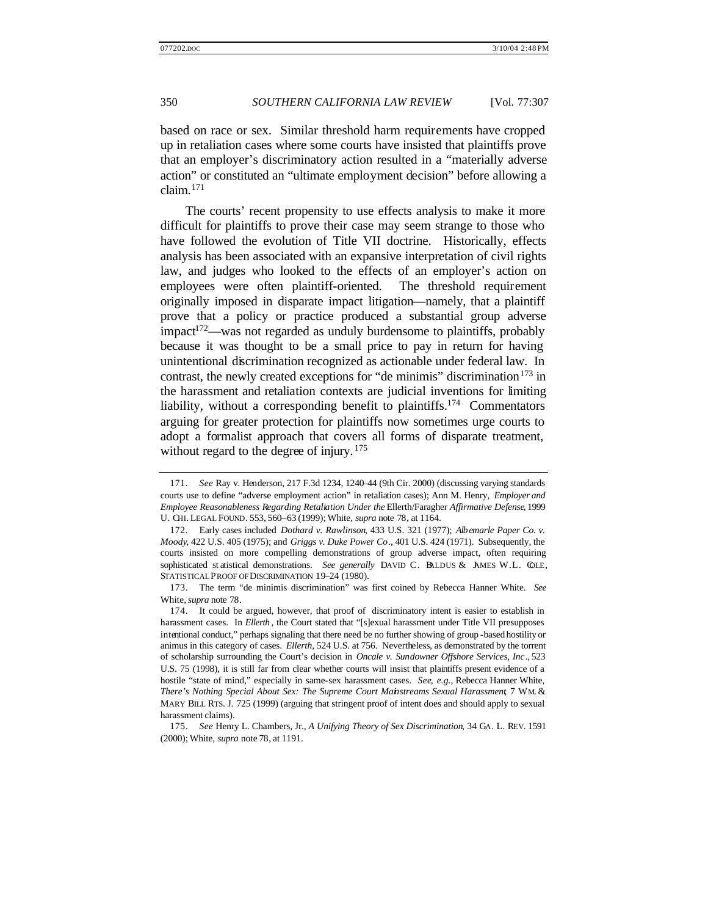based on race or sex. Similar threshold harm requirements have cropped up in retaliation cases where some courts have insisted that plaintiffs prove that an employer's discriminatory action resulted in a "materially adverse action" or constituted an "ultimate employment decision" before allowing a claim. $171$ 

The courts' recent propensity to use effects analysis to make it more difficult for plaintiffs to prove their case may seem strange to those who have followed the evolution of Title VII doctrine. Historically, effects analysis has been associated with an expansive interpretation of civil rights law, and judges who looked to the effects of an employer's action on employees were often plaintiff-oriented. The threshold requirement originally imposed in disparate impact litigation—namely, that a plaintiff prove that a policy or practice produced a substantial group adverse  $impact^{172}$ —was not regarded as unduly burdensome to plaintiffs, probably because it was thought to be a small price to pay in return for having unintentional discrimination recognized as actionable under federal law. In contrast, the newly created exceptions for "de minimis" discrimination<sup>173</sup> in the harassment and retaliation contexts are judicial inventions for limiting liability, without a corresponding benefit to plaintiffs.<sup>174</sup> Commentators arguing for greater protection for plaintiffs now sometimes urge courts to adopt a formalist approach that covers all forms of disparate treatment, without regard to the degree of injury.<sup>175</sup>

<sup>171.</sup> *See* Ray v. Henderson, 217 F.3d 1234, 1240–44 (9th Cir. 2000) (discussing varying standards courts use to define "adverse employment action" in retaliation cases); Ann M. Henry, *Employer and Employee Reasonableness Regarding Retaliation Under the* Ellerth/Faragher *Affirmative Defense*, 1999 U. CHI. LEGAL FOUND. 553, 560–63 (1999); White, *supra* note 78, at 1164.

<sup>172.</sup> Early cases included *Dothard v. Rawlinson*, 433 U.S. 321 (1977); *Albemarle Paper Co. v. Moody*, 422 U.S. 405 (1975); and *Griggs v. Duke Power Co*., 401 U.S. 424 (1971). Subsequently, the courts insisted on more compelling demonstrations of group adverse impact, often requiring sophisticated st atistical demonstrations. *See generally* DAVID C. BALDUS & AMES W.L. COLE, STATISTICAL PROOF OF DISCRIMINATION 19–24 (1980).

<sup>173.</sup> The term "de minimis discrimination" was first coined by Rebecca Hanner White. *See*  White, *supra* note 78.

<sup>174.</sup> It could be argued, however, that proof of discriminatory intent is easier to establish in harassment cases. In *Ellerth* , the Court stated that "[s]exual harassment under Title VII presupposes intentional conduct," perhaps signaling that there need be no further showing of group -based hostility or animus in this category of cases. *Ellerth*, 524 U.S. at 756. Nevertheless, as demonstrated by the torrent of scholarship surrounding the Court's decision in *Oncale v. Sundowner Offshore Services, Inc*., 523 U.S. 75 (1998), it is still far from clear whether courts will insist that plaintiffs present evidence of a hostile "state of mind," especially in same-sex harassment cases. *See, e.g.*, Rebecca Hanner White, *There's Nothing Special About Sex: The Supreme Court Mainstreams Sexual Harassment*, 7 WM. & MARY BILL RTS. J. 725 (1999) (arguing that stringent proof of intent does and should apply to sexual harassment claims).

<sup>175.</sup> *See* Henry L. Chambers, Jr., *A Unifying Theory of Sex Discrimination*, 34 GA. L. REV. 1591 (2000); White, *supra* note 78, at 1191.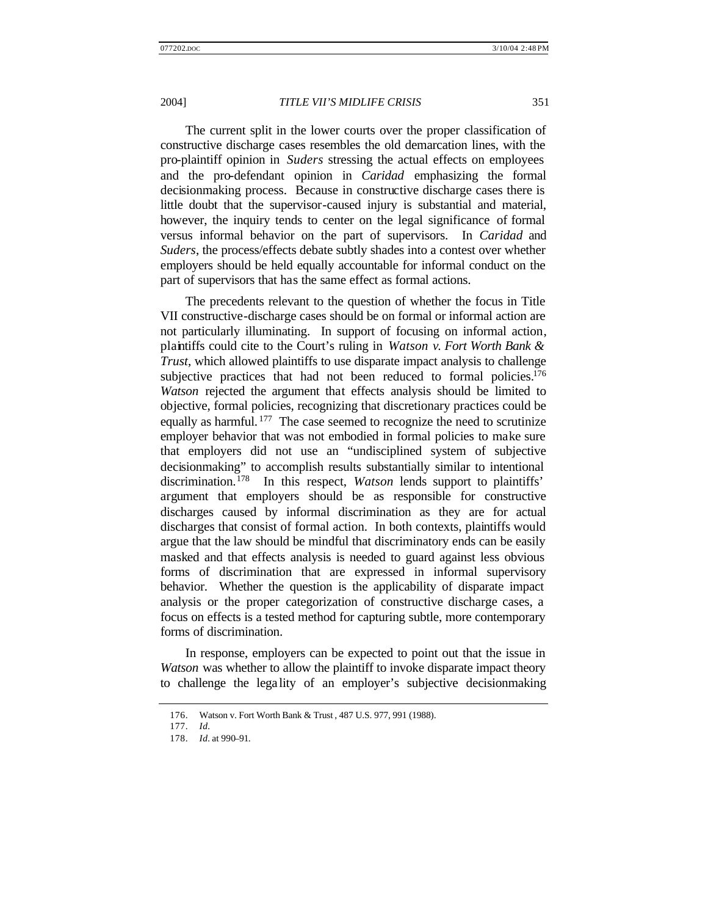The current split in the lower courts over the proper classification of constructive discharge cases resembles the old demarcation lines, with the pro-plaintiff opinion in *Suders* stressing the actual effects on employees and the pro-defendant opinion in *Caridad* emphasizing the formal decisionmaking process. Because in constructive discharge cases there is little doubt that the supervisor-caused injury is substantial and material, however, the inquiry tends to center on the legal significance of formal versus informal behavior on the part of supervisors. In *Caridad* and *Suders*, the process/effects debate subtly shades into a contest over whether employers should be held equally accountable for informal conduct on the part of supervisors that has the same effect as formal actions.

The precedents relevant to the question of whether the focus in Title VII constructive-discharge cases should be on formal or informal action are not particularly illuminating. In support of focusing on informal action, plaintiffs could cite to the Court's ruling in *Watson v*. *Fort Worth Bank & Trust*, which allowed plaintiffs to use disparate impact analysis to challenge subjective practices that had not been reduced to formal policies.<sup>176</sup> *Watson* rejected the argument that effects analysis should be limited to objective, formal policies, recognizing that discretionary practices could be equally as harmful.<sup>177</sup> The case seemed to recognize the need to scrutinize employer behavior that was not embodied in formal policies to make sure that employers did not use an "undisciplined system of subjective decisionmaking" to accomplish results substantially similar to intentional discrimination.<sup>178</sup> In this respect, *Watson* lends support to plaintiffs' argument that employers should be as responsible for constructive discharges caused by informal discrimination as they are for actual discharges that consist of formal action. In both contexts, plaintiffs would argue that the law should be mindful that discriminatory ends can be easily masked and that effects analysis is needed to guard against less obvious forms of discrimination that are expressed in informal supervisory behavior. Whether the question is the applicability of disparate impact analysis or the proper categorization of constructive discharge cases, a focus on effects is a tested method for capturing subtle, more contemporary forms of discrimination.

In response, employers can be expected to point out that the issue in *Watson* was whether to allow the plaintiff to invoke disparate impact theory to challenge the lega lity of an employer's subjective decisionmaking

<sup>176.</sup> Watson v. Fort Worth Bank & Trust , 487 U.S. 977, 991 (1988).

<sup>177.</sup> *Id.*

<sup>178.</sup> *Id.* at 990–91.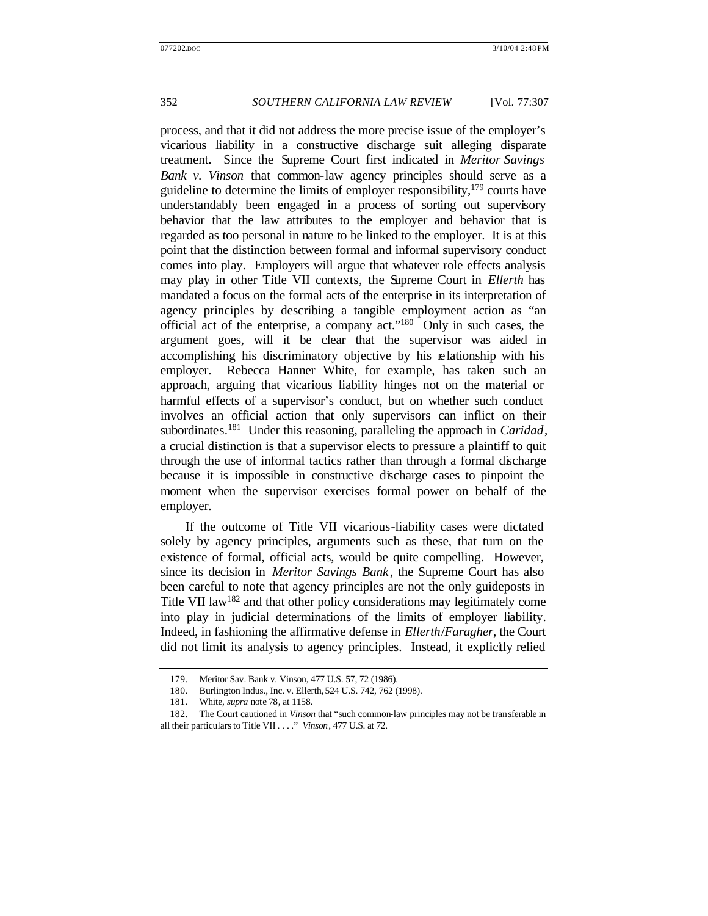process, and that it did not address the more precise issue of the employer's vicarious liability in a constructive discharge suit alleging disparate treatment. Since the Supreme Court first indicated in *Meritor Savings Bank v. Vinson* that common-law agency principles should serve as a guideline to determine the limits of employer responsibility,  $179$  courts have understandably been engaged in a process of sorting out supervisory behavior that the law attributes to the employer and behavior that is regarded as too personal in nature to be linked to the employer. It is at this point that the distinction between formal and informal supervisory conduct comes into play. Employers will argue that whatever role effects analysis may play in other Title VII contexts, the Supreme Court in *Ellerth* has mandated a focus on the formal acts of the enterprise in its interpretation of agency principles by describing a tangible employment action as "an official act of the enterprise, a company act."<sup>180</sup> Only in such cases, the argument goes, will it be clear that the supervisor was aided in accomplishing his discriminatory objective by his relationship with his employer. Rebecca Hanner White, for example, has taken such an approach, arguing that vicarious liability hinges not on the material or harmful effects of a supervisor's conduct, but on whether such conduct involves an official action that only supervisors can inflict on their subordinates.<sup>181</sup> Under this reasoning, paralleling the approach in *Caridad*, a crucial distinction is that a supervisor elects to pressure a plaintiff to quit through the use of informal tactics rather than through a formal discharge because it is impossible in constructive discharge cases to pinpoint the moment when the supervisor exercises formal power on behalf of the employer.

If the outcome of Title VII vicarious-liability cases were dictated solely by agency principles, arguments such as these, that turn on the existence of formal, official acts, would be quite compelling. However, since its decision in *Meritor Savings Bank* , the Supreme Court has also been careful to note that agency principles are not the only guideposts in Title VII law<sup>182</sup> and that other policy considerations may legitimately come into play in judicial determinations of the limits of employer liability. Indeed, in fashioning the affirmative defense in *Ellerth*/*Faragher*, the Court did not limit its analysis to agency principles. Instead, it explicitly relied

<sup>179.</sup> Meritor Sav. Bank v. Vinson, 477 U.S. 57, 72 (1986).

<sup>180.</sup> Burlington Indus., Inc. v. Ellerth, 524 U.S. 742, 762 (1998).

<sup>181.</sup> White, *supra* note 78, at 1158.

<sup>182.</sup> The Court cautioned in *Vinson* that "such common-law principles may not be transferable in all their particulars to Title VII . . . ." *Vinson*, 477 U.S. at 72.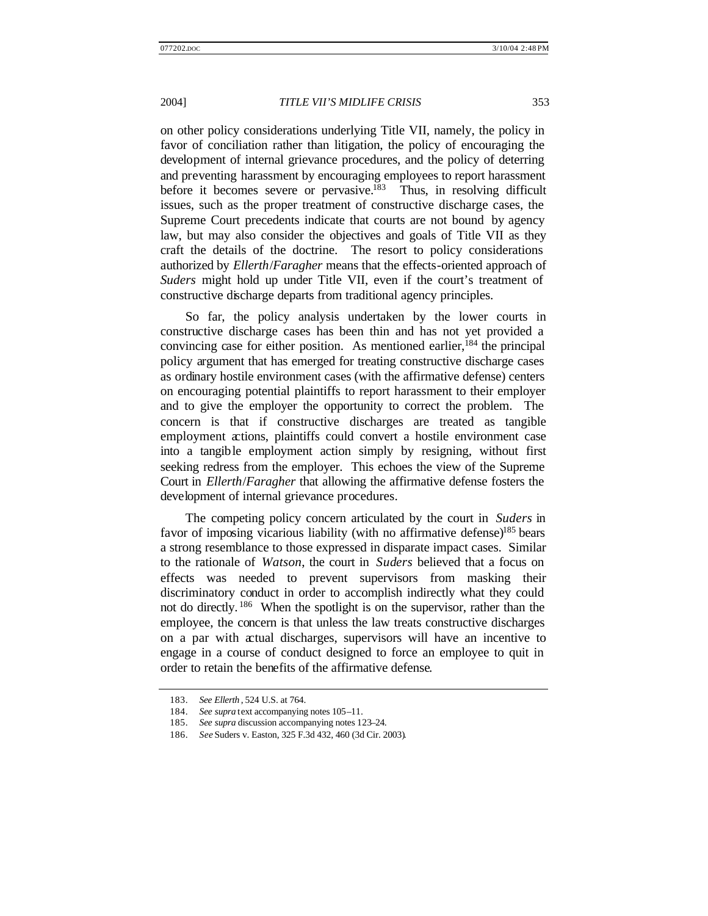on other policy considerations underlying Title VII, namely, the policy in favor of conciliation rather than litigation, the policy of encouraging the development of internal grievance procedures, and the policy of deterring and preventing harassment by encouraging employees to report harassment before it becomes severe or pervasive. $183$  Thus, in resolving difficult issues, such as the proper treatment of constructive discharge cases, the Supreme Court precedents indicate that courts are not bound by agency law, but may also consider the objectives and goals of Title VII as they craft the details of the doctrine. The resort to policy considerations authorized by *Ellerth*/*Faragher* means that the effects-oriented approach of *Suders* might hold up under Title VII, even if the court's treatment of constructive discharge departs from traditional agency principles.

So far, the policy analysis undertaken by the lower courts in constructive discharge cases has been thin and has not yet provided a convincing case for either position. As mentioned earlier,  $184$  the principal policy argument that has emerged for treating constructive discharge cases as ordinary hostile environment cases (with the affirmative defense) centers on encouraging potential plaintiffs to report harassment to their employer and to give the employer the opportunity to correct the problem. The concern is that if constructive discharges are treated as tangible employment actions, plaintiffs could convert a hostile environment case into a tangible employment action simply by resigning, without first seeking redress from the employer. This echoes the view of the Supreme Court in *Ellerth*/*Faragher* that allowing the affirmative defense fosters the development of internal grievance procedures.

The competing policy concern articulated by the court in *Suders* in favor of imposing vicarious liability (with no affirmative defense)<sup>185</sup> bears a strong resemblance to those expressed in disparate impact cases. Similar to the rationale of *Watson*, the court in *Suders* believed that a focus on effects was needed to prevent supervisors from masking their discriminatory conduct in order to accomplish indirectly what they could not do directly. <sup>186</sup> When the spotlight is on the supervisor, rather than the employee, the concern is that unless the law treats constructive discharges on a par with actual discharges, supervisors will have an incentive to engage in a course of conduct designed to force an employee to quit in order to retain the benefits of the affirmative defense.

<sup>183.</sup> *See Ellerth* , 524 U.S. at 764.

<sup>184.</sup> *See supra* text accompanying notes 105–11.

<sup>185.</sup> *See supra* discussion accompanying notes 123–24.

<sup>186.</sup> *See* Suders v. Easton, 325 F.3d 432, 460 (3d Cir. 2003).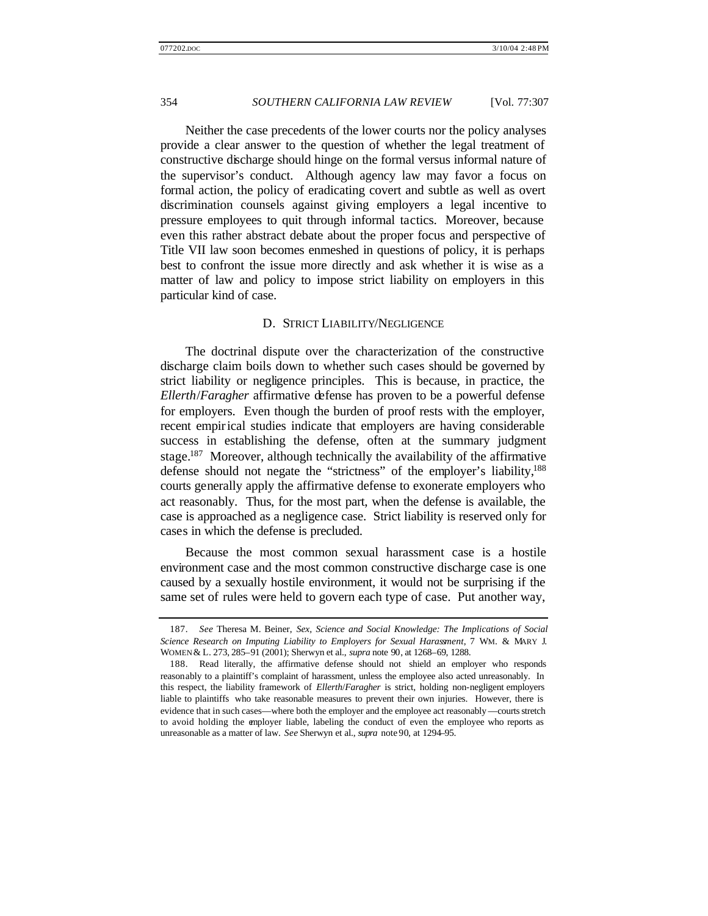Neither the case precedents of the lower courts nor the policy analyses provide a clear answer to the question of whether the legal treatment of constructive discharge should hinge on the formal versus informal nature of the supervisor's conduct. Although agency law may favor a focus on formal action, the policy of eradicating covert and subtle as well as overt discrimination counsels against giving employers a legal incentive to pressure employees to quit through informal tactics. Moreover, because even this rather abstract debate about the proper focus and perspective of Title VII law soon becomes enmeshed in questions of policy, it is perhaps best to confront the issue more directly and ask whether it is wise as a matter of law and policy to impose strict liability on employers in this particular kind of case.

### D. STRICT LIABILITY/NEGLIGENCE

The doctrinal dispute over the characterization of the constructive discharge claim boils down to whether such cases should be governed by strict liability or negligence principles. This is because, in practice, the *Ellerth*/*Faragher* affirmative defense has proven to be a powerful defense for employers. Even though the burden of proof rests with the employer, recent empirical studies indicate that employers are having considerable success in establishing the defense, often at the summary judgment stage.<sup>187</sup> Moreover, although technically the availability of the affirmative defense should not negate the "strictness" of the employer's liability,<sup>188</sup> courts generally apply the affirmative defense to exonerate employers who act reasonably. Thus, for the most part, when the defense is available, the case is approached as a negligence case. Strict liability is reserved only for cases in which the defense is precluded.

Because the most common sexual harassment case is a hostile environment case and the most common constructive discharge case is one caused by a sexually hostile environment, it would not be surprising if the same set of rules were held to govern each type of case. Put another way,

<sup>187.</sup> *See* Theresa M. Beiner, *Sex, Science and Social Knowledge: The Implications of Social Science Research on Imputing Liability to Employers for Sexual Harassment*, 7 WM. & MARY J. WOMEN & L. 273, 285–91 (2001); Sherwyn et al., *supra* note 90, at 1268–69, 1288.

<sup>188.</sup> Read literally, the affirmative defense should not shield an employer who responds reasonably to a plaintiff's complaint of harassment, unless the employee also acted unreasonably. In this respect, the liability framework of *Ellerth*/*Faragher* is strict, holding non-negligent employers liable to plaintiffs who take reasonable measures to prevent their own injuries. However, there is evidence that in such cases—where both the employer and the employee act reasonably —courts stretch to avoid holding the employer liable, labeling the conduct of even the employee who reports as unreasonable as a matter of law. *See* Sherwyn et al., *supra* note 90, at 1294–95.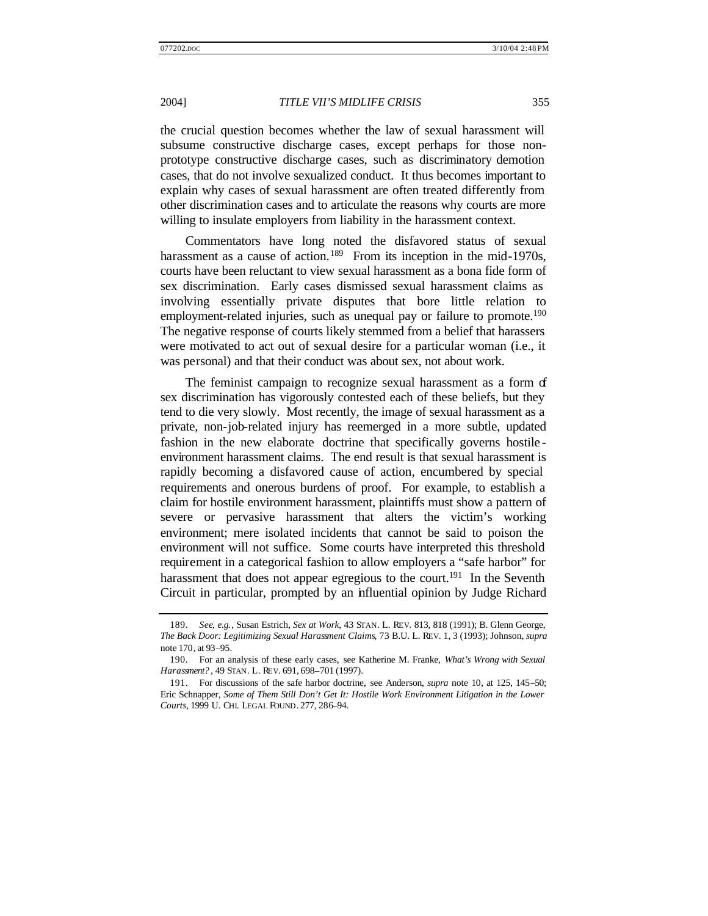the crucial question becomes whether the law of sexual harassment will subsume constructive discharge cases, except perhaps for those nonprototype constructive discharge cases, such as discriminatory demotion cases, that do not involve sexualized conduct. It thus becomes important to explain why cases of sexual harassment are often treated differently from other discrimination cases and to articulate the reasons why courts are more willing to insulate employers from liability in the harassment context.

Commentators have long noted the disfavored status of sexual harassment as a cause of action.<sup>189</sup> From its inception in the mid-1970s, courts have been reluctant to view sexual harassment as a bona fide form of sex discrimination. Early cases dismissed sexual harassment claims as involving essentially private disputes that bore little relation to employment-related injuries, such as unequal pay or failure to promote.<sup>190</sup> The negative response of courts likely stemmed from a belief that harassers were motivated to act out of sexual desire for a particular woman (i.e., it was personal) and that their conduct was about sex, not about work.

The feminist campaign to recognize sexual harassment as a form of sex discrimination has vigorously contested each of these beliefs, but they tend to die very slowly. Most recently, the image of sexual harassment as a private, non-job-related injury has reemerged in a more subtle, updated fashion in the new elaborate doctrine that specifically governs hostile environment harassment claims. The end result is that sexual harassment is rapidly becoming a disfavored cause of action, encumbered by special requirements and onerous burdens of proof. For example, to establish a claim for hostile environment harassment, plaintiffs must show a pattern of severe or pervasive harassment that alters the victim's working environment; mere isolated incidents that cannot be said to poison the environment will not suffice. Some courts have interpreted this threshold requirement in a categorical fashion to allow employers a "safe harbor" for harassment that does not appear egregious to the court.<sup>191</sup> In the Seventh Circuit in particular, prompted by an influential opinion by Judge Richard

<sup>189.</sup> *See, e.g.*, Susan Estrich, *Sex at Work*, 43 STAN. L. REV. 813, 818 (1991); B. Glenn George, *The Back Door: Legitimizing Sexual Harassment Claims*, 73 B.U. L. REV. 1, 3 (1993); Johnson, *supra* note 170, at 93–95.

<sup>190.</sup> For an analysis of these early cases, see Katherine M. Franke, *What's Wrong with Sexual Harassment?* , 49 STAN. L. REV. 691, 698–701 (1997).

<sup>191.</sup> For discussions of the safe harbor doctrine, see Anderson, *supra* note 10, at 125, 145–50; Eric Schnapper, *Some of Them Still Don't Get It: Hostile Work Environment Litigation in the Lower Courts*, 1999 U. CHI. LEGAL FOUND. 277, 286–94.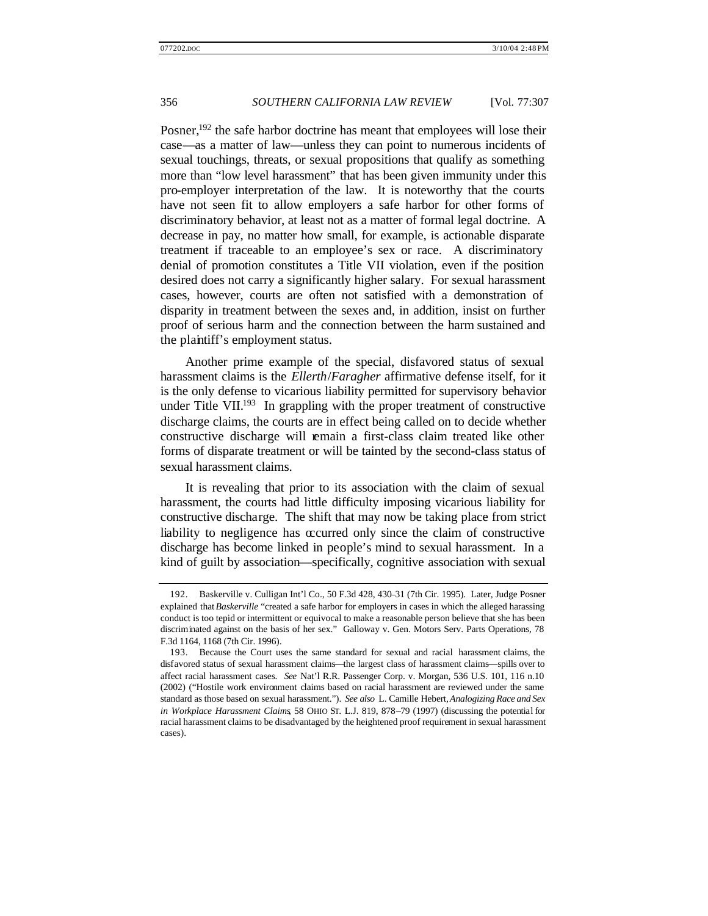Posner,<sup>192</sup> the safe harbor doctrine has meant that employees will lose their case—as a matter of law—unless they can point to numerous incidents of sexual touchings, threats, or sexual propositions that qualify as something more than "low level harassment" that has been given immunity under this pro-employer interpretation of the law. It is noteworthy that the courts have not seen fit to allow employers a safe harbor for other forms of discriminatory behavior, at least not as a matter of formal legal doctrine. A decrease in pay, no matter how small, for example, is actionable disparate treatment if traceable to an employee's sex or race. A discriminatory denial of promotion constitutes a Title VII violation, even if the position desired does not carry a significantly higher salary. For sexual harassment cases, however, courts are often not satisfied with a demonstration of disparity in treatment between the sexes and, in addition, insist on further proof of serious harm and the connection between the harm sustained and the plaintiff's employment status.

Another prime example of the special, disfavored status of sexual harassment claims is the *Ellerth*/*Faragher* affirmative defense itself, for it is the only defense to vicarious liability permitted for supervisory behavior under Title VII.<sup>193</sup> In grappling with the proper treatment of constructive discharge claims, the courts are in effect being called on to decide whether constructive discharge will remain a first-class claim treated like other forms of disparate treatment or will be tainted by the second-class status of sexual harassment claims.

It is revealing that prior to its association with the claim of sexual harassment, the courts had little difficulty imposing vicarious liability for constructive discharge. The shift that may now be taking place from strict liability to negligence has occurred only since the claim of constructive discharge has become linked in people's mind to sexual harassment. In a kind of guilt by association—specifically, cognitive association with sexual

<sup>192.</sup> Baskerville v. Culligan Int'l Co., 50 F.3d 428, 430–31 (7th Cir. 1995). Later, Judge Posner explained that *Baskerville* "created a safe harbor for employers in cases in which the alleged harassing conduct is too tepid or intermittent or equivocal to make a reasonable person believe that she has been discriminated against on the basis of her sex." Galloway v. Gen. Motors Serv. Parts Operations, 78 F.3d 1164, 1168 (7th Cir. 1996).

<sup>193.</sup> Because the Court uses the same standard for sexual and racial harassment claims, the disfavored status of sexual harassment claims—the largest class of harassment claims—spills over to affect racial harassment cases. *See* Nat'l R.R. Passenger Corp. v. Morgan, 536 U.S. 101, 116 n.10 (2002) ("Hostile work environment claims based on racial harassment are reviewed under the same standard as those based on sexual harassment."). *See also* L. Camille Hebert, *Analogizing Race and Sex in Workplace Harassment Claims*, 58 OHIO ST. L.J. 819, 878–79 (1997) (discussing the potential for racial harassment claims to be disadvantaged by the heightened proof requirement in sexual harassment cases).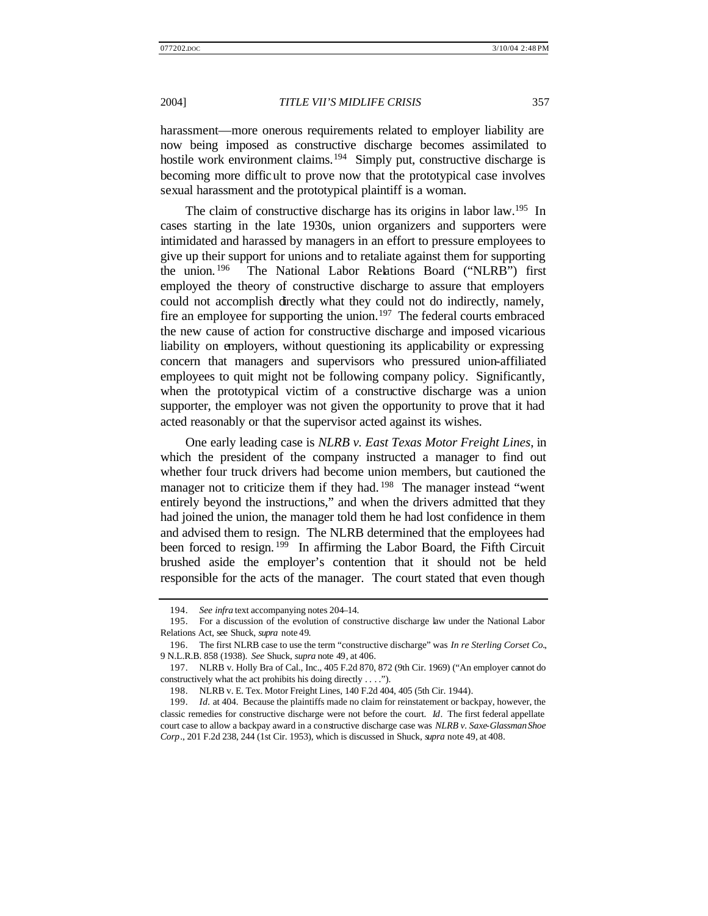harassment—more onerous requirements related to employer liability are now being imposed as constructive discharge becomes assimilated to hostile work environment claims.<sup>194</sup> Simply put, constructive discharge is becoming more difficult to prove now that the prototypical case involves sexual harassment and the prototypical plaintiff is a woman.

The claim of constructive discharge has its origins in labor law.<sup>195</sup> In cases starting in the late 1930s, union organizers and supporters were intimidated and harassed by managers in an effort to pressure employees to give up their support for unions and to retaliate against them for supporting the union. <sup>196</sup> The National Labor Relations Board ("NLRB") first employed the theory of constructive discharge to assure that employers could not accomplish directly what they could not do indirectly, namely, fire an employee for supporting the union.<sup>197</sup> The federal courts embraced the new cause of action for constructive discharge and imposed vicarious liability on employers, without questioning its applicability or expressing concern that managers and supervisors who pressured union-affiliated employees to quit might not be following company policy. Significantly, when the prototypical victim of a constructive discharge was a union supporter, the employer was not given the opportunity to prove that it had acted reasonably or that the supervisor acted against its wishes.

One early leading case is *NLRB v. East Texas Motor Freight Lines*, in which the president of the company instructed a manager to find out whether four truck drivers had become union members, but cautioned the manager not to criticize them if they had.<sup>198</sup> The manager instead "went" entirely beyond the instructions," and when the drivers admitted that they had joined the union, the manager told them he had lost confidence in them and advised them to resign. The NLRB determined that the employees had been forced to resign. <sup>199</sup> In affirming the Labor Board, the Fifth Circuit brushed aside the employer's contention that it should not be held responsible for the acts of the manager. The court stated that even though

<sup>194.</sup> *See infra* text accompanying notes 204–14.

<sup>195.</sup> For a discussion of the evolution of constructive discharge law under the National Labor Relations Act, see Shuck, *supra* note 49.

<sup>196.</sup> The first NLRB case to use the term "constructive discharge" was *In re Sterling Corset Co.*, 9 N.L.R.B. 858 (1938). *See* Shuck, *supra* note 49, at 406.

<sup>197.</sup> NLRB v. Holly Bra of Cal., Inc., 405 F.2d 870, 872 (9th Cir. 1969) ("An employer cannot do constructively what the act prohibits his doing directly . . . .").

<sup>198.</sup> NLRB v. E. Tex. Motor Freight Lines, 140 F.2d 404, 405 (5th Cir. 1944).

<sup>199.</sup> *Id.* at 404. Because the plaintiffs made no claim for reinstatement or backpay, however, the classic remedies for constructive discharge were not before the court. *Id*. The first federal appellate court case to allow a backpay award in a constructive discharge case was *NLRB v. Saxe-Glassman Shoe Corp*., 201 F.2d 238, 244 (1st Cir. 1953), which is discussed in Shuck, *supra* note 49, at 408.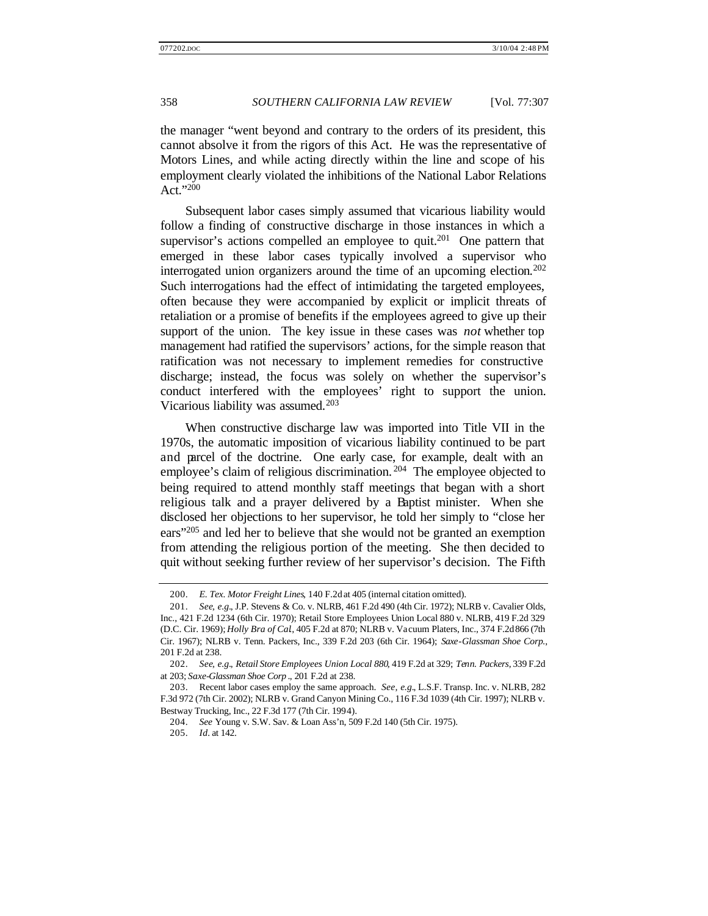the manager "went beyond and contrary to the orders of its president, this cannot absolve it from the rigors of this Act. He was the representative of Motors Lines, and while acting directly within the line and scope of his employment clearly violated the inhibitions of the National Labor Relations Act."<sup>200</sup>

Subsequent labor cases simply assumed that vicarious liability would follow a finding of constructive discharge in those instances in which a supervisor's actions compelled an employee to quit.<sup>201</sup> One pattern that emerged in these labor cases typically involved a supervisor who interrogated union organizers around the time of an upcoming election.<sup>202</sup> Such interrogations had the effect of intimidating the targeted employees, often because they were accompanied by explicit or implicit threats of retaliation or a promise of benefits if the employees agreed to give up their support of the union. The key issue in these cases was *not* whether top management had ratified the supervisors' actions, for the simple reason that ratification was not necessary to implement remedies for constructive discharge; instead, the focus was solely on whether the supervisor's conduct interfered with the employees' right to support the union. Vicarious liability was assumed.<sup>203</sup>

When constructive discharge law was imported into Title VII in the 1970s, the automatic imposition of vicarious liability continued to be part and parcel of the doctrine. One early case, for example, dealt with an employee's claim of religious discrimination.<sup>204</sup> The employee objected to being required to attend monthly staff meetings that began with a short religious talk and a prayer delivered by a Baptist minister. When she disclosed her objections to her supervisor, he told her simply to "close her ears"<sup>205</sup> and led her to believe that she would not be granted an exemption from attending the religious portion of the meeting. She then decided to quit without seeking further review of her supervisor's decision. The Fifth

<sup>200.</sup> *E. Tex. Motor Freight Lines*, 140 F.2d at 405 (internal citation omitted).

<sup>201.</sup> *See, e.g.*, J.P. Stevens & Co. v. NLRB, 461 F.2d 490 (4th Cir. 1972); NLRB v. Cavalier Olds, Inc., 421 F.2d 1234 (6th Cir. 1970); Retail Store Employees Union Local 880 v. NLRB, 419 F.2d 329 (D.C. Cir. 1969); *Holly Bra of Cal*., 405 F.2d at 870; NLRB v. Vacuum Platers, Inc., 374 F.2d 866 (7th Cir. 1967); NLRB v. Tenn. Packers, Inc., 339 F.2d 203 (6th Cir. 1964); *Saxe-Glassman Shoe Corp.*, 201 F.2d at 238.

<sup>202.</sup> *See, e.g.*, *Retail Store Employees Union Local 880*, 419 F.2d at 329; *Tenn. Packers*, 339 F.2d at 203; *Saxe-Glassman Shoe Corp* ., 201 F.2d at 238.

<sup>203.</sup> Recent labor cases employ the same approach. *See, e.g.*, L.S.F. Transp. Inc. v. NLRB, 282 F.3d 972 (7th Cir. 2002); NLRB v. Grand Canyon Mining Co., 116 F.3d 1039 (4th Cir. 1997); NLRB v. Bestway Trucking, Inc., 22 F.3d 177 (7th Cir. 1994).

<sup>204.</sup> *See* Young v. S.W. Sav. & Loan Ass'n, 509 F.2d 140 (5th Cir. 1975).

<sup>205.</sup> *Id.* at 142.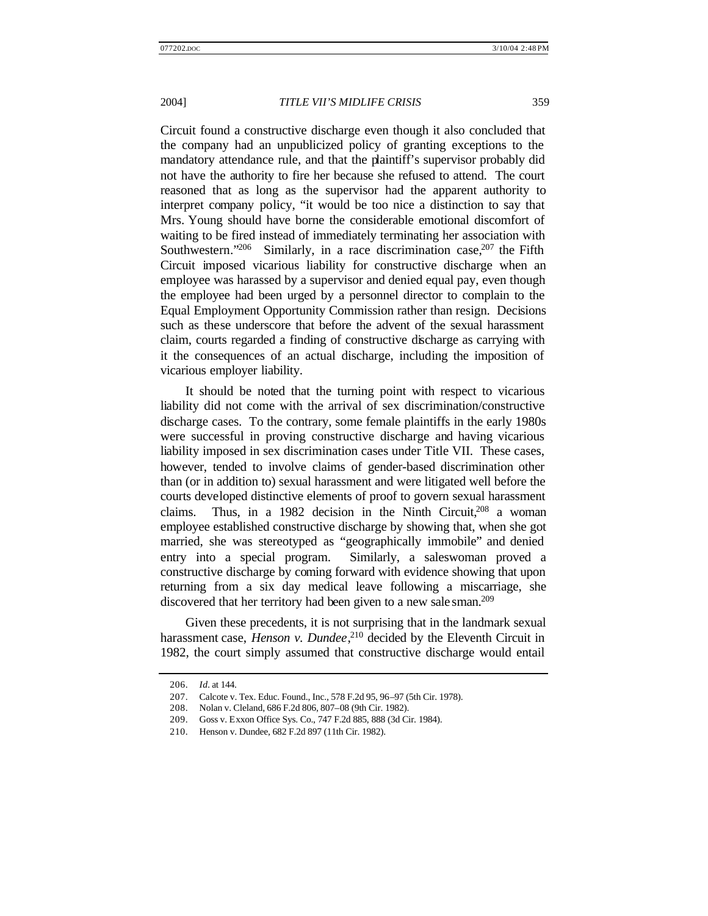Circuit found a constructive discharge even though it also concluded that the company had an unpublicized policy of granting exceptions to the mandatory attendance rule, and that the plaintiff's supervisor probably did not have the authority to fire her because she refused to attend. The court reasoned that as long as the supervisor had the apparent authority to interpret company policy, "it would be too nice a distinction to say that Mrs. Young should have borne the considerable emotional discomfort of waiting to be fired instead of immediately terminating her association with Southwestern."<sup>206</sup> Similarly, in a race discrimination case,  $207$  the Fifth Circuit imposed vicarious liability for constructive discharge when an employee was harassed by a supervisor and denied equal pay, even though the employee had been urged by a personnel director to complain to the Equal Employment Opportunity Commission rather than resign. Decisions such as these underscore that before the advent of the sexual harassment claim, courts regarded a finding of constructive discharge as carrying with it the consequences of an actual discharge, including the imposition of vicarious employer liability.

It should be noted that the turning point with respect to vicarious liability did not come with the arrival of sex discrimination/constructive discharge cases. To the contrary, some female plaintiffs in the early 1980s were successful in proving constructive discharge and having vicarious liability imposed in sex discrimination cases under Title VII. These cases, however, tended to involve claims of gender-based discrimination other than (or in addition to) sexual harassment and were litigated well before the courts developed distinctive elements of proof to govern sexual harassment claims. Thus, in a 1982 decision in the Ninth Circuit,  $208$  a woman employee established constructive discharge by showing that, when she got married, she was stereotyped as "geographically immobile" and denied entry into a special program. Similarly, a saleswoman proved a constructive discharge by coming forward with evidence showing that upon returning from a six day medical leave following a miscarriage, she discovered that her territory had been given to a new sale sman.<sup>209</sup>

Given these precedents, it is not surprising that in the landmark sexual harassment case, *Henson v. Dundee*, <sup>210</sup> decided by the Eleventh Circuit in 1982, the court simply assumed that constructive discharge would entail

<sup>206.</sup> *Id.* at 144.

<sup>207.</sup> Calcote v. Tex. Educ. Found., Inc., 578 F.2d 95, 96–97 (5th Cir. 1978).

<sup>208.</sup> Nolan v. Cleland, 686 F.2d 806, 807–08 (9th Cir. 1982).

<sup>209.</sup> Goss v. Exxon Office Sys. Co., 747 F.2d 885, 888 (3d Cir. 1984).

<sup>210.</sup> Henson v. Dundee, 682 F.2d 897 (11th Cir. 1982).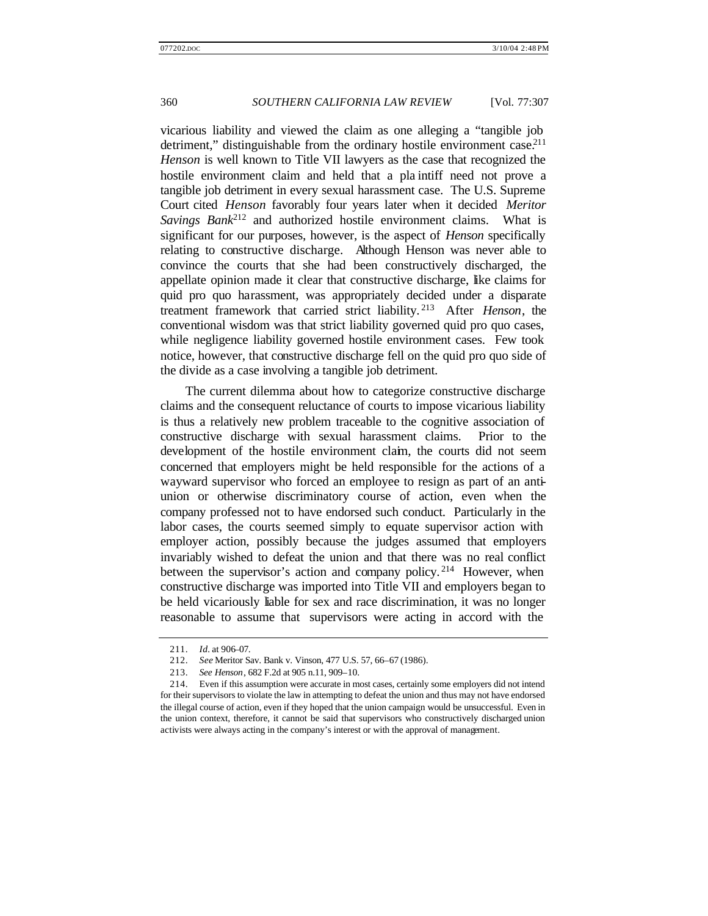vicarious liability and viewed the claim as one alleging a "tangible job detriment," distinguishable from the ordinary hostile environment case.<sup>211</sup> *Henson* is well known to Title VII lawyers as the case that recognized the hostile environment claim and held that a pla intiff need not prove a tangible job detriment in every sexual harassment case. The U.S. Supreme Court cited *Henson* favorably four years later when it decided *Meritor Savings Bank*<sup>212</sup> and authorized hostile environment claims. What is significant for our purposes, however, is the aspect of *Henson* specifically relating to constructive discharge. Although Henson was never able to convince the courts that she had been constructively discharged, the appellate opinion made it clear that constructive discharge, like claims for quid pro quo harassment, was appropriately decided under a disparate treatment framework that carried strict liability. <sup>213</sup> After *Henson*, the conventional wisdom was that strict liability governed quid pro quo cases, while negligence liability governed hostile environment cases. Few took notice, however, that constructive discharge fell on the quid pro quo side of the divide as a case involving a tangible job detriment.

The current dilemma about how to categorize constructive discharge claims and the consequent reluctance of courts to impose vicarious liability is thus a relatively new problem traceable to the cognitive association of constructive discharge with sexual harassment claims. Prior to the development of the hostile environment claim, the courts did not seem concerned that employers might be held responsible for the actions of a wayward supervisor who forced an employee to resign as part of an antiunion or otherwise discriminatory course of action, even when the company professed not to have endorsed such conduct. Particularly in the labor cases, the courts seemed simply to equate supervisor action with employer action, possibly because the judges assumed that employers invariably wished to defeat the union and that there was no real conflict between the supervisor's action and company policy.<sup>214</sup> However, when constructive discharge was imported into Title VII and employers began to be held vicariously liable for sex and race discrimination, it was no longer reasonable to assume that supervisors were acting in accord with the

<sup>211.</sup> *Id.* at 906–07.

<sup>212.</sup> *See* Meritor Sav. Bank v. Vinson, 477 U.S. 57, 66–67 (1986).

<sup>213.</sup> *See Henson*, 682 F.2d at 905 n.11, 909–10.

<sup>214.</sup> Even if this assumption were accurate in most cases, certainly some employers did not intend for their supervisors to violate the law in attempting to defeat the union and thus may not have endorsed the illegal course of action, even if they hoped that the union campaign would be unsuccessful. Even in the union context, therefore, it cannot be said that supervisors who constructively discharged union activists were always acting in the company's interest or with the approval of management.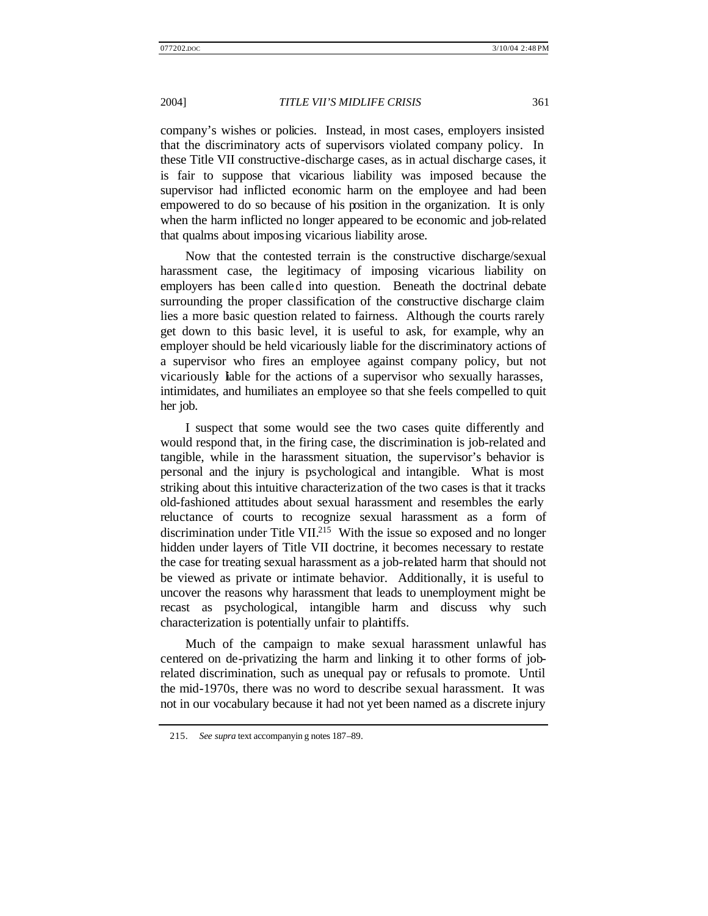company's wishes or policies. Instead, in most cases, employers insisted that the discriminatory acts of supervisors violated company policy. In these Title VII constructive-discharge cases, as in actual discharge cases, it is fair to suppose that vicarious liability was imposed because the supervisor had inflicted economic harm on the employee and had been empowered to do so because of his position in the organization. It is only when the harm inflicted no longer appeared to be economic and job-related that qualms about imposing vicarious liability arose.

Now that the contested terrain is the constructive discharge/sexual harassment case, the legitimacy of imposing vicarious liability on employers has been called into question. Beneath the doctrinal debate surrounding the proper classification of the constructive discharge claim lies a more basic question related to fairness. Although the courts rarely get down to this basic level, it is useful to ask, for example, why an employer should be held vicariously liable for the discriminatory actions of a supervisor who fires an employee against company policy, but not vicariously liable for the actions of a supervisor who sexually harasses, intimidates, and humiliates an employee so that she feels compelled to quit her job.

I suspect that some would see the two cases quite differently and would respond that, in the firing case, the discrimination is job-related and tangible, while in the harassment situation, the supervisor's behavior is personal and the injury is psychological and intangible. What is most striking about this intuitive characterization of the two cases is that it tracks old-fashioned attitudes about sexual harassment and resembles the early reluctance of courts to recognize sexual harassment as a form of discrimination under Title VII.<sup>215</sup> With the issue so exposed and no longer hidden under layers of Title VII doctrine, it becomes necessary to restate the case for treating sexual harassment as a job-related harm that should not be viewed as private or intimate behavior. Additionally, it is useful to uncover the reasons why harassment that leads to unemployment might be recast as psychological, intangible harm and discuss why such characterization is potentially unfair to plaintiffs.

Much of the campaign to make sexual harassment unlawful has centered on de-privatizing the harm and linking it to other forms of jobrelated discrimination, such as unequal pay or refusals to promote. Until the mid-1970s, there was no word to describe sexual harassment. It was not in our vocabulary because it had not yet been named as a discrete injury

<sup>215.</sup> *See supra* text accompanyin g notes 187–89.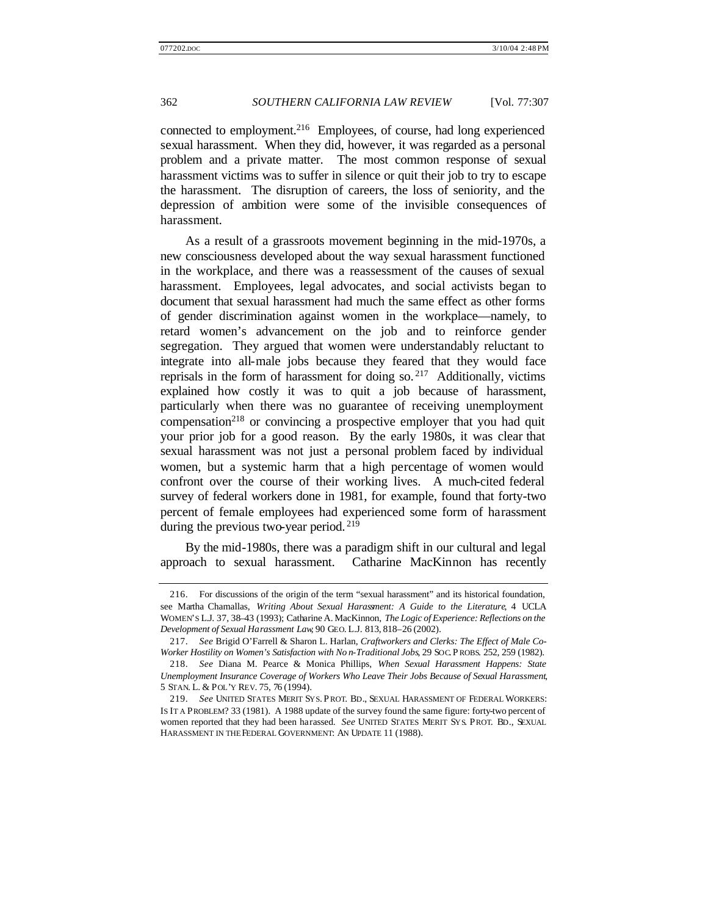connected to employment.<sup>216</sup> Employees, of course, had long experienced sexual harassment. When they did, however, it was regarded as a personal problem and a private matter. The most common response of sexual harassment victims was to suffer in silence or quit their job to try to escape the harassment. The disruption of careers, the loss of seniority, and the depression of ambition were some of the invisible consequences of harassment.

As a result of a grassroots movement beginning in the mid-1970s, a new consciousness developed about the way sexual harassment functioned in the workplace, and there was a reassessment of the causes of sexual harassment. Employees, legal advocates, and social activists began to document that sexual harassment had much the same effect as other forms of gender discrimination against women in the workplace—namely, to retard women's advancement on the job and to reinforce gender segregation. They argued that women were understandably reluctant to integrate into all-male jobs because they feared that they would face reprisals in the form of harassment for doing so.  $217$  Additionally, victims explained how costly it was to quit a job because of harassment, particularly when there was no guarantee of receiving unemployment compensation<sup>218</sup> or convincing a prospective employer that you had quit your prior job for a good reason. By the early 1980s, it was clear that sexual harassment was not just a personal problem faced by individual women, but a systemic harm that a high percentage of women would confront over the course of their working lives. A much-cited federal survey of federal workers done in 1981, for example, found that forty-two percent of female employees had experienced some form of harassment during the previous two-year period.<sup>219</sup>

By the mid-1980s, there was a paradigm shift in our cultural and legal approach to sexual harassment. Catharine MacKinnon has recently

<sup>216.</sup> For discussions of the origin of the term "sexual harassment" and its historical foundation, see Martha Chamallas, *Writing About Sexual Harassment: A Guide to the Literature*, 4 UCLA WOMEN'S L.J. 37, 38–43 (1993); Catharine A. MacKinnon, *The Logic of Experience: Reflections on the Development of Sexual Harassment Law*, 90 GEO. L.J. 813, 818–26 (2002).

<sup>217.</sup> *See* Brigid O'Farrell & Sharon L. Harlan, *Craftworkers and Clerks: The Effect of Male Co-Worker Hostility on Women's Satisfaction with No n-Traditional Jobs*, 29 SOC. P ROBS. 252, 259 (1982).

<sup>218.</sup> *See* Diana M. Pearce & Monica Phillips, *When Sexual Harassment Happens: State Unemployment Insurance Coverage of Workers Who Leave Their Jobs Because of Sexual Harassment*, 5 STAN. L. & POL'Y REV. 75, 76 (1994).

<sup>219.</sup> *See* UNITED STATES MERIT SYS. P ROT. BD., SEXUAL HARASSMENT OF FEDERAL WORKERS: IS IT A PROBLEM? 33 (1981). A 1988 update of the survey found the same figure: forty-two percent of women reported that they had been harassed. *See* UNITED STATES MERIT SYS. PROT. BD., SEXUAL HARASSMENT IN THE FEDERAL GOVERNMENT: AN UPDATE 11 (1988).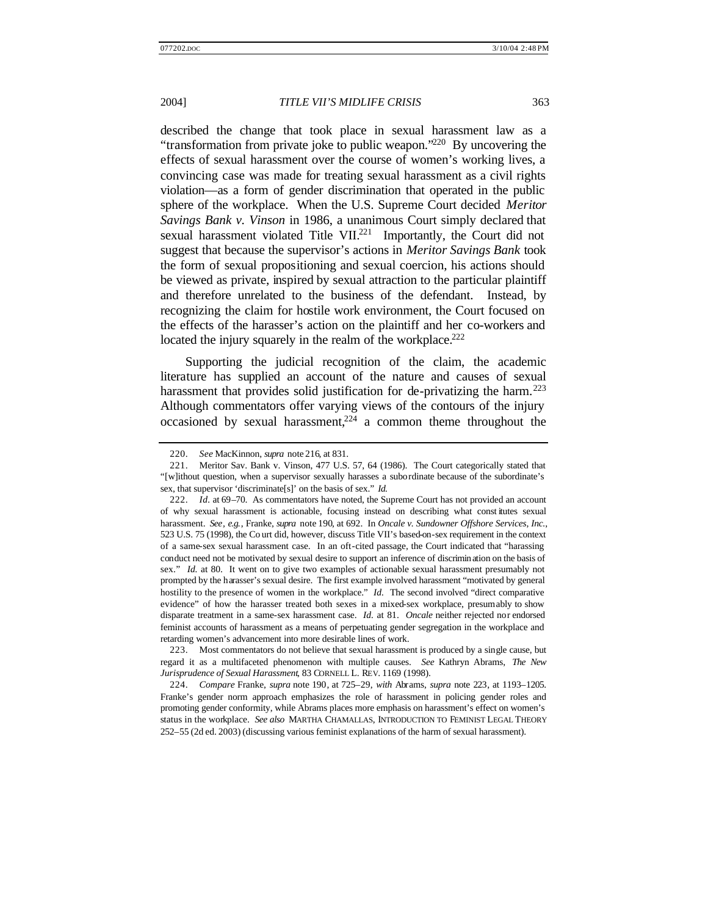described the change that took place in sexual harassment law as a "transformation from private joke to public weapon."<sup>220</sup> By uncovering the effects of sexual harassment over the course of women's working lives, a convincing case was made for treating sexual harassment as a civil rights violation—as a form of gender discrimination that operated in the public sphere of the workplace. When the U.S. Supreme Court decided *Meritor Savings Bank v. Vinson* in 1986, a unanimous Court simply declared that sexual harassment violated Title VII.<sup>221</sup> Importantly, the Court did not suggest that because the supervisor's actions in *Meritor Savings Bank* took the form of sexual propositioning and sexual coercion, his actions should be viewed as private, inspired by sexual attraction to the particular plaintiff and therefore unrelated to the business of the defendant. Instead, by recognizing the claim for hostile work environment, the Court focused on the effects of the harasser's action on the plaintiff and her co-workers and located the injury squarely in the realm of the workplace.<sup>222</sup>

Supporting the judicial recognition of the claim, the academic literature has supplied an account of the nature and causes of sexual harassment that provides solid justification for de-privatizing the harm.<sup>223</sup> Although commentators offer varying views of the contours of the injury occasioned by sexual harassment, $224$  a common theme throughout the

<sup>220.</sup> *See* MacKinnon, *supra* note 216, at 831.

<sup>221.</sup> Meritor Sav. Bank v. Vinson, 477 U.S. 57, 64 (1986). The Court categorically stated that "[w]ithout question, when a supervisor sexually harasses a subordinate because of the subordinate's sex, that supervisor 'discriminate[s]' on the basis of sex." *Id.*

<sup>222.</sup> *Id.* at 69–70. As commentators have noted, the Supreme Court has not provided an account of why sexual harassment is actionable, focusing instead on describing what const itutes sexual harassment. *See, e.g.*, Franke, *supra* note 190, at 692. In *Oncale v. Sundowner Offshore Services, Inc.*, 523 U.S. 75 (1998), the Co urt did, however, discuss Title VII's based-on-sex requirement in the context of a same-sex sexual harassment case. In an oft-cited passage, the Court indicated that "harassing conduct need not be motivated by sexual desire to support an inference of discrimin ation on the basis of sex." *Id.* at 80. It went on to give two examples of actionable sexual harassment presumably not prompted by the harasser's sexual desire. The first example involved harassment "motivated by general hostility to the presence of women in the workplace." *Id.* The second involved "direct comparative evidence" of how the harasser treated both sexes in a mixed-sex workplace, presumably to show disparate treatment in a same-sex harassment case. *Id.* at 81. *Oncale* neither rejected nor endorsed feminist accounts of harassment as a means of perpetuating gender segregation in the workplace and retarding women's advancement into more desirable lines of work.

<sup>223.</sup> Most commentators do not believe that sexual harassment is produced by a single cause, but regard it as a multifaceted phenomenon with multiple causes. *See* Kathryn Abrams, *The New Jurisprudence of Sexual Harassment*, 83 CORNELL L. REV. 1169 (1998).

<sup>224.</sup> *Compare* Franke, *supra* note 190, at 725–29, *with* Abrams, *supra* note 223, at 1193–1205. Franke's gender norm approach emphasizes the role of harassment in policing gender roles and promoting gender conformity, while Abrams places more emphasis on harassment's effect on women's status in the workplace. *See also* MARTHA CHAMALLAS, INTRODUCTION TO FEMINIST LEGAL THEORY 252–55 (2d ed. 2003) (discussing various feminist explanations of the harm of sexual harassment).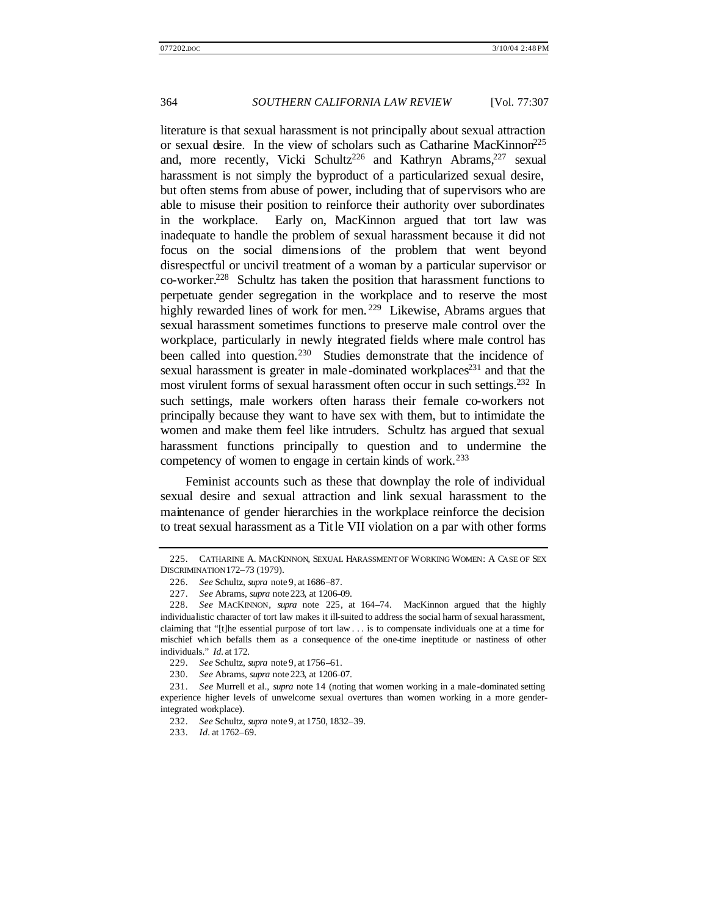literature is that sexual harassment is not principally about sexual attraction or sexual desire. In the view of scholars such as Catharine MacKinnon<sup>225</sup> and, more recently, Vicki Schultz<sup>226</sup> and Kathryn Abrams, <sup>227</sup> sexual harassment is not simply the byproduct of a particularized sexual desire, but often stems from abuse of power, including that of supervisors who are able to misuse their position to reinforce their authority over subordinates in the workplace. Early on, MacKinnon argued that tort law was inadequate to handle the problem of sexual harassment because it did not focus on the social dimensions of the problem that went beyond disrespectful or uncivil treatment of a woman by a particular supervisor or co-worker.<sup>228</sup> Schultz has taken the position that harassment functions to perpetuate gender segregation in the workplace and to reserve the most highly rewarded lines of work for men.<sup>229</sup> Likewise, Abrams argues that sexual harassment sometimes functions to preserve male control over the workplace, particularly in newly integrated fields where male control has been called into question.<sup>230</sup> Studies demonstrate that the incidence of sexual harassment is greater in male-dominated workplaces<sup>231</sup> and that the most virulent forms of sexual harassment often occur in such settings.<sup>232</sup> In such settings, male workers often harass their female co-workers not principally because they want to have sex with them, but to intimidate the women and make them feel like intruders. Schultz has argued that sexual harassment functions principally to question and to undermine the competency of women to engage in certain kinds of work.<sup>233</sup>

Feminist accounts such as these that downplay the role of individual sexual desire and sexual attraction and link sexual harassment to the maintenance of gender hierarchies in the workplace reinforce the decision to treat sexual harassment as a Title VII violation on a par with other forms

<sup>225.</sup> CATHARINE A. MACKINNON, SEXUAL HARASSMENT OF WORKING WOMEN: A CASE OF SEX DISCRIMINATION 172–73 (1979).

<sup>226.</sup> *See* Schultz, *supra* note 9, at 1686–87.

<sup>227.</sup> *See* Abrams, *supra* note 223, at 1206–09.

<sup>228.</sup> *See* MACKINNON, *supra* note 225, at 164–74. MacKinnon argued that the highly individualistic character of tort law makes it ill-suited to address the social harm of sexual harassment, claiming that "[t]he essential purpose of tort law . . . is to compensate individuals one at a time for mischief which befalls them as a consequence of the one-time ineptitude or nastiness of other individuals." *Id.* at 172.

<sup>229.</sup> *See* Schultz, *supra* note 9, at 1756–61.

<sup>230.</sup> *See* Abrams, *supra* note 223, at 1206–07.

<sup>231.</sup> *See* Murrell et al., *supra* note 14 (noting that women working in a male-dominated setting experience higher levels of unwelcome sexual overtures than women working in a more genderintegrated workplace).

<sup>232.</sup> *See* Schultz, *supra* note 9, at 1750, 1832–39.

<sup>233.</sup> *Id.* at 1762–69.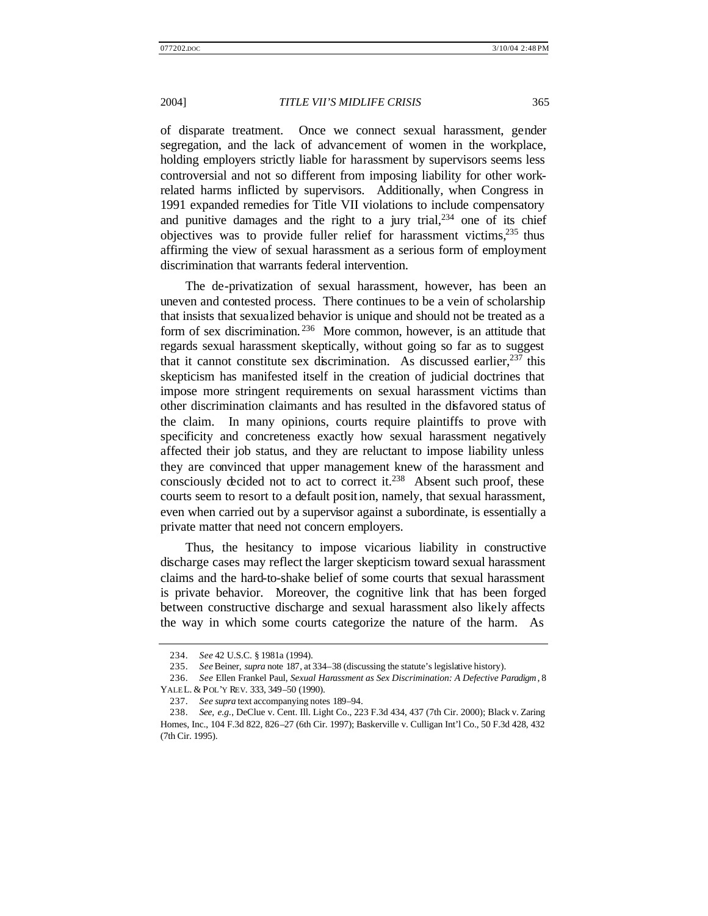of disparate treatment. Once we connect sexual harassment, gender segregation, and the lack of advancement of women in the workplace, holding employers strictly liable for harassment by supervisors seems less controversial and not so different from imposing liability for other workrelated harms inflicted by supervisors. Additionally, when Congress in 1991 expanded remedies for Title VII violations to include compensatory and punitive damages and the right to a jury trial,  $234$  one of its chief objectives was to provide fuller relief for harassment victims,  $235$  thus affirming the view of sexual harassment as a serious form of employment discrimination that warrants federal intervention.

The de-privatization of sexual harassment, however, has been an uneven and contested process. There continues to be a vein of scholarship that insists that sexualized behavior is unique and should not be treated as a form of sex discrimination.<sup>236</sup> More common, however, is an attitude that regards sexual harassment skeptically, without going so far as to suggest that it cannot constitute sex discrimination. As discussed earlier,  $237$  this skepticism has manifested itself in the creation of judicial doctrines that impose more stringent requirements on sexual harassment victims than other discrimination claimants and has resulted in the disfavored status of the claim. In many opinions, courts require plaintiffs to prove with specificity and concreteness exactly how sexual harassment negatively affected their job status, and they are reluctant to impose liability unless they are convinced that upper management knew of the harassment and consciously decided not to act to correct it.<sup>238</sup> Absent such proof, these courts seem to resort to a default position, namely, that sexual harassment, even when carried out by a supervisor against a subordinate, is essentially a private matter that need not concern employers.

Thus, the hesitancy to impose vicarious liability in constructive discharge cases may reflect the larger skepticism toward sexual harassment claims and the hard-to-shake belief of some courts that sexual harassment is private behavior. Moreover, the cognitive link that has been forged between constructive discharge and sexual harassment also likely affects the way in which some courts categorize the nature of the harm. As

<sup>234.</sup> *See* 42 U.S.C. § 1981a (1994).

<sup>235.</sup> *See* Beiner, *supra* note 187, at 334–38 (discussing the statute's legislative history).

<sup>236.</sup> *See* Ellen Frankel Paul, *Sexual Harassment as Sex Discrimination: A Defective Paradigm*, 8 YALEL. & POL'Y REV. 333, 349-50 (1990).

<sup>237.</sup> *See supra* text accompanying notes 189–94.

<sup>238.</sup> *See, e.g.*, DeClue v. Cent. Ill. Light Co., 223 F.3d 434, 437 (7th Cir. 2000); Black v. Zaring Homes, Inc., 104 F.3d 822, 826–27 (6th Cir. 1997); Baskerville v. Culligan Int'l Co., 50 F.3d 428, 432 (7th Cir. 1995).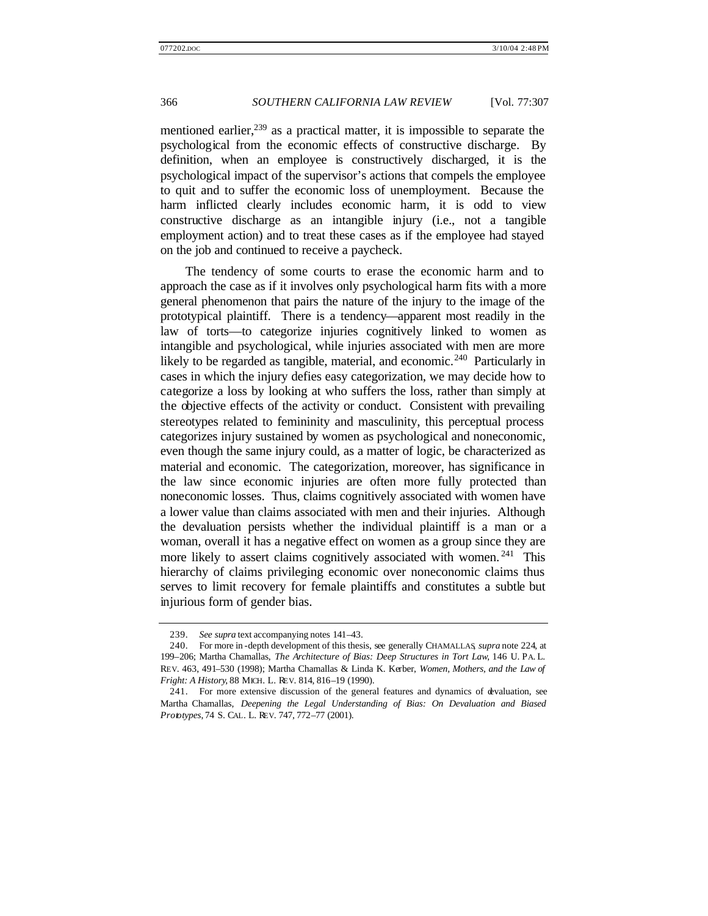mentioned earlier,<sup>239</sup> as a practical matter, it is impossible to separate the psychological from the economic effects of constructive discharge. By definition, when an employee is constructively discharged, it is the psychological impact of the supervisor's actions that compels the employee to quit and to suffer the economic loss of unemployment. Because the harm inflicted clearly includes economic harm, it is odd to view constructive discharge as an intangible injury (i.e., not a tangible employment action) and to treat these cases as if the employee had stayed on the job and continued to receive a paycheck.

The tendency of some courts to erase the economic harm and to approach the case as if it involves only psychological harm fits with a more general phenomenon that pairs the nature of the injury to the image of the prototypical plaintiff. There is a tendency—apparent most readily in the law of torts—to categorize injuries cognitively linked to women as intangible and psychological, while injuries associated with men are more likely to be regarded as tangible, material, and economic.<sup>240</sup> Particularly in cases in which the injury defies easy categorization, we may decide how to categorize a loss by looking at who suffers the loss, rather than simply at the objective effects of the activity or conduct. Consistent with prevailing stereotypes related to femininity and masculinity, this perceptual process categorizes injury sustained by women as psychological and noneconomic, even though the same injury could, as a matter of logic, be characterized as material and economic. The categorization, moreover, has significance in the law since economic injuries are often more fully protected than noneconomic losses. Thus, claims cognitively associated with women have a lower value than claims associated with men and their injuries. Although the devaluation persists whether the individual plaintiff is a man or a woman, overall it has a negative effect on women as a group since they are more likely to assert claims cognitively associated with women.<sup>241</sup> This hierarchy of claims privileging economic over noneconomic claims thus serves to limit recovery for female plaintiffs and constitutes a subtle but injurious form of gender bias.

<sup>239.</sup> *See supra* text accompanying notes 141–43.

<sup>240.</sup> For more in -depth development of this thesis, see generally CHAMALLAS, *supra* note 224, at 199–206; Martha Chamallas, *The Architecture of Bias: Deep Structures in Tort Law*, 146 U. PA. L. REV. 463, 491–530 (1998); Martha Chamallas & Linda K. Kerber, *Women, Mothers, and the Law of Fright: A History*, 88 MICH. L. REV. 814, 816–19 (1990).

<sup>241.</sup> For more extensive discussion of the general features and dynamics of devaluation, see Martha Chamallas, *Deepening the Legal Understanding of Bias: On Devaluation and Biased Prototypes*, 74 S. CAL. L. REV. 747, 772–77 (2001).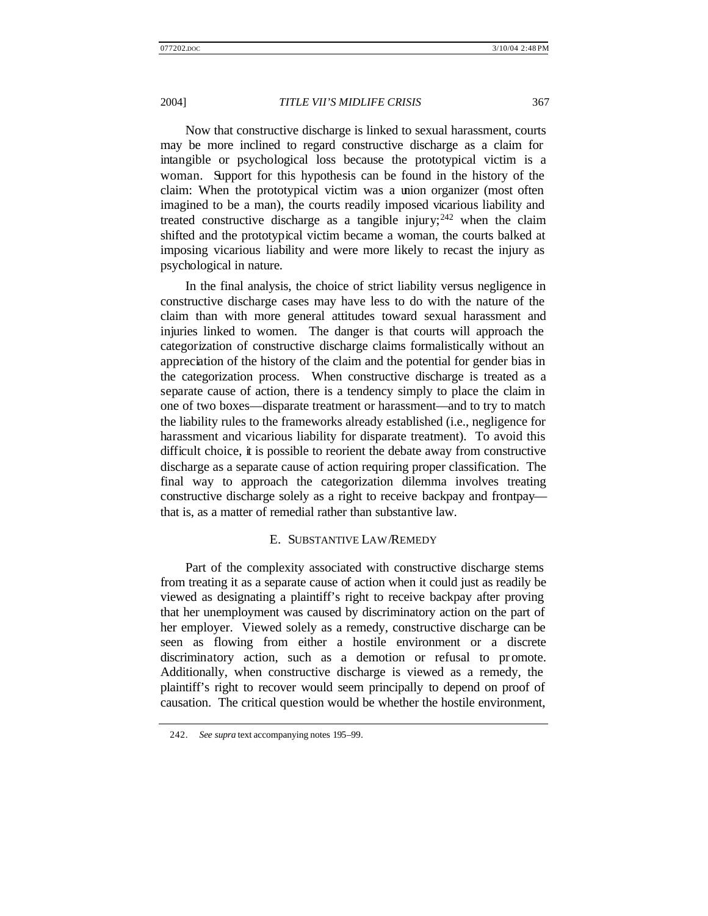Now that constructive discharge is linked to sexual harassment, courts may be more inclined to regard constructive discharge as a claim for intangible or psychological loss because the prototypical victim is a woman. Support for this hypothesis can be found in the history of the claim: When the prototypical victim was a union organizer (most often imagined to be a man), the courts readily imposed vicarious liability and treated constructive discharge as a tangible injury;  $242$  when the claim shifted and the prototypical victim became a woman, the courts balked at imposing vicarious liability and were more likely to recast the injury as psychological in nature.

In the final analysis, the choice of strict liability versus negligence in constructive discharge cases may have less to do with the nature of the claim than with more general attitudes toward sexual harassment and injuries linked to women. The danger is that courts will approach the categorization of constructive discharge claims formalistically without an appreciation of the history of the claim and the potential for gender bias in the categorization process. When constructive discharge is treated as a separate cause of action, there is a tendency simply to place the claim in one of two boxes—disparate treatment or harassment—and to try to match the liability rules to the frameworks already established (i.e., negligence for harassment and vicarious liability for disparate treatment). To avoid this difficult choice, it is possible to reorient the debate away from constructive discharge as a separate cause of action requiring proper classification. The final way to approach the categorization dilemma involves treating constructive discharge solely as a right to receive backpay and frontpay that is, as a matter of remedial rather than substantive law.

#### E. SUBSTANTIVE LAW/REMEDY

Part of the complexity associated with constructive discharge stems from treating it as a separate cause of action when it could just as readily be viewed as designating a plaintiff's right to receive backpay after proving that her unemployment was caused by discriminatory action on the part of her employer. Viewed solely as a remedy, constructive discharge can be seen as flowing from either a hostile environment or a discrete discriminatory action, such as a demotion or refusal to promote. Additionally, when constructive discharge is viewed as a remedy, the plaintiff's right to recover would seem principally to depend on proof of causation. The critical question would be whether the hostile environment,

<sup>242.</sup> *See supra* text accompanying notes 195–99.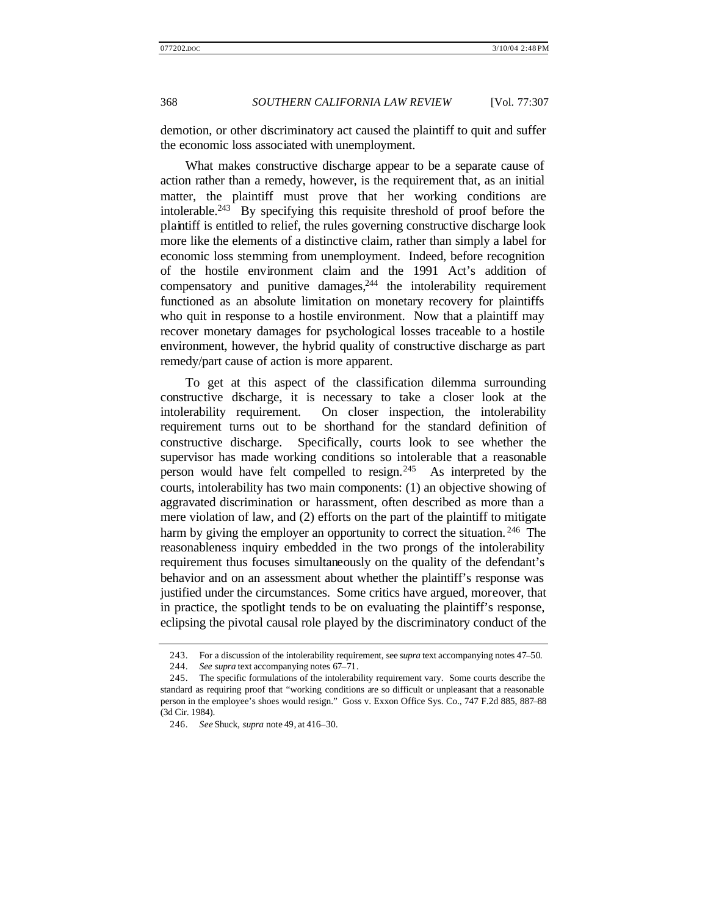demotion, or other discriminatory act caused the plaintiff to quit and suffer the economic loss associated with unemployment.

What makes constructive discharge appear to be a separate cause of action rather than a remedy, however, is the requirement that, as an initial matter, the plaintiff must prove that her working conditions are intolerable.<sup>243</sup> By specifying this requisite threshold of proof before the plaintiff is entitled to relief, the rules governing constructive discharge look more like the elements of a distinctive claim, rather than simply a label for economic loss stemming from unemployment. Indeed, before recognition of the hostile environment claim and the 1991 Act's addition of compensatory and punitive damages, $244$  the intolerability requirement functioned as an absolute limitation on monetary recovery for plaintiffs who quit in response to a hostile environment. Now that a plaintiff may recover monetary damages for psychological losses traceable to a hostile environment, however, the hybrid quality of constructive discharge as part remedy/part cause of action is more apparent.

To get at this aspect of the classification dilemma surrounding constructive discharge, it is necessary to take a closer look at the intolerability requirement. On closer inspection, the intolerability requirement turns out to be shorthand for the standard definition of constructive discharge. Specifically, courts look to see whether the supervisor has made working conditions so intolerable that a reasonable person would have felt compelled to resign.<sup>245</sup> As interpreted by the courts, intolerability has two main components: (1) an objective showing of aggravated discrimination or harassment, often described as more than a mere violation of law, and (2) efforts on the part of the plaintiff to mitigate harm by giving the employer an opportunity to correct the situation.<sup>246</sup> The reasonableness inquiry embedded in the two prongs of the intolerability requirement thus focuses simultaneously on the quality of the defendant's behavior and on an assessment about whether the plaintiff's response was justified under the circumstances. Some critics have argued, moreover, that in practice, the spotlight tends to be on evaluating the plaintiff's response, eclipsing the pivotal causal role played by the discriminatory conduct of the

<sup>243.</sup> For a discussion of the intolerability requirement, see *supra* text accompanying notes 47–50.

<sup>244.</sup> *See supra* text accompanying notes 67–71.

<sup>245.</sup> The specific formulations of the intolerability requirement vary. Some courts describe the standard as requiring proof that "working conditions are so difficult or unpleasant that a reasonable person in the employee's shoes would resign." Goss v. Exxon Office Sys. Co., 747 F.2d 885, 887–88 (3d Cir. 1984).

<sup>246.</sup> *See* Shuck, *supra* note 49, at 416–30.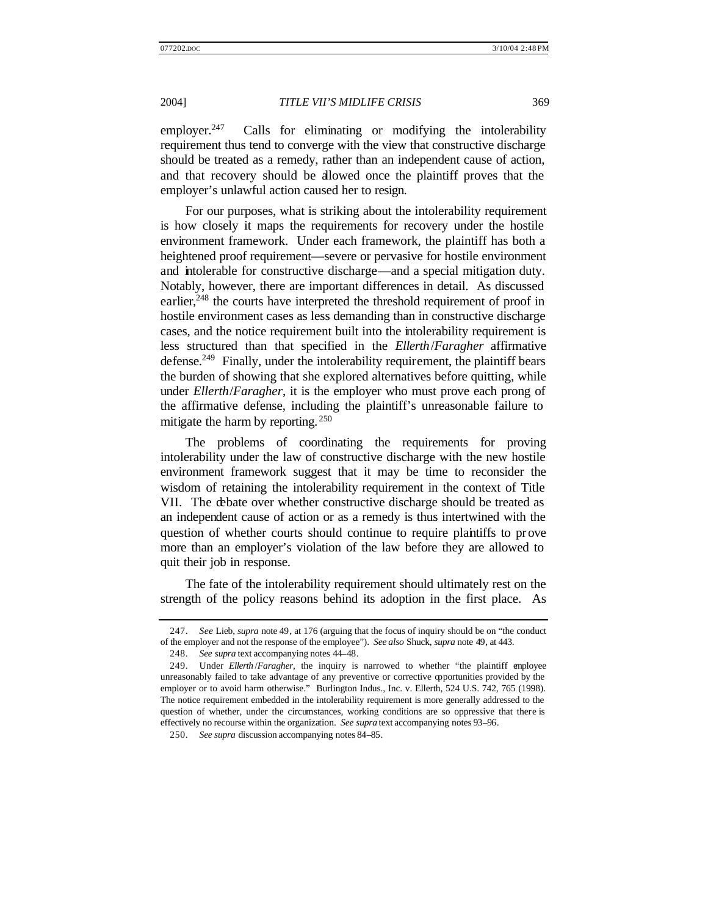employer.<sup>247</sup> Calls for eliminating or modifying the intolerability requirement thus tend to converge with the view that constructive discharge should be treated as a remedy, rather than an independent cause of action, and that recovery should be allowed once the plaintiff proves that the employer's unlawful action caused her to resign.

For our purposes, what is striking about the intolerability requirement is how closely it maps the requirements for recovery under the hostile environment framework. Under each framework, the plaintiff has both a heightened proof requirement—severe or pervasive for hostile environment and intolerable for constructive discharge—and a special mitigation duty. Notably, however, there are important differences in detail. As discussed earlier,<sup>248</sup> the courts have interpreted the threshold requirement of proof in hostile environment cases as less demanding than in constructive discharge cases, and the notice requirement built into the intolerability requirement is less structured than that specified in the *Ellerth*/*Faragher* affirmative defense.<sup>249</sup> Finally, under the intolerability requirement, the plaintiff bears the burden of showing that she explored alternatives before quitting, while under *Ellerth*/*Faragher*, it is the employer who must prove each prong of the affirmative defense, including the plaintiff's unreasonable failure to mitigate the harm by reporting.  $250$ 

The problems of coordinating the requirements for proving intolerability under the law of constructive discharge with the new hostile environment framework suggest that it may be time to reconsider the wisdom of retaining the intolerability requirement in the context of Title VII. The debate over whether constructive discharge should be treated as an independent cause of action or as a remedy is thus intertwined with the question of whether courts should continue to require plaintiffs to prove more than an employer's violation of the law before they are allowed to quit their job in response.

The fate of the intolerability requirement should ultimately rest on the strength of the policy reasons behind its adoption in the first place. As

<sup>247.</sup> *See* Lieb, *supra* note 49, at 176 (arguing that the focus of inquiry should be on "the conduct of the employer and not the response of the employee"). *See also* Shuck, *supra* note 49, at 443.

<sup>248.</sup> *See supra* text accompanying notes 44–48.

<sup>249.</sup> Under *Ellerth* /*Faragher*, the inquiry is narrowed to whether "the plaintiff employee unreasonably failed to take advantage of any preventive or corrective opportunities provided by the employer or to avoid harm otherwise." Burlington Indus., Inc. v. Ellerth, 524 U.S. 742, 765 (1998). The notice requirement embedded in the intolerability requirement is more generally addressed to the question of whether, under the circumstances, working conditions are so oppressive that there is effectively no recourse within the organization. *See supra* text accompanying notes 93–96.

<sup>250.</sup> *See supra* discussion accompanying notes 84–85.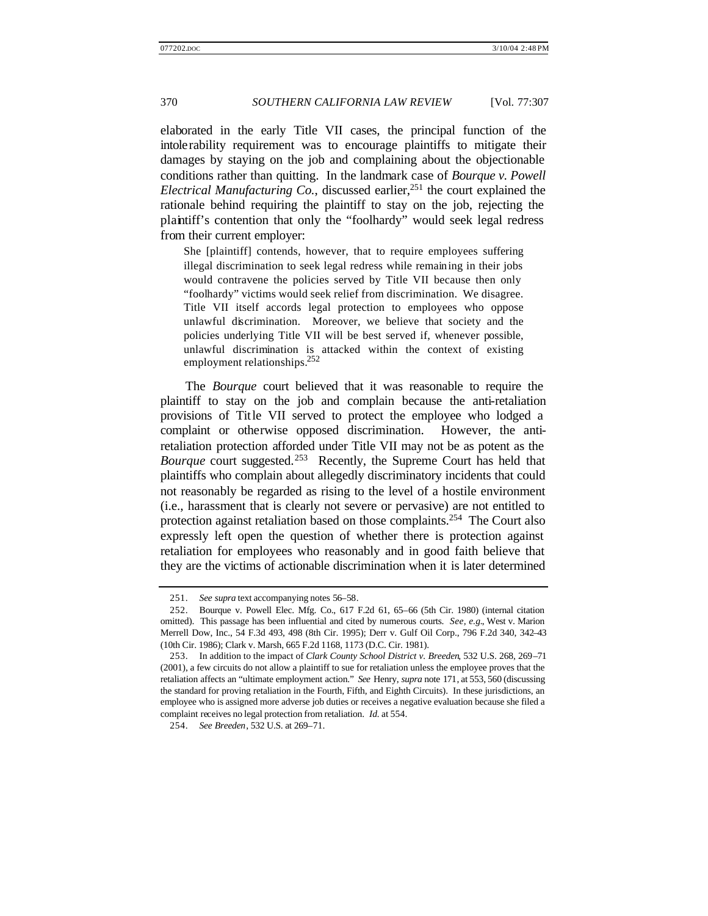elaborated in the early Title VII cases, the principal function of the intolerability requirement was to encourage plaintiffs to mitigate their damages by staying on the job and complaining about the objectionable conditions rather than quitting. In the landmark case of *Bourque v. Powell Electrical Manufacturing Co.*, discussed earlier,<sup>251</sup> the court explained the rationale behind requiring the plaintiff to stay on the job, rejecting the plaintiff's contention that only the "foolhardy" would seek legal redress from their current employer:

She [plaintiff] contends, however, that to require employees suffering illegal discrimination to seek legal redress while remaining in their jobs would contravene the policies served by Title VII because then only "foolhardy" victims would seek relief from discrimination. We disagree. Title VII itself accords legal protection to employees who oppose unlawful discrimination. Moreover, we believe that society and the policies underlying Title VII will be best served if, whenever possible, unlawful discrimination is attacked within the context of existing employment relationships.<sup>252</sup>

The *Bourque* court believed that it was reasonable to require the plaintiff to stay on the job and complain because the anti-retaliation provisions of Title VII served to protect the employee who lodged a complaint or otherwise opposed discrimination. However, the antiretaliation protection afforded under Title VII may not be as potent as the *Bourque* court suggested.<sup>253</sup> Recently, the Supreme Court has held that plaintiffs who complain about allegedly discriminatory incidents that could not reasonably be regarded as rising to the level of a hostile environment (i.e., harassment that is clearly not severe or pervasive) are not entitled to protection against retaliation based on those complaints.<sup>254</sup> The Court also expressly left open the question of whether there is protection against retaliation for employees who reasonably and in good faith believe that they are the victims of actionable discrimination when it is later determined

<sup>251.</sup> *See supra* text accompanying notes 56–58.

<sup>252.</sup> Bourque v. Powell Elec. Mfg. Co., 617 F.2d 61, 65–66 (5th Cir. 1980) (internal citation omitted). This passage has been influential and cited by numerous courts. *See, e.g.*, West v. Marion Merrell Dow, Inc., 54 F.3d 493, 498 (8th Cir. 1995); Derr v. Gulf Oil Corp., 796 F.2d 340, 342–43 (10th Cir. 1986); Clark v. Marsh, 665 F.2d 1168, 1173 (D.C. Cir. 1981).

<sup>253.</sup> In addition to the impact of *Clark County School District v. Breeden*, 532 U.S. 268, 269–71 (2001), a few circuits do not allow a plaintiff to sue for retaliation unless the employee proves that the retaliation affects an "ultimate employment action." *See* Henry, *supra* note 171, at 553, 560 (discussing the standard for proving retaliation in the Fourth, Fifth, and Eighth Circuits). In these jurisdictions, an employee who is assigned more adverse job duties or receives a negative evaluation because she filed a complaint receives no legal protection from retaliation. *Id.* at 554.

<sup>254.</sup> *See Breeden*, 532 U.S. at 269–71.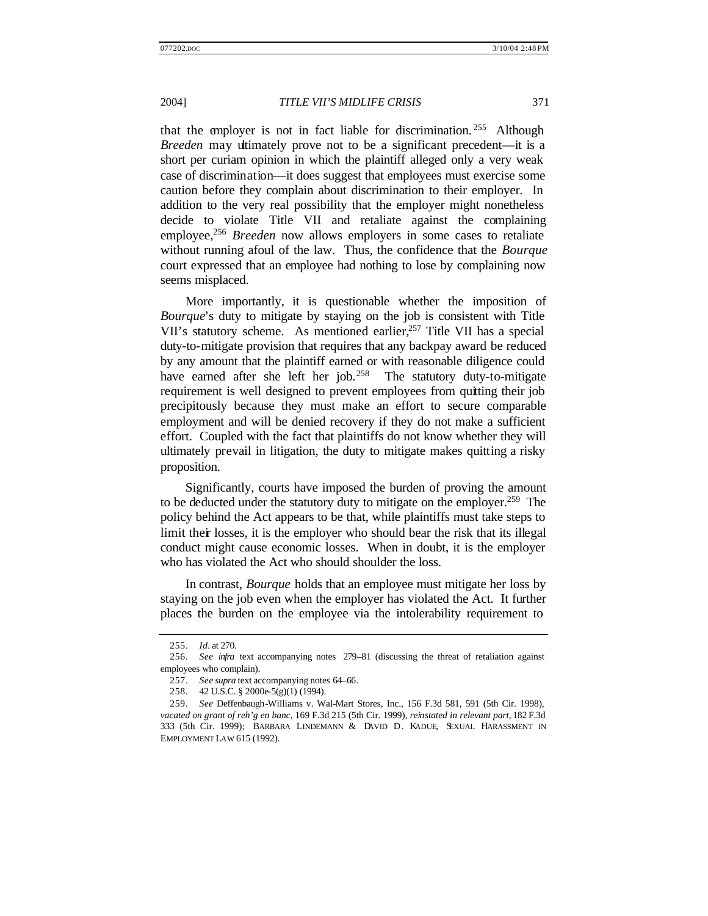that the employer is not in fact liable for discrimination. <sup>255</sup> Although *Breeden* may ultimately prove not to be a significant precedent—it is a short per curiam opinion in which the plaintiff alleged only a very weak case of discrimination—it does suggest that employees must exercise some caution before they complain about discrimination to their employer. In addition to the very real possibility that the employer might nonetheless decide to violate Title VII and retaliate against the complaining employee,<sup>256</sup> *Breeden* now allows employers in some cases to retaliate without running afoul of the law. Thus, the confidence that the *Bourque* court expressed that an employee had nothing to lose by complaining now seems misplaced.

More importantly, it is questionable whether the imposition of *Bourque*'s duty to mitigate by staying on the job is consistent with Title VII's statutory scheme. As mentioned earlier,<sup>257</sup> Title VII has a special duty-to-mitigate provision that requires that any backpay award be reduced by any amount that the plaintiff earned or with reasonable diligence could have earned after she left her job.<sup>258</sup> The statutory duty-to-mitigate requirement is well designed to prevent employees from quitting their job precipitously because they must make an effort to secure comparable employment and will be denied recovery if they do not make a sufficient effort. Coupled with the fact that plaintiffs do not know whether they will ultimately prevail in litigation, the duty to mitigate makes quitting a risky proposition.

Significantly, courts have imposed the burden of proving the amount to be deducted under the statutory duty to mitigate on the employer.<sup>259</sup> The policy behind the Act appears to be that, while plaintiffs must take steps to limit their losses, it is the employer who should bear the risk that its illegal conduct might cause economic losses. When in doubt, it is the employer who has violated the Act who should shoulder the loss.

In contrast, *Bourque* holds that an employee must mitigate her loss by staying on the job even when the employer has violated the Act. It further places the burden on the employee via the intolerability requirement to

<sup>255.</sup> *Id.* at 270.

<sup>256.</sup> *See infra* text accompanying notes 279–81 (discussing the threat of retaliation against employees who complain).

<sup>257.</sup> *See supra* text accompanying notes 64–66.

<sup>258.</sup> 42 U.S.C. § 2000e-5(g)(1) (1994).

<sup>259.</sup> *See* Deffenbaugh-Williams v. Wal-Mart Stores, Inc., 156 F.3d 581, 591 (5th Cir. 1998), *vacated on grant of reh'g en banc*, 169 F.3d 215 (5th Cir. 1999), *reinstated in relevant part*, 182 F.3d 333 (5th Cir. 1999); BARBARA LINDEMANN & DAVID D. KADUE, SEXUAL HARASSMENT IN EMPLOYMENT LAW 615 (1992).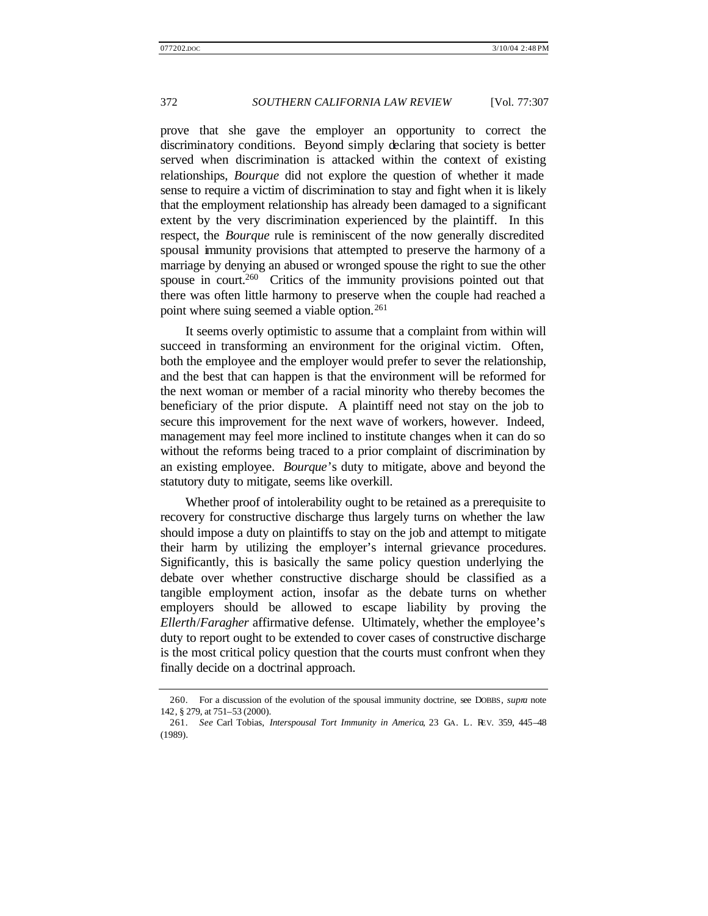prove that she gave the employer an opportunity to correct the discriminatory conditions. Beyond simply declaring that society is better served when discrimination is attacked within the context of existing relationships, *Bourque* did not explore the question of whether it made sense to require a victim of discrimination to stay and fight when it is likely that the employment relationship has already been damaged to a significant extent by the very discrimination experienced by the plaintiff. In this respect, the *Bourque* rule is reminiscent of the now generally discredited spousal immunity provisions that attempted to preserve the harmony of a marriage by denying an abused or wronged spouse the right to sue the other spouse in court. $260$  Critics of the immunity provisions pointed out that there was often little harmony to preserve when the couple had reached a point where suing seemed a viable option.<sup>261</sup>

It seems overly optimistic to assume that a complaint from within will succeed in transforming an environment for the original victim. Often, both the employee and the employer would prefer to sever the relationship, and the best that can happen is that the environment will be reformed for the next woman or member of a racial minority who thereby becomes the beneficiary of the prior dispute. A plaintiff need not stay on the job to secure this improvement for the next wave of workers, however. Indeed, management may feel more inclined to institute changes when it can do so without the reforms being traced to a prior complaint of discrimination by an existing employee. *Bourque*'s duty to mitigate, above and beyond the statutory duty to mitigate, seems like overkill.

Whether proof of intolerability ought to be retained as a prerequisite to recovery for constructive discharge thus largely turns on whether the law should impose a duty on plaintiffs to stay on the job and attempt to mitigate their harm by utilizing the employer's internal grievance procedures. Significantly, this is basically the same policy question underlying the debate over whether constructive discharge should be classified as a tangible employment action, insofar as the debate turns on whether employers should be allowed to escape liability by proving the *Ellerth*/*Faragher* affirmative defense. Ultimately, whether the employee's duty to report ought to be extended to cover cases of constructive discharge is the most critical policy question that the courts must confront when they finally decide on a doctrinal approach.

<sup>260.</sup> For a discussion of the evolution of the spousal immunity doctrine, see DOBBS, *supra* note 142, § 279, at 751–53 (2000).

<sup>261.</sup> *See* Carl Tobias, *Interspousal Tort Immunity in America*, 23 GA. L. REV. 359, 445–48 (1989).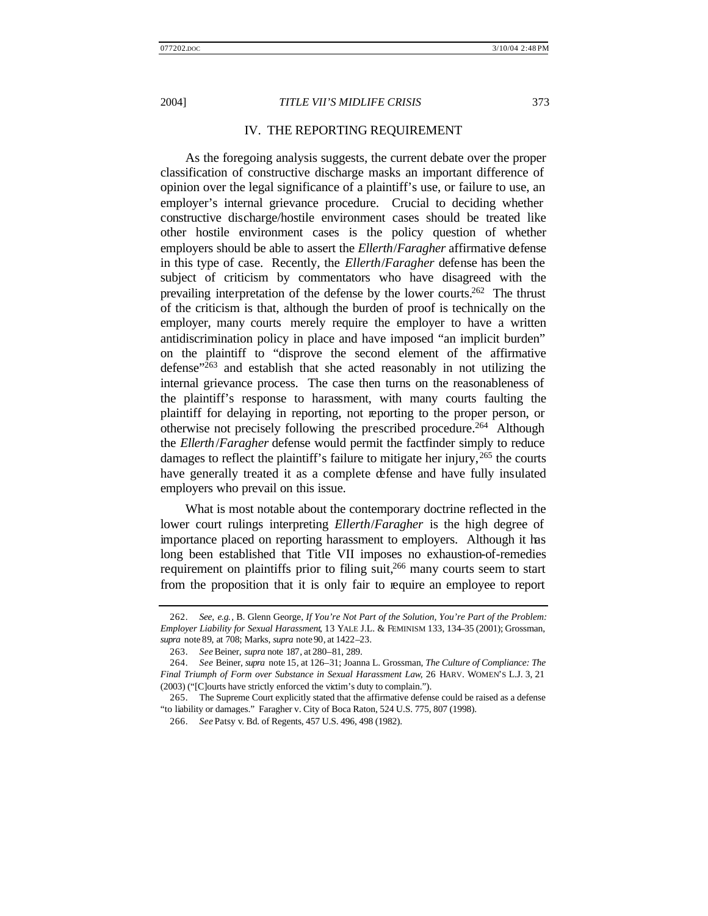### IV. THE REPORTING REQUIREMENT

As the foregoing analysis suggests, the current debate over the proper classification of constructive discharge masks an important difference of opinion over the legal significance of a plaintiff's use, or failure to use, an employer's internal grievance procedure. Crucial to deciding whether constructive discharge/hostile environment cases should be treated like other hostile environment cases is the policy question of whether employers should be able to assert the *Ellerth*/*Faragher* affirmative defense in this type of case. Recently, the *Ellerth*/*Faragher* defense has been the subject of criticism by commentators who have disagreed with the prevailing interpretation of the defense by the lower courts.<sup>262</sup> The thrust of the criticism is that, although the burden of proof is technically on the employer, many courts merely require the employer to have a written antidiscrimination policy in place and have imposed "an implicit burden" on the plaintiff to "disprove the second element of the affirmative defense $1263}$  and establish that she acted reasonably in not utilizing the internal grievance process. The case then turns on the reasonableness of the plaintiff's response to harassment, with many courts faulting the plaintiff for delaying in reporting, not reporting to the proper person, or otherwise not precisely following the prescribed procedure.<sup>264</sup> Although the *Ellerth*/*Faragher* defense would permit the factfinder simply to reduce damages to reflect the plaintiff's failure to mitigate her injury,  $265$  the courts have generally treated it as a complete defense and have fully insulated employers who prevail on this issue.

What is most notable about the contemporary doctrine reflected in the lower court rulings interpreting *Ellerth*/*Faragher* is the high degree of importance placed on reporting harassment to employers. Although it has long been established that Title VII imposes no exhaustion-of-remedies requirement on plaintiffs prior to filing suit,<sup>266</sup> many courts seem to start from the proposition that it is only fair to require an employee to report

<sup>262.</sup> *See, e.g.*, B. Glenn George, *If You're Not Part of the Solution, You're Part of the Problem: Employer Liability for Sexual Harassment*, 13 YALE J.L. & FEMINISM 133, 134–35 (2001); Grossman, *supra* note 89, at 708; Marks, *supra* note 90, at 1422–23.

<sup>263.</sup> *See* Beiner, *supra* note 187, at 280–81, 289.

<sup>264.</sup> *See* Beiner, *supra* note 15, at 126–31; Joanna L. Grossman, *The Culture of Compliance: The Final Triumph of Form over Substance in Sexual Harassment Law*, 26 HARV. WOMEN'S L.J. 3, 21 (2003) ("[C]ourts have strictly enforced the victim's duty to complain.").

<sup>265.</sup> The Supreme Court explicitly stated that the affirmative defense could be raised as a defense "to liability or damages." Faragher v. City of Boca Raton, 524 U.S. 775, 807 (1998).

<sup>266.</sup> *See* Patsy v. Bd. of Regents, 457 U.S. 496, 498 (1982).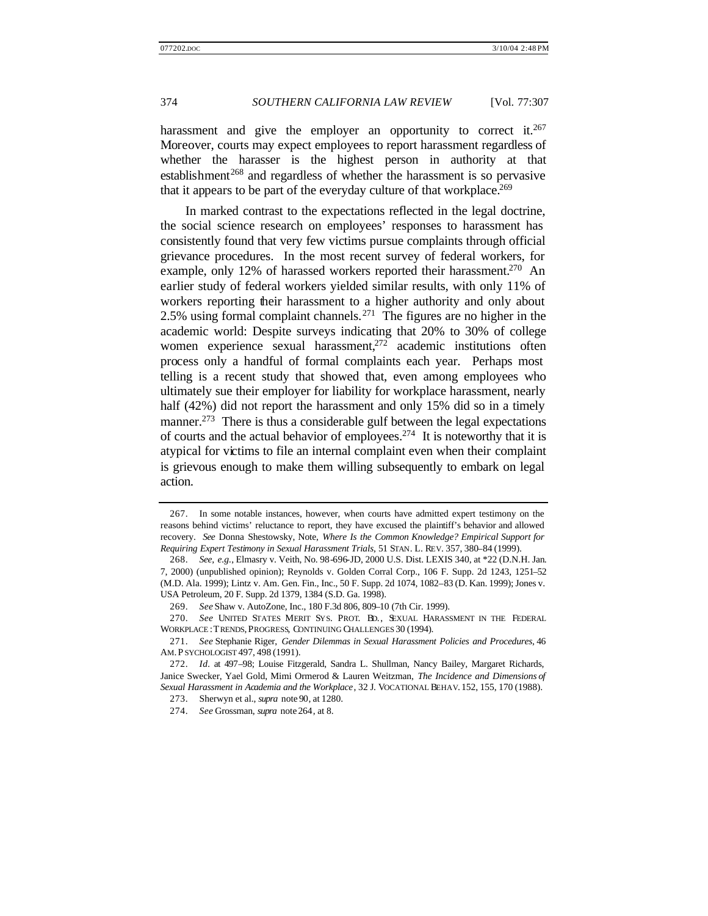harassment and give the employer an opportunity to correct it.<sup>267</sup> Moreover, courts may expect employees to report harassment regardless of whether the harasser is the highest person in authority at that  $estabilishment<sup>268</sup>$  and regardless of whether the harassment is so pervasive that it appears to be part of the everyday culture of that workplace.<sup>269</sup>

In marked contrast to the expectations reflected in the legal doctrine, the social science research on employees' responses to harassment has consistently found that very few victims pursue complaints through official grievance procedures. In the most recent survey of federal workers, for example, only 12% of harassed workers reported their harassment.<sup>270</sup> An earlier study of federal workers yielded similar results, with only 11% of workers reporting their harassment to a higher authority and only about 2.5% using formal complaint channels.<sup>271</sup> The figures are no higher in the academic world: Despite surveys indicating that 20% to 30% of college women experience sexual harassment, $272$  academic institutions often process only a handful of formal complaints each year. Perhaps most telling is a recent study that showed that, even among employees who ultimately sue their employer for liability for workplace harassment, nearly half (42%) did not report the harassment and only 15% did so in a timely manner.<sup>273</sup> There is thus a considerable gulf between the legal expectations of courts and the actual behavior of employees.<sup>274</sup> It is noteworthy that it is atypical for victims to file an internal complaint even when their complaint is grievous enough to make them willing subsequently to embark on legal action.

<sup>267.</sup> In some notable instances, however, when courts have admitted expert testimony on the reasons behind victims' reluctance to report, they have excused the plaintiff's behavior and allowed recovery. *See* Donna Shestowsky, Note, *Where Is the Common Knowledge? Empirical Support for Requiring Expert Testimony in Sexual Harassment Trials*, 51 STAN. L. REV. 357, 380–84 (1999).

<sup>268.</sup> *See, e.g.*, Elmasry v. Veith, No. 98-696-JD, 2000 U.S. Dist. LEXIS 340, at \*22 (D.N.H. Jan. 7, 2000) (unpublished opinion); Reynolds v. Golden Corral Corp., 106 F. Supp. 2d 1243, 1251–52 (M.D. Ala. 1999); Lintz v. Am. Gen. Fin., Inc., 50 F. Supp. 2d 1074, 1082–83 (D. Kan. 1999); Jones v. USA Petroleum, 20 F. Supp. 2d 1379, 1384 (S.D. Ga. 1998).

<sup>269.</sup> *See* Shaw v. AutoZone, Inc., 180 F.3d 806, 809–10 (7th Cir. 1999).

<sup>270.</sup> *See* UNITED STATES MERIT SYS. PROT. BD., SEXUAL HARASSMENT IN THE FEDERAL WORKPLACE : TRENDS, PROGRESS, CONTINUING CHALLENGES 30 (1994).

<sup>271.</sup> *See* Stephanie Riger, *Gender Dilemmas in Sexual Harassment Policies and Procedures*, 46 AM. P SYCHOLOGIST 497, 498 (1991).

<sup>272.</sup> *Id.* at 497–98; Louise Fitzgerald, Sandra L. Shullman, Nancy Bailey, Margaret Richards, Janice Swecker, Yael Gold, Mimi Ormerod & Lauren Weitzman, *The Incidence and Dimensions of Sexual Harassment in Academia and the Workplace*, 32 J. VOCATIONAL BEHAV. 152, 155, 170 (1988).

<sup>273.</sup> Sherwyn et al., *supra* note 90, at 1280.

<sup>274.</sup> *See* Grossman, *supra* note 264, at 8.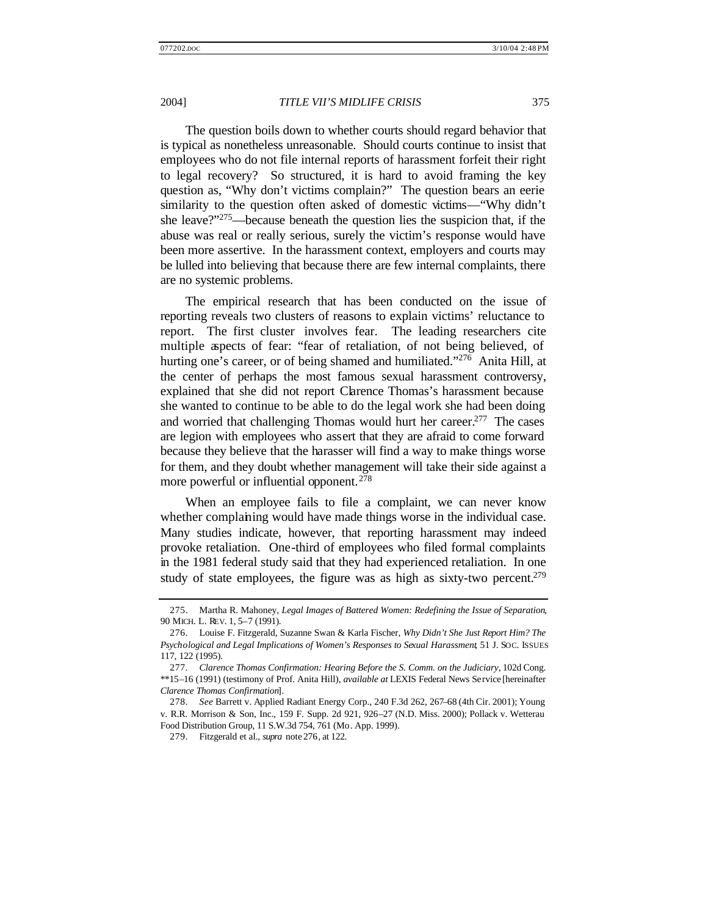The question boils down to whether courts should regard behavior that is typical as nonetheless unreasonable. Should courts continue to insist that employees who do not file internal reports of harassment forfeit their right to legal recovery? So structured, it is hard to avoid framing the key question as, "Why don't victims complain?" The question bears an eerie similarity to the question often asked of domestic victims—"Why didn't she leave?"<sup>275</sup>—because beneath the question lies the suspicion that, if the abuse was real or really serious, surely the victim's response would have been more assertive. In the harassment context, employers and courts may be lulled into believing that because there are few internal complaints, there are no systemic problems.

The empirical research that has been conducted on the issue of reporting reveals two clusters of reasons to explain victims' reluctance to report. The first cluster involves fear. The leading researchers cite multiple aspects of fear: "fear of retaliation, of not being believed, of hurting one's career, or of being shamed and humiliated."<sup>276</sup> Anita Hill, at the center of perhaps the most famous sexual harassment controversy, explained that she did not report Clarence Thomas's harassment because she wanted to continue to be able to do the legal work she had been doing and worried that challenging Thomas would hurt her career.<sup>277</sup> The cases are legion with employees who assert that they are afraid to come forward because they believe that the harasser will find a way to make things worse for them, and they doubt whether management will take their side against a more powerful or influential opponent.<sup>278</sup>

When an employee fails to file a complaint, we can never know whether complaining would have made things worse in the individual case. Many studies indicate, however, that reporting harassment may indeed provoke retaliation. One-third of employees who filed formal complaints in the 1981 federal study said that they had experienced retaliation. In one study of state employees, the figure was as high as sixty-two percent.<sup>279</sup>

<sup>275.</sup> Martha R. Mahoney, *Legal Images of Battered Women: Redefining the Issue of Separation*, 90 MICH. L. REV. 1, 5–7 (1991).

<sup>276.</sup> Louise F. Fitzgerald, Suzanne Swan & Karla Fischer, *Why Didn't She Just Report Him? The Psychological and Legal Implications of Women's Responses to Sexual Harassment*, 51 J. SOC. ISSUES 117, 122 (1995).

<sup>277.</sup> *Clarence Thomas Confirmation: Hearing Before the S. Comm. on the Judiciary*, 102d Cong. \*\*15–16 (1991) (testimony of Prof. Anita Hill), *available at* LEXIS Federal News Service [hereinafter *Clarence Thomas Confirmation*].

<sup>278.</sup> *See* Barrett v. Applied Radiant Energy Corp., 240 F.3d 262, 267–68 (4th Cir. 2001); Young v. R.R. Morrison & Son, Inc., 159 F. Supp. 2d 921, 926–27 (N.D. Miss. 2000); Pollack v. Wetterau Food Distribution Group, 11 S.W.3d 754, 761 (Mo. App. 1999).

<sup>279.</sup> Fitzgerald et al., *supra* note 276, at 122.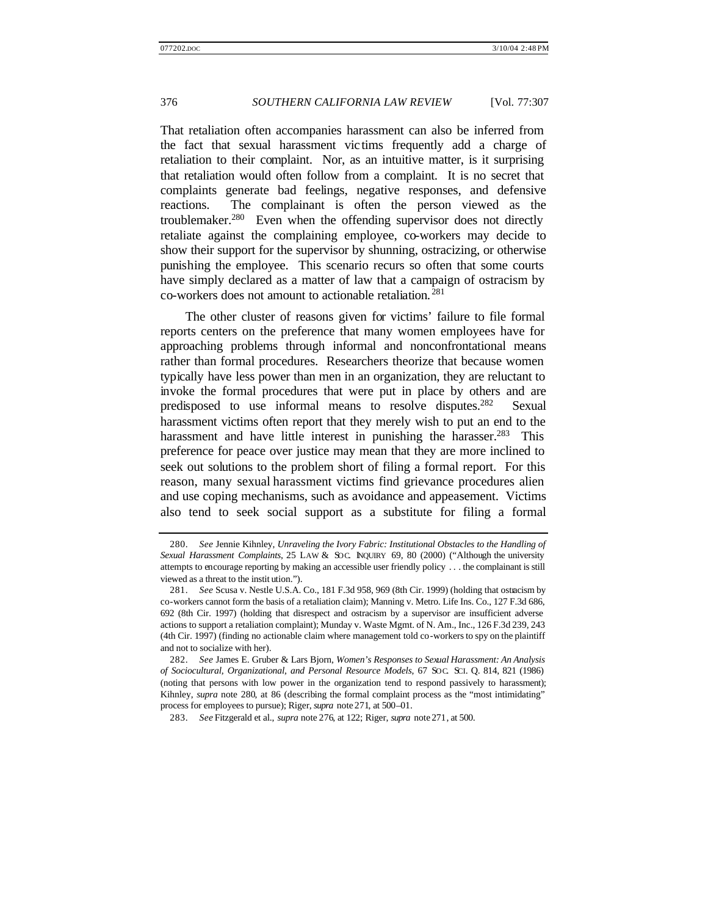That retaliation often accompanies harassment can also be inferred from the fact that sexual harassment vic tims frequently add a charge of retaliation to their complaint. Nor, as an intuitive matter, is it surprising that retaliation would often follow from a complaint. It is no secret that complaints generate bad feelings, negative responses, and defensive reactions. The complainant is often the person viewed as the troublemaker.<sup>280</sup> Even when the offending supervisor does not directly retaliate against the complaining employee, co-workers may decide to show their support for the supervisor by shunning, ostracizing, or otherwise punishing the employee. This scenario recurs so often that some courts have simply declared as a matter of law that a campaign of ostracism by co-workers does not amount to actionable retaliation. <sup>281</sup>

The other cluster of reasons given for victims' failure to file formal reports centers on the preference that many women employees have for approaching problems through informal and nonconfrontational means rather than formal procedures. Researchers theorize that because women typically have less power than men in an organization, they are reluctant to invoke the formal procedures that were put in place by others and are predisposed to use informal means to resolve disputes.<sup>282</sup> Sexual harassment victims often report that they merely wish to put an end to the harassment and have little interest in punishing the harasser.<sup>283</sup> This preference for peace over justice may mean that they are more inclined to seek out solutions to the problem short of filing a formal report. For this reason, many sexual harassment victims find grievance procedures alien and use coping mechanisms, such as avoidance and appeasement. Victims also tend to seek social support as a substitute for filing a formal

<sup>280.</sup> *See* Jennie Kihnley, *Unraveling the Ivory Fabric: Institutional Obstacles to the Handling of Sexual Harassment Complaints*, 25 LAW & SOC. INQUIRY 69, 80 (2000) ("Although the university attempts to encourage reporting by making an accessible user friendly policy . . . the complainant is still viewed as a threat to the instit ution.").

<sup>281.</sup> *See* Scusa v. Nestle U.S.A. Co., 181 F.3d 958, 969 (8th Cir. 1999) (holding that ostracism by co-workers cannot form the basis of a retaliation claim); Manning v. Metro. Life Ins. Co., 127 F.3d 686, 692 (8th Cir. 1997) (holding that disrespect and ostracism by a supervisor are insufficient adverse actions to support a retaliation complaint); Munday v. Waste Mgmt. of N. Am., Inc., 126 F.3d 239, 243 (4th Cir. 1997) (finding no actionable claim where management told co-workers to spy on the plaintiff and not to socialize with her).

<sup>282.</sup> *See* James E. Gruber & Lars Bjorn, *Women's Responses to Sexual Harassment: An Analysis of Sociocultural, Organizational, and Personal Resource Models*, 67 SOC. SCI. Q. 814, 821 (1986) (noting that persons with low power in the organization tend to respond passively to harassment); Kihnley, *supra* note 280, at 86 (describing the formal complaint process as the "most intimidating" process for employees to pursue); Riger, *supra* note 271, at 500–01.

<sup>283.</sup> *See* Fitzgerald et al., *supra* note 276, at 122; Riger, *supra* note 271, at 500.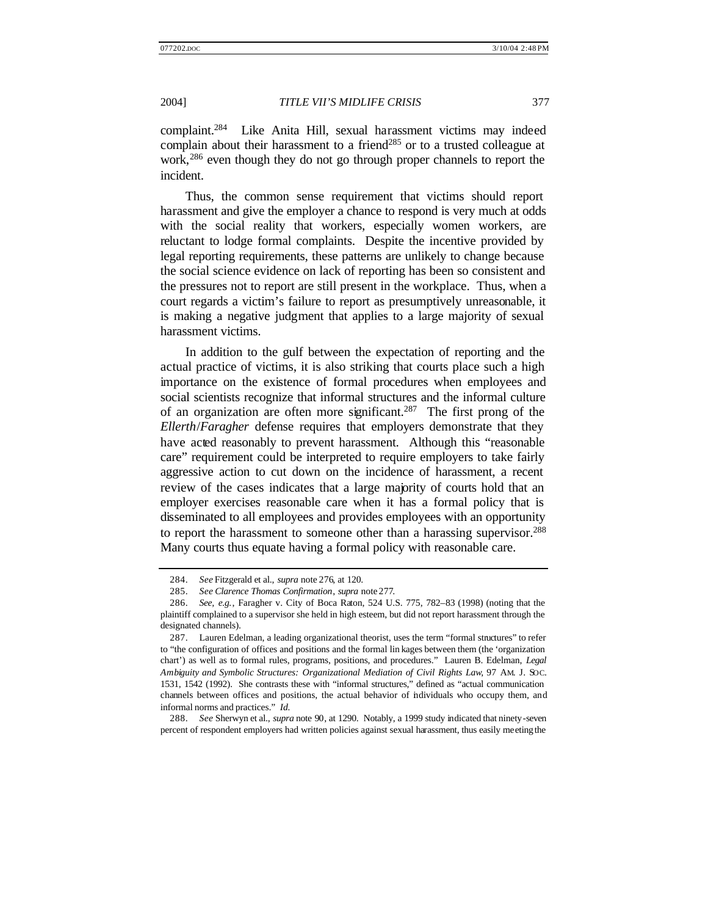complaint.<sup>284</sup> Like Anita Hill, sexual harassment victims may indeed complain about their harassment to a friend<sup>285</sup> or to a trusted colleague at work,<sup>286</sup> even though they do not go through proper channels to report the incident.

Thus, the common sense requirement that victims should report harassment and give the employer a chance to respond is very much at odds with the social reality that workers, especially women workers, are reluctant to lodge formal complaints. Despite the incentive provided by legal reporting requirements, these patterns are unlikely to change because the social science evidence on lack of reporting has been so consistent and the pressures not to report are still present in the workplace. Thus, when a court regards a victim's failure to report as presumptively unreasonable, it is making a negative judgment that applies to a large majority of sexual harassment victims.

In addition to the gulf between the expectation of reporting and the actual practice of victims, it is also striking that courts place such a high importance on the existence of formal procedures when employees and social scientists recognize that informal structures and the informal culture of an organization are often more significant.<sup>287</sup> The first prong of the *Ellerth*/*Faragher* defense requires that employers demonstrate that they have acted reasonably to prevent harassment. Although this "reasonable care" requirement could be interpreted to require employers to take fairly aggressive action to cut down on the incidence of harassment, a recent review of the cases indicates that a large majority of courts hold that an employer exercises reasonable care when it has a formal policy that is disseminated to all employees and provides employees with an opportunity to report the harassment to someone other than a harassing supervisor.<sup>288</sup> Many courts thus equate having a formal policy with reasonable care.

288. *See* Sherwyn et al., *supra* note 90, at 1290. Notably, a 1999 study indicated that ninety-seven percent of respondent employers had written policies against sexual harassment, thus easily meeting the

<sup>284.</sup> *See* Fitzgerald et al., *supra* note 276, at 120.

<sup>285.</sup> *See Clarence Thomas Confirmation*, *supra* note 277.

<sup>286.</sup> *See, e.g.*, Faragher v. City of Boca Raton, 524 U.S. 775, 782–83 (1998) (noting that the plaintiff complained to a supervisor she held in high esteem, but did not report harassment through the designated channels).

<sup>287.</sup> Lauren Edelman, a leading organizational theorist, uses the term "formal structures" to refer to "the configuration of offices and positions and the formal lin kages between them (the 'organization chart') as well as to formal rules, programs, positions, and procedures." Lauren B. Edelman, *Legal Ambiguity and Symbolic Structures: Organizational Mediation of Civil Rights Law*, 97 AM. J. SOC. 1531, 1542 (1992). She contrasts these with "informal structures," defined as "actual communication channels between offices and positions, the actual behavior of individuals who occupy them, and informal norms and practices." *Id.*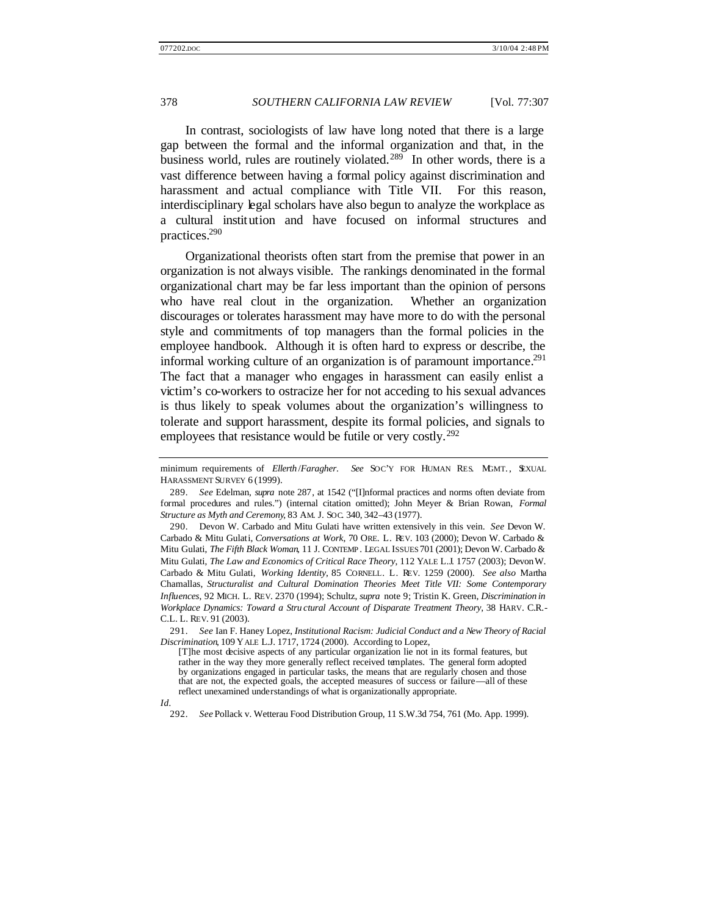In contrast, sociologists of law have long noted that there is a large gap between the formal and the informal organization and that, in the business world, rules are routinely violated.<sup>289</sup> In other words, there is a vast difference between having a formal policy against discrimination and harassment and actual compliance with Title VII. For this reason, interdisciplinary legal scholars have also begun to analyze the workplace as a cultural institution and have focused on informal structures and practices.<sup>290</sup>

Organizational theorists often start from the premise that power in an organization is not always visible. The rankings denominated in the formal organizational chart may be far less important than the opinion of persons who have real clout in the organization. Whether an organization discourages or tolerates harassment may have more to do with the personal style and commitments of top managers than the formal policies in the employee handbook. Although it is often hard to express or describe, the informal working culture of an organization is of paramount importance.<sup>291</sup> The fact that a manager who engages in harassment can easily enlist a victim's co-workers to ostracize her for not acceding to his sexual advances is thus likely to speak volumes about the organization's willingness to tolerate and support harassment, despite its formal policies, and signals to employees that resistance would be futile or very costly.<sup>292</sup>

290. Devon W. Carbado and Mitu Gulati have written extensively in this vein. *See* Devon W. Carbado & Mitu Gulati, *Conversations at Work*, 70 ORE. L. REV. 103 (2000); Devon W. Carbado & Mitu Gulati, *The Fifth Black Woman*, 11 J. CONTEMP . LEGAL ISSUES 701 (2001); Devon W. Carbado & Mitu Gulati, *The Law and Economics of Critical Race Theory*, 112 YALE L.J. 1757 (2003); Devon W. Carbado & Mitu Gulati, *Working Identity*, 85 CORNELL. L. REV. 1259 (2000). *See also* Martha Chamallas, *Structuralist and Cultural Domination Theories Meet Title VII: Some Contemporary Influences*, 92 MICH. L. REV. 2370 (1994); Schultz, *supra* note 9; Tristin K. Green, *Discrimination in Workplace Dynamics: Toward a Stru ctural Account of Disparate Treatment Theory*, 38 HARV. C.R.- C.L. L. REV. 91 (2003).

291. *See* Ian F. Haney Lopez, *Institutional Racism: Judicial Conduct and a New Theory of Racial Discrimination*, 109 YALE L.J. 1717, 1724 (2000). According to Lopez,

minimum requirements of *Ellerth* /*Faragher*. *See* SOC'Y FOR HUMAN RES. MGMT., SEXUAL HARASSMENT SURVEY 6 (1999).

<sup>289.</sup> *See* Edelman, *supra* note 287, at 1542 ("[I]nformal practices and norms often deviate from formal procedures and rules.") (internal citation omitted); John Meyer & Brian Rowan, *Formal Structure as Myth and Ceremony*, 83 AM. J. SOC. 340, 342–43 (1977).

<sup>[</sup>T]he most decisive aspects of any particular organization lie not in its formal features, but rather in the way they more generally reflect received templates. The general form adopted by organizations engaged in particular tasks, the means that are regularly chosen and those that are not, the expected goals, the accepted measures of success or failure—all of these reflect unexamined understandings of what is organizationally appropriate.

*Id.*

<sup>292.</sup> *See* Pollack v. Wetterau Food Distribution Group, 11 S.W.3d 754, 761 (Mo. App. 1999).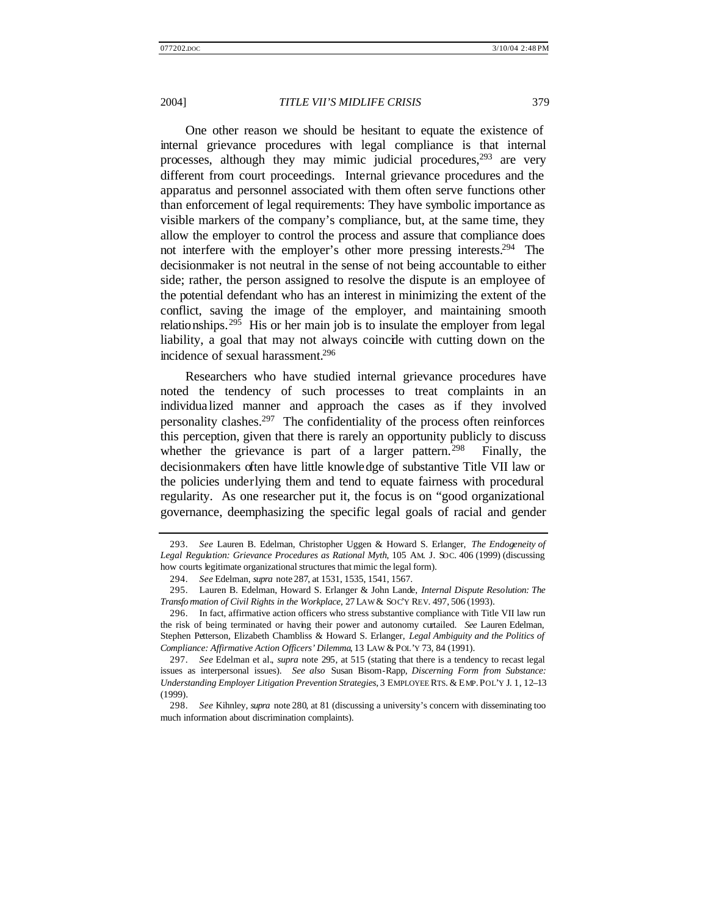One other reason we should be hesitant to equate the existence of internal grievance procedures with legal compliance is that internal processes, although they may mimic judicial procedures,  $293$  are very different from court proceedings. Internal grievance procedures and the apparatus and personnel associated with them often serve functions other than enforcement of legal requirements: They have symbolic importance as visible markers of the company's compliance, but, at the same time, they allow the employer to control the process and assure that compliance does not interfere with the employer's other more pressing interests.<sup>294</sup> The decisionmaker is not neutral in the sense of not being accountable to either side; rather, the person assigned to resolve the dispute is an employee of the potential defendant who has an interest in minimizing the extent of the conflict, saving the image of the employer, and maintaining smooth relationships.<sup>295</sup> His or her main job is to insulate the employer from legal liability, a goal that may not always coincide with cutting down on the incidence of sexual harassment.<sup>296</sup>

Researchers who have studied internal grievance procedures have noted the tendency of such processes to treat complaints in an individua lized manner and approach the cases as if they involved personality clashes.<sup>297</sup> The confidentiality of the process often reinforces this perception, given that there is rarely an opportunity publicly to discuss whether the grievance is part of a larger pattern.<sup>298</sup> Finally, the decisionmakers often have little knowledge of substantive Title VII law or the policies underlying them and tend to equate fairness with procedural regularity. As one researcher put it, the focus is on "good organizational governance, deemphasizing the specific legal goals of racial and gender

<sup>293.</sup> *See* Lauren B. Edelman, Christopher Uggen & Howard S. Erlanger, *The Endogeneity of Legal Regulation: Grievance Procedures as Rational Myth*, 105 AM. J. SOC. 406 (1999) (discussing how courts legitimate organizational structures that mimic the legal form).

<sup>294.</sup> *See* Edelman, *supra* note 287, at 1531, 1535, 1541, 1567.

<sup>295.</sup> Lauren B. Edelman, Howard S. Erlanger & John Lande, *Internal Dispute Resolution: The Transfo mation of Civil Rights in the Workplace, 27 LAW & SOC'Y REV. 497, 506 (1993).* 

<sup>296.</sup> In fact, affirmative action officers who stress substantive compliance with Title VII law run the risk of being terminated or having their power and autonomy curtailed. *See* Lauren Edelman, Stephen Petterson, Elizabeth Chambliss & Howard S. Erlanger, *Legal Ambiguity and the Politics of Compliance: Affirmative Action Officers' Dilemma*, 13 LAW & POL'Y 73, 84 (1991).

<sup>297.</sup> *See* Edelman et al., *supra* note 295, at 515 (stating that there is a tendency to recast legal issues as interpersonal issues). *See also* Susan Bisom-Rapp, *Discerning Form from Substance: Understanding Employer Litigation Prevention Strategies*, 3 EMPLOYEE RTS. & EMP. POL'Y J. 1, 12–13 (1999).

<sup>298.</sup> *See* Kihnley, *supra* note 280, at 81 (discussing a university's concern with disseminating too much information about discrimination complaints).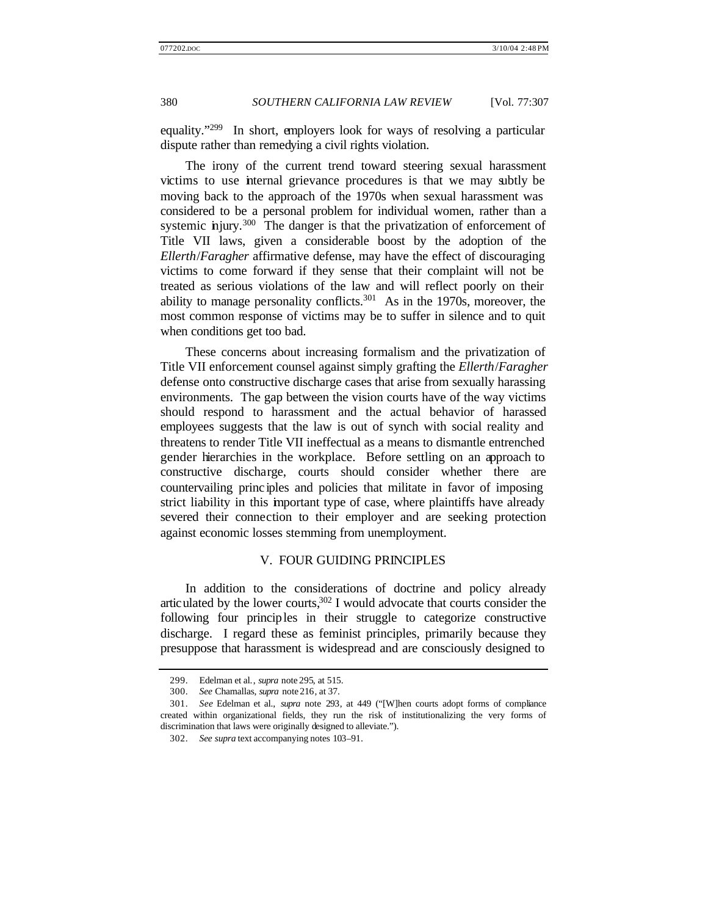equality."<sup>299</sup> In short, employers look for ways of resolving a particular dispute rather than remedying a civil rights violation.

The irony of the current trend toward steering sexual harassment victims to use internal grievance procedures is that we may subtly be moving back to the approach of the 1970s when sexual harassment was considered to be a personal problem for individual women, rather than a systemic injury.<sup>300</sup> The danger is that the privatization of enforcement of Title VII laws, given a considerable boost by the adoption of the *Ellerth*/*Faragher* affirmative defense, may have the effect of discouraging victims to come forward if they sense that their complaint will not be treated as serious violations of the law and will reflect poorly on their ability to manage personality conflicts.<sup>301</sup> As in the 1970s, moreover, the most common response of victims may be to suffer in silence and to quit when conditions get too bad.

These concerns about increasing formalism and the privatization of Title VII enforcement counsel against simply grafting the *Ellerth*/*Faragher* defense onto constructive discharge cases that arise from sexually harassing environments. The gap between the vision courts have of the way victims should respond to harassment and the actual behavior of harassed employees suggests that the law is out of synch with social reality and threatens to render Title VII ineffectual as a means to dismantle entrenched gender hierarchies in the workplace. Before settling on an approach to constructive discharge, courts should consider whether there are countervailing princ iples and policies that militate in favor of imposing strict liability in this important type of case, where plaintiffs have already severed their connection to their employer and are seeking protection against economic losses stemming from unemployment.

### V. FOUR GUIDING PRINCIPLES

In addition to the considerations of doctrine and policy already articulated by the lower courts, $302$  I would advocate that courts consider the following four principles in their struggle to categorize constructive discharge. I regard these as feminist principles, primarily because they presuppose that harassment is widespread and are consciously designed to

<sup>299.</sup> Edelman et al., *supra* note 295, at 515.

<sup>300.</sup> *See* Chamallas, *supra* note 216, at 37.

<sup>301.</sup> *See* Edelman et al., *supra* note 293, at 449 ("[W]hen courts adopt forms of compliance created within organizational fields, they run the risk of institutionalizing the very forms of discrimination that laws were originally designed to alleviate.").

<sup>302.</sup> *See supra* text accompanying notes 103–91.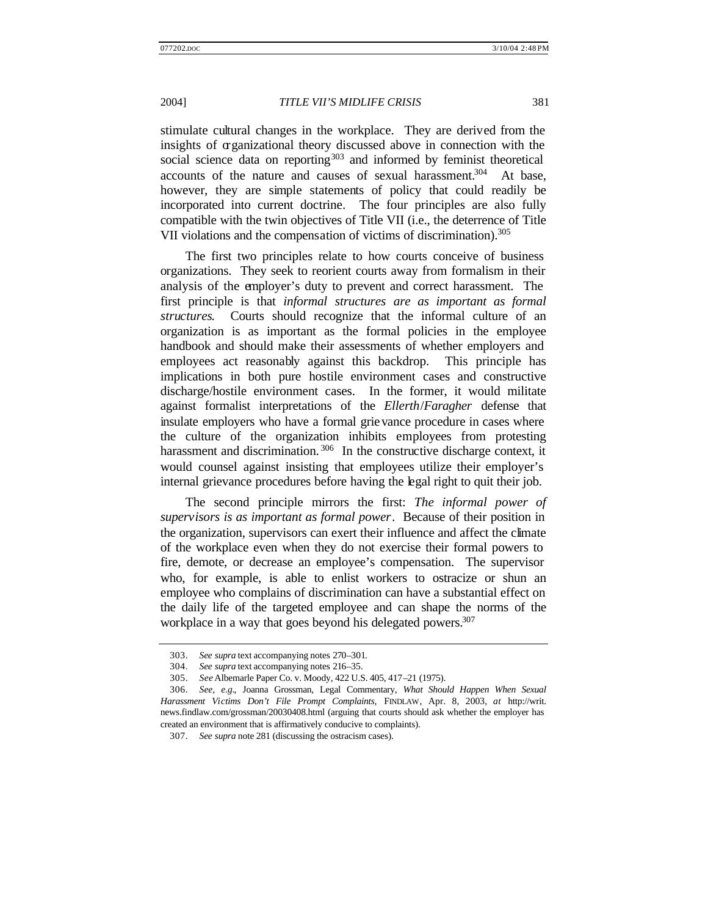stimulate cultural changes in the workplace. They are derived from the insights of organizational theory discussed above in connection with the social science data on reporting<sup>303</sup> and informed by feminist theoretical accounts of the nature and causes of sexual harassment.<sup>304</sup> At base, however, they are simple statements of policy that could readily be incorporated into current doctrine. The four principles are also fully compatible with the twin objectives of Title VII (i.e., the deterrence of Title VII violations and the compensation of victims of discrimination).<sup>305</sup>

The first two principles relate to how courts conceive of business organizations. They seek to reorient courts away from formalism in their analysis of the employer's duty to prevent and correct harassment. The first principle is that *informal structures are as important as formal structures*. Courts should recognize that the informal culture of an organization is as important as the formal policies in the employee handbook and should make their assessments of whether employers and employees act reasonably against this backdrop. This principle has implications in both pure hostile environment cases and constructive discharge/hostile environment cases. In the former, it would militate against formalist interpretations of the *Ellerth*/*Faragher* defense that insulate employers who have a formal grievance procedure in cases where the culture of the organization inhibits employees from protesting harassment and discrimination.<sup>306</sup> In the constructive discharge context, it would counsel against insisting that employees utilize their employer's internal grievance procedures before having the legal right to quit their job.

The second principle mirrors the first: *The informal power of supervisors is as important as formal power*. Because of their position in the organization, supervisors can exert their influence and affect the climate of the workplace even when they do not exercise their formal powers to fire, demote, or decrease an employee's compensation. The supervisor who, for example, is able to enlist workers to ostracize or shun an employee who complains of discrimination can have a substantial effect on the daily life of the targeted employee and can shape the norms of the workplace in a way that goes beyond his delegated powers.<sup>307</sup>

<sup>303.</sup> *See supra* text accompanying notes 270–301.

<sup>304.</sup> *See supra* text accompanying notes 216–35.

<sup>305.</sup> *See* Albemarle Paper Co. v. Moody, 422 U.S. 405, 417–21 (1975).

<sup>306.</sup> *See, e.g.*, Joanna Grossman, Legal Commentary, *What Should Happen When Sexual Harassment Victims Don't File Prompt Complaints*, FINDLAW, Apr. 8, 2003, *at* http://writ. news.findlaw.com/grossman/20030408.html (arguing that courts should ask whether the employer has created an environment that is affirmatively conducive to complaints).

<sup>307.</sup> *See supra* note 281 (discussing the ostracism cases).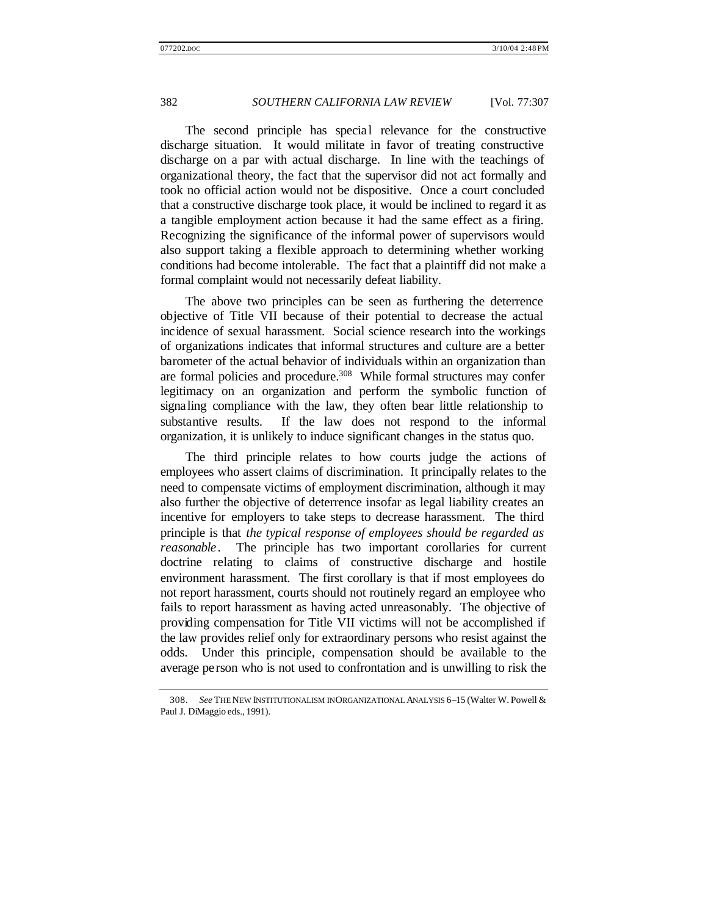The second principle has special relevance for the constructive discharge situation. It would militate in favor of treating constructive discharge on a par with actual discharge. In line with the teachings of organizational theory, the fact that the supervisor did not act formally and took no official action would not be dispositive. Once a court concluded that a constructive discharge took place, it would be inclined to regard it as a tangible employment action because it had the same effect as a firing. Recognizing the significance of the informal power of supervisors would also support taking a flexible approach to determining whether working conditions had become intolerable. The fact that a plaintiff did not make a formal complaint would not necessarily defeat liability.

The above two principles can be seen as furthering the deterrence objective of Title VII because of their potential to decrease the actual incidence of sexual harassment. Social science research into the workings of organizations indicates that informal structures and culture are a better barometer of the actual behavior of individuals within an organization than are formal policies and procedure.<sup>308</sup> While formal structures may confer legitimacy on an organization and perform the symbolic function of signaling compliance with the law, they often bear little relationship to substantive results. If the law does not respond to the informal organization, it is unlikely to induce significant changes in the status quo.

The third principle relates to how courts judge the actions of employees who assert claims of discrimination. It principally relates to the need to compensate victims of employment discrimination, although it may also further the objective of deterrence insofar as legal liability creates an incentive for employers to take steps to decrease harassment. The third principle is that *the typical response of employees should be regarded as reasonable*. The principle has two important corollaries for current doctrine relating to claims of constructive discharge and hostile environment harassment. The first corollary is that if most employees do not report harassment, courts should not routinely regard an employee who fails to report harassment as having acted unreasonably. The objective of providing compensation for Title VII victims will not be accomplished if the law provides relief only for extraordinary persons who resist against the odds. Under this principle, compensation should be available to the average pe rson who is not used to confrontation and is unwilling to risk the

<sup>308.</sup> *See* THE NEW INSTITUTIONALISM IN ORGANIZATIONAL ANALYSIS 6–15 (Walter W. Powell & Paul J. DiMaggio eds., 1991).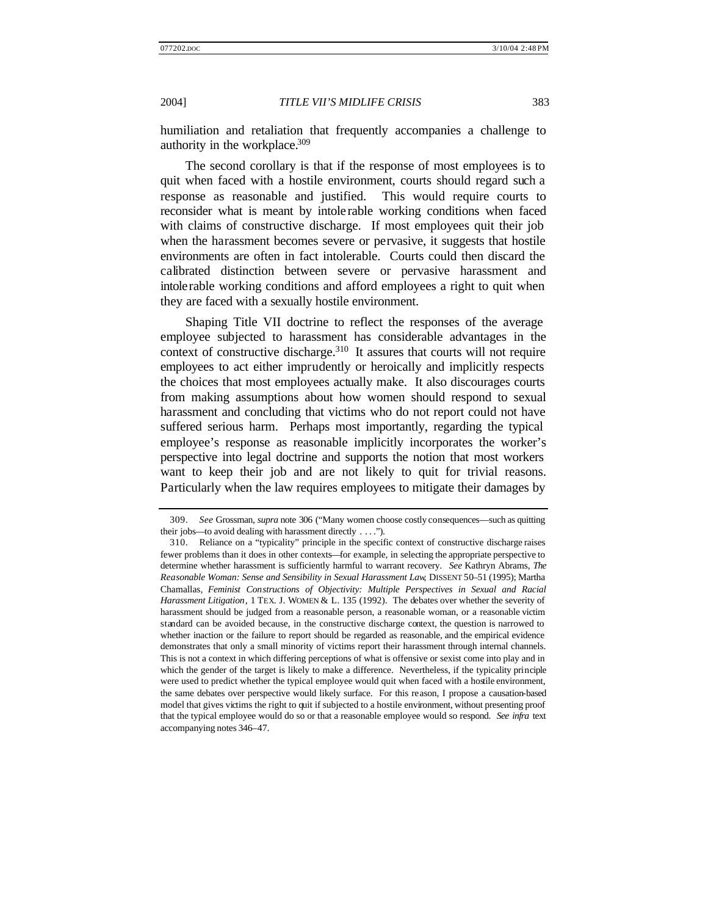humiliation and retaliation that frequently accompanies a challenge to authority in the workplace.<sup>309</sup>

The second corollary is that if the response of most employees is to quit when faced with a hostile environment, courts should regard such a response as reasonable and justified. This would require courts to reconsider what is meant by intole rable working conditions when faced with claims of constructive discharge. If most employees quit their job when the harassment becomes severe or pervasive, it suggests that hostile environments are often in fact intolerable. Courts could then discard the calibrated distinction between severe or pervasive harassment and intolerable working conditions and afford employees a right to quit when they are faced with a sexually hostile environment.

Shaping Title VII doctrine to reflect the responses of the average employee subjected to harassment has considerable advantages in the context of constructive discharge. $310$  It assures that courts will not require employees to act either imprudently or heroically and implicitly respects the choices that most employees actually make. It also discourages courts from making assumptions about how women should respond to sexual harassment and concluding that victims who do not report could not have suffered serious harm. Perhaps most importantly, regarding the typical employee's response as reasonable implicitly incorporates the worker's perspective into legal doctrine and supports the notion that most workers want to keep their job and are not likely to quit for trivial reasons. Particularly when the law requires employees to mitigate their damages by

<sup>309.</sup> *See* Grossman, *supra* note 306 ("Many women choose costly consequences—such as quitting their jobs—to avoid dealing with harassment directly . . . .").

<sup>310.</sup> Reliance on a "typicality" principle in the specific context of constructive discharge raises fewer problems than it does in other contexts—for example, in selecting the appropriate perspective to determine whether harassment is sufficiently harmful to warrant recovery. *See* Kathryn Abrams, *The Reasonable Woman: Sense and Sensibility in Sexual Harassment Law*, DISSENT 50–51 (1995); Martha Chamallas, *Feminist Constructions of Objectivity: Multiple Perspectives in Sexual and Racial Harassment Litigation*, 1 TEX. J. WOMEN & L. 135 (1992). The debates over whether the severity of harassment should be judged from a reasonable person, a reasonable woman, or a reasonable victim standard can be avoided because, in the constructive discharge context, the question is narrowed to whether inaction or the failure to report should be regarded as reasonable, and the empirical evidence demonstrates that only a small minority of victims report their harassment through internal channels. This is not a context in which differing perceptions of what is offensive or sexist come into play and in which the gender of the target is likely to make a difference. Nevertheless, if the typicality principle were used to predict whether the typical employee would quit when faced with a hostile environment, the same debates over perspective would likely surface. For this reason, I propose a causation-based model that gives victims the right to quit if subjected to a hostile environment, without presenting proof that the typical employee would do so or that a reasonable employee would so respond. *See infra* text accompanying notes 346–47.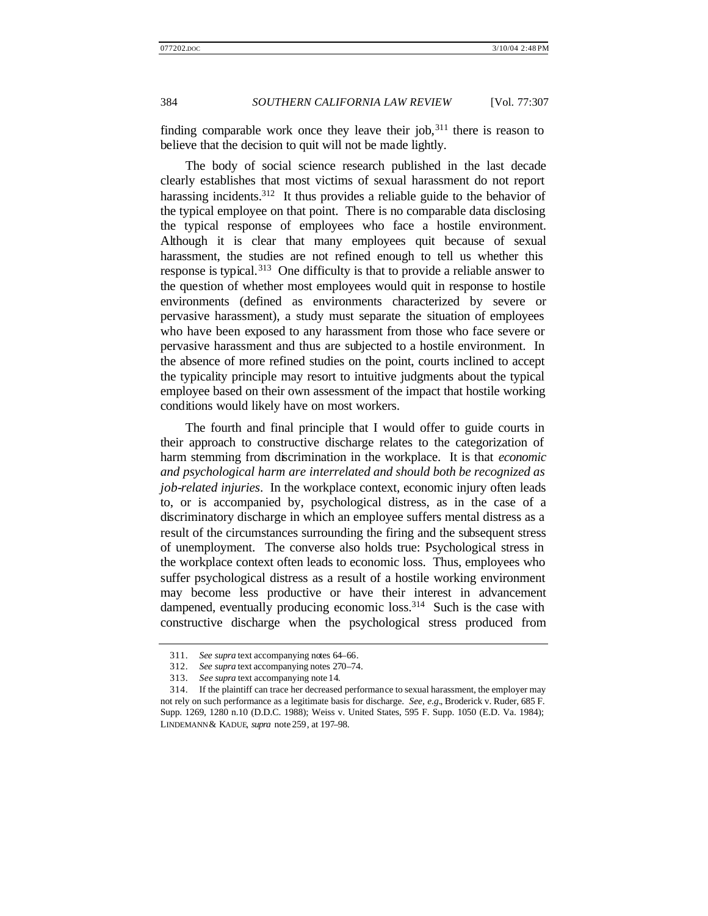finding comparable work once they leave their job,  $311$  there is reason to believe that the decision to quit will not be made lightly.

The body of social science research published in the last decade clearly establishes that most victims of sexual harassment do not report harassing incidents.<sup>312</sup> It thus provides a reliable guide to the behavior of the typical employee on that point. There is no comparable data disclosing the typical response of employees who face a hostile environment. Although it is clear that many employees quit because of sexual harassment, the studies are not refined enough to tell us whether this response is typical.<sup>313</sup> One difficulty is that to provide a reliable answer to the question of whether most employees would quit in response to hostile environments (defined as environments characterized by severe or pervasive harassment), a study must separate the situation of employees who have been exposed to any harassment from those who face severe or pervasive harassment and thus are subjected to a hostile environment. In the absence of more refined studies on the point, courts inclined to accept the typicality principle may resort to intuitive judgments about the typical employee based on their own assessment of the impact that hostile working conditions would likely have on most workers.

The fourth and final principle that I would offer to guide courts in their approach to constructive discharge relates to the categorization of harm stemming from discrimination in the workplace. It is that *economic and psychological harm are interrelated and should both be recognized as job-related injuries*. In the workplace context, economic injury often leads to, or is accompanied by, psychological distress, as in the case of a discriminatory discharge in which an employee suffers mental distress as a result of the circumstances surrounding the firing and the subsequent stress of unemployment. The converse also holds true: Psychological stress in the workplace context often leads to economic loss. Thus, employees who suffer psychological distress as a result of a hostile working environment may become less productive or have their interest in advancement dampened, eventually producing economic loss.<sup>314</sup> Such is the case with constructive discharge when the psychological stress produced from

<sup>311.</sup> *See supra* text accompanying notes 64–66.

<sup>312.</sup> *See supra* text accompanying notes 270–74.

<sup>313.</sup> *See supra* text accompanying note 14.

<sup>314.</sup> If the plaintiff can trace her decreased performance to sexual harassment, the employer may not rely on such performance as a legitimate basis for discharge. *See, e.g.*, Broderick v. Ruder, 685 F. Supp. 1269, 1280 n.10 (D.D.C. 1988); Weiss v. United States, 595 F. Supp. 1050 (E.D. Va. 1984); LINDEMANN & KADUE, *supra* note 259, at 197–98.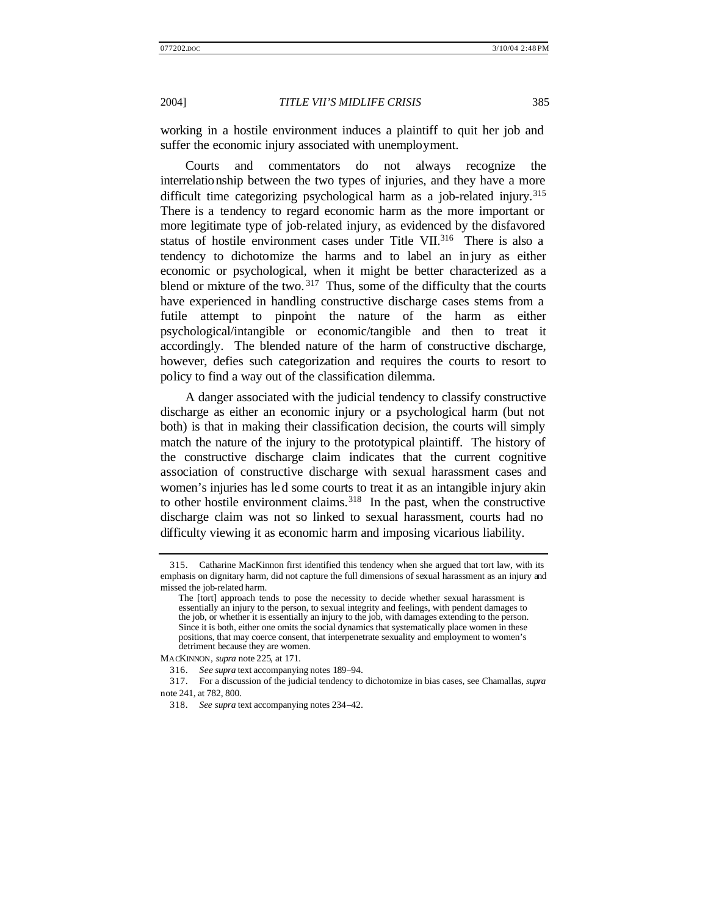working in a hostile environment induces a plaintiff to quit her job and suffer the economic injury associated with unemployment.

Courts and commentators do not always recognize the interrelationship between the two types of injuries, and they have a more difficult time categorizing psychological harm as a job-related injury.<sup>315</sup> There is a tendency to regard economic harm as the more important or more legitimate type of job-related injury, as evidenced by the disfavored status of hostile environment cases under Title VII.<sup>316</sup> There is also a tendency to dichotomize the harms and to label an injury as either economic or psychological, when it might be better characterized as a blend or mixture of the two.  $317$  Thus, some of the difficulty that the courts have experienced in handling constructive discharge cases stems from a futile attempt to pinpoint the nature of the harm as either psychological/intangible or economic/tangible and then to treat it accordingly. The blended nature of the harm of constructive discharge, however, defies such categorization and requires the courts to resort to policy to find a way out of the classification dilemma.

A danger associated with the judicial tendency to classify constructive discharge as either an economic injury or a psychological harm (but not both) is that in making their classification decision, the courts will simply match the nature of the injury to the prototypical plaintiff. The history of the constructive discharge claim indicates that the current cognitive association of constructive discharge with sexual harassment cases and women's injuries has led some courts to treat it as an intangible injury akin to other hostile environment claims.<sup>318</sup> In the past, when the constructive discharge claim was not so linked to sexual harassment, courts had no difficulty viewing it as economic harm and imposing vicarious liability.

MACKINNON, *supra* note 225, at 171.

<sup>315.</sup> Catharine MacKinnon first identified this tendency when she argued that tort law, with its emphasis on dignitary harm, did not capture the full dimensions of sexual harassment as an injury and missed the job-related harm.

The [tort] approach tends to pose the necessity to decide whether sexual harassment is essentially an injury to the person, to sexual integrity and feelings, with pendent damages to the job, or whether it is essentially an injury to the job, with damages extending to the person. Since it is both, either one omits the social dynamics that systematically place women in these positions, that may coerce consent, that interpenetrate sexuality and employment to women's detriment because they are women.

<sup>316.</sup> *See supra* text accompanying notes 189–94.

<sup>317.</sup> For a discussion of the judicial tendency to dichotomize in bias cases, see Chamallas, *supra* note 241, at 782, 800.

<sup>318.</sup> *See supra* text accompanying notes 234–42.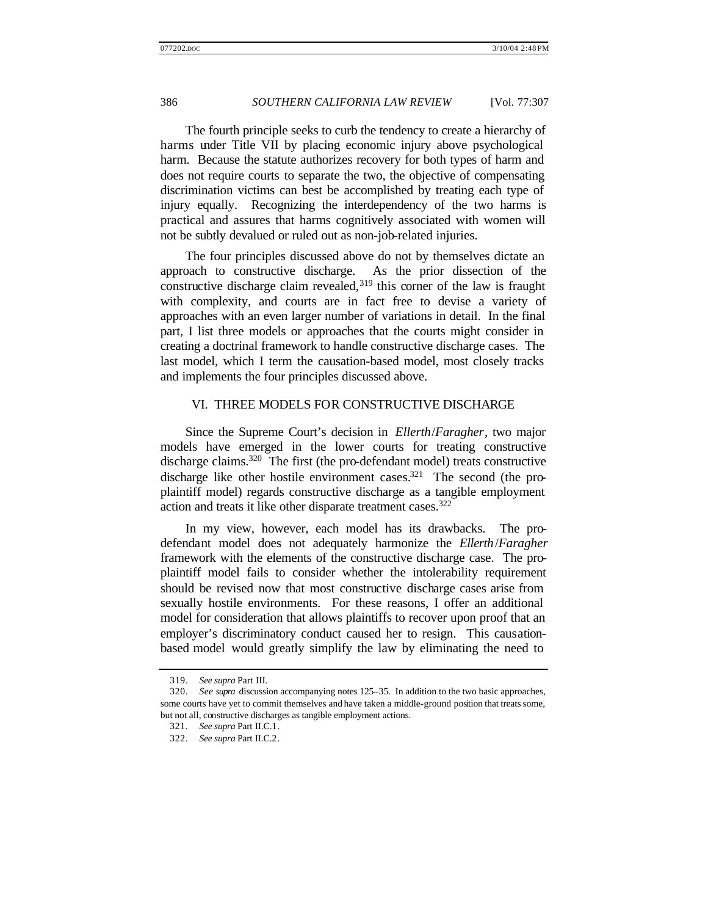The fourth principle seeks to curb the tendency to create a hierarchy of harms under Title VII by placing economic injury above psychological harm. Because the statute authorizes recovery for both types of harm and does not require courts to separate the two, the objective of compensating discrimination victims can best be accomplished by treating each type of injury equally. Recognizing the interdependency of the two harms is practical and assures that harms cognitively associated with women will not be subtly devalued or ruled out as non-job-related injuries.

The four principles discussed above do not by themselves dictate an approach to constructive discharge. As the prior dissection of the constructive discharge claim revealed,  $319$  this corner of the law is fraught with complexity, and courts are in fact free to devise a variety of approaches with an even larger number of variations in detail. In the final part, I list three models or approaches that the courts might consider in creating a doctrinal framework to handle constructive discharge cases. The last model, which I term the causation-based model, most closely tracks and implements the four principles discussed above.

## VI. THREE MODELS FOR CONSTRUCTIVE DISCHARGE

Since the Supreme Court's decision in *Ellerth*/*Faragher*, two major models have emerged in the lower courts for treating constructive discharge claims.<sup>320</sup> The first (the pro-defendant model) treats constructive discharge like other hostile environment cases.<sup>321</sup> The second (the proplaintiff model) regards constructive discharge as a tangible employment action and treats it like other disparate treatment cases.<sup>322</sup>

In my view, however, each model has its drawbacks. The prodefendant model does not adequately harmonize the *Ellerth*/*Faragher* framework with the elements of the constructive discharge case. The proplaintiff model fails to consider whether the intolerability requirement should be revised now that most constructive discharge cases arise from sexually hostile environments. For these reasons, I offer an additional model for consideration that allows plaintiffs to recover upon proof that an employer's discriminatory conduct caused her to resign. This causationbased model would greatly simplify the law by eliminating the need to

<sup>319.</sup> *See supra* Part III.

<sup>320.</sup> *See supra* discussion accompanying notes 125–35. In addition to the two basic approaches, some courts have yet to commit themselves and have taken a middle-ground position that treats some, but not all, constructive discharges as tangible employment actions.

<sup>321.</sup> *See supra* Part II.C.1.

<sup>322.</sup> *See supra* Part II.C.2.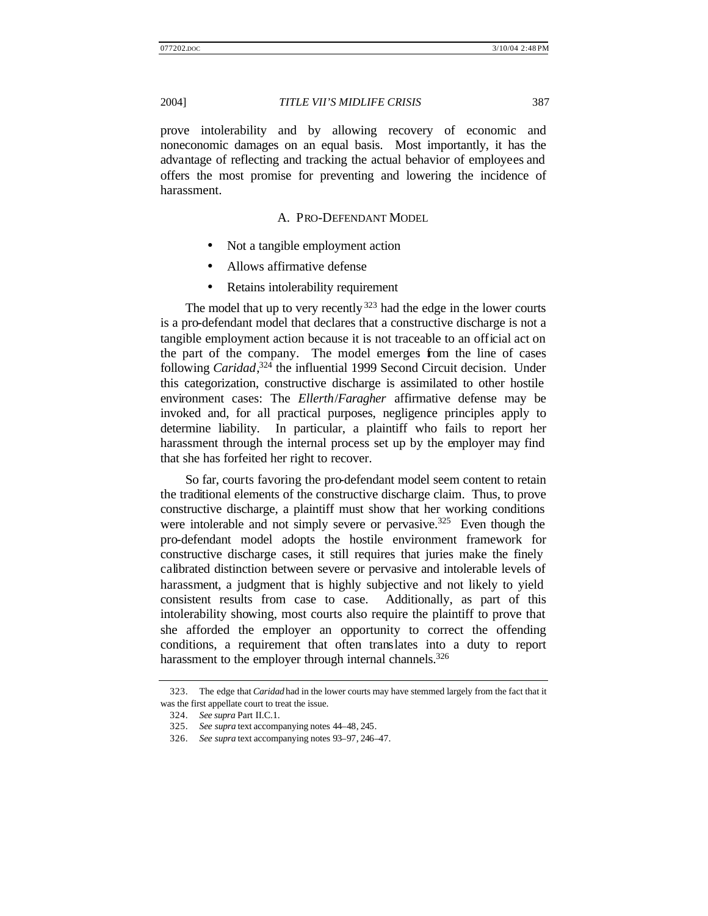prove intolerability and by allowing recovery of economic and noneconomic damages on an equal basis. Most importantly, it has the advantage of reflecting and tracking the actual behavior of employees and offers the most promise for preventing and lowering the incidence of harassment.

## A. PRO-DEFENDANT MODEL

- Not a tangible employment action
- Allows affirmative defense
- Retains intolerability requirement

The model that up to very recently  $323$  had the edge in the lower courts is a pro-defendant model that declares that a constructive discharge is not a tangible employment action because it is not traceable to an official act on the part of the company. The model emerges from the line of cases following *Caridad*, <sup>324</sup> the influential 1999 Second Circuit decision. Under this categorization, constructive discharge is assimilated to other hostile environment cases: The *Ellerth*/*Faragher* affirmative defense may be invoked and, for all practical purposes, negligence principles apply to determine liability. In particular, a plaintiff who fails to report her harassment through the internal process set up by the employer may find that she has forfeited her right to recover.

So far, courts favoring the pro-defendant model seem content to retain the traditional elements of the constructive discharge claim. Thus, to prove constructive discharge, a plaintiff must show that her working conditions were intolerable and not simply severe or pervasive.<sup>325</sup> Even though the pro-defendant model adopts the hostile environment framework for constructive discharge cases, it still requires that juries make the finely calibrated distinction between severe or pervasive and intolerable levels of harassment, a judgment that is highly subjective and not likely to yield consistent results from case to case. Additionally, as part of this intolerability showing, most courts also require the plaintiff to prove that she afforded the employer an opportunity to correct the offending conditions, a requirement that often translates into a duty to report harassment to the employer through internal channels.<sup>326</sup>

<sup>323.</sup> The edge that *Caridad* had in the lower courts may have stemmed largely from the fact that it was the first appellate court to treat the issue.

<sup>324.</sup> *See supra* Part II.C.1.

<sup>325.</sup> *See supra* text accompanying notes 44–48, 245.

<sup>326.</sup> *See supra* text accompanying notes 93–97, 246–47.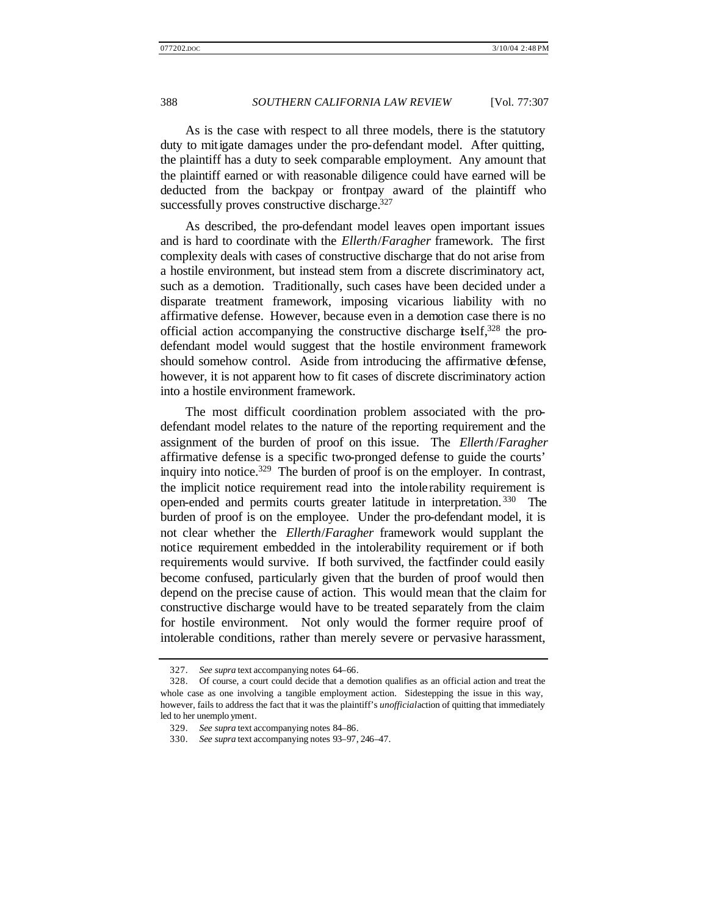As is the case with respect to all three models, there is the statutory duty to mitigate damages under the pro-defendant model. After quitting, the plaintiff has a duty to seek comparable employment. Any amount that the plaintiff earned or with reasonable diligence could have earned will be deducted from the backpay or frontpay award of the plaintiff who successfully proves constructive discharge.<sup>327</sup>

As described, the pro-defendant model leaves open important issues and is hard to coordinate with the *Ellerth*/*Faragher* framework. The first complexity deals with cases of constructive discharge that do not arise from a hostile environment, but instead stem from a discrete discriminatory act, such as a demotion. Traditionally, such cases have been decided under a disparate treatment framework, imposing vicarious liability with no affirmative defense. However, because even in a demotion case there is no official action accompanying the constructive discharge itself,  $328$  the prodefendant model would suggest that the hostile environment framework should somehow control. Aside from introducing the affirmative defense, however, it is not apparent how to fit cases of discrete discriminatory action into a hostile environment framework.

The most difficult coordination problem associated with the prodefendant model relates to the nature of the reporting requirement and the assignment of the burden of proof on this issue. The *Ellerth*/*Faragher* affirmative defense is a specific two-pronged defense to guide the courts' inquiry into notice.<sup>329</sup> The burden of proof is on the employer. In contrast, the implicit notice requirement read into the intolerability requirement is open-ended and permits courts greater latitude in interpretation. <sup>330</sup> The burden of proof is on the employee. Under the pro-defendant model, it is not clear whether the *Ellerth*/*Faragher* framework would supplant the notice requirement embedded in the intolerability requirement or if both requirements would survive. If both survived, the factfinder could easily become confused, particularly given that the burden of proof would then depend on the precise cause of action. This would mean that the claim for constructive discharge would have to be treated separately from the claim for hostile environment. Not only would the former require proof of intolerable conditions, rather than merely severe or pervasive harassment,

<sup>327.</sup> *See supra* text accompanying notes 64–66.

<sup>328.</sup> Of course, a court could decide that a demotion qualifies as an official action and treat the whole case as one involving a tangible employment action. Sidestepping the issue in this way, however, fails to address the fact that it was the plaintiff's *unofficial* action of quitting that immediately led to her unemplo yment.

<sup>329.</sup> *See supra* text accompanying notes 84–86.

<sup>330.</sup> *See supra* text accompanying notes 93–97, 246–47.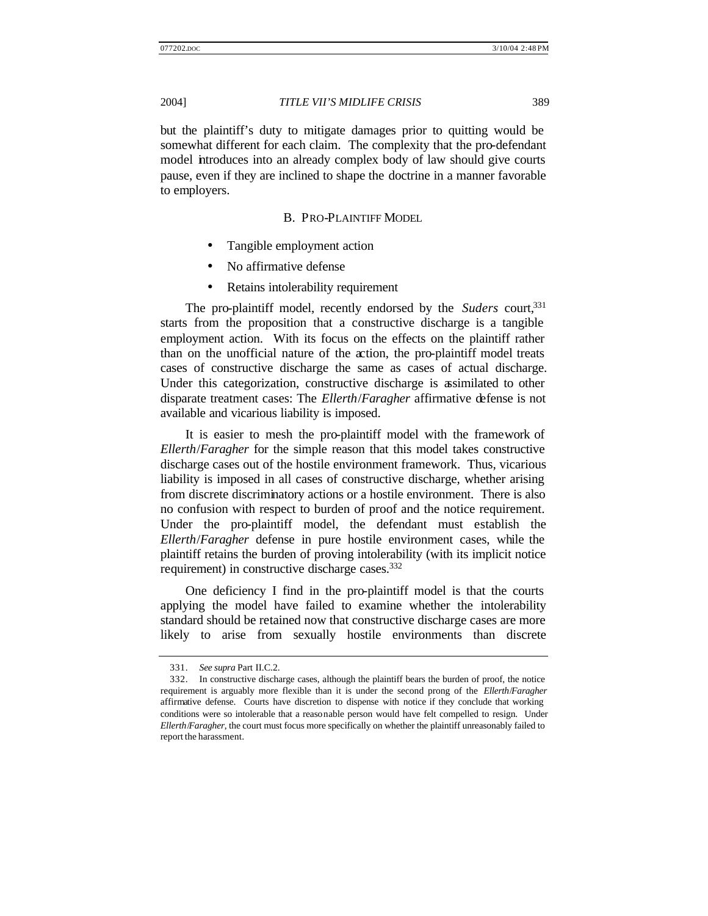but the plaintiff's duty to mitigate damages prior to quitting would be somewhat different for each claim. The complexity that the pro-defendant model introduces into an already complex body of law should give courts pause, even if they are inclined to shape the doctrine in a manner favorable to employers.

## B. PRO-PLAINTIFF MODEL

- Tangible employment action
- No affirmative defense
- Retains intolerability requirement

The pro-plaintiff model, recently endorsed by the *Suders* court,<sup>331</sup> starts from the proposition that a constructive discharge is a tangible employment action. With its focus on the effects on the plaintiff rather than on the unofficial nature of the action, the pro-plaintiff model treats cases of constructive discharge the same as cases of actual discharge. Under this categorization, constructive discharge is assimilated to other disparate treatment cases: The *Ellerth*/*Faragher* affirmative defense is not available and vicarious liability is imposed.

It is easier to mesh the pro-plaintiff model with the framework of *Ellerth*/*Faragher* for the simple reason that this model takes constructive discharge cases out of the hostile environment framework. Thus, vicarious liability is imposed in all cases of constructive discharge, whether arising from discrete discriminatory actions or a hostile environment. There is also no confusion with respect to burden of proof and the notice requirement. Under the pro-plaintiff model, the defendant must establish the *Ellerth*/*Faragher* defense in pure hostile environment cases, while the plaintiff retains the burden of proving intolerability (with its implicit notice requirement) in constructive discharge cases.<sup>332</sup>

One deficiency I find in the pro-plaintiff model is that the courts applying the model have failed to examine whether the intolerability standard should be retained now that constructive discharge cases are more likely to arise from sexually hostile environments than discrete

<sup>331.</sup> *See supra* Part II.C.2.

<sup>332.</sup> In constructive discharge cases, although the plaintiff bears the burden of proof, the notice requirement is arguably more flexible than it is under the second prong of the *Ellerth*/*Faragher* affirmative defense. Courts have discretion to dispense with notice if they conclude that working conditions were so intolerable that a reasonable person would have felt compelled to resign. Under *Ellerth*/*Faragher*, the court must focus more specifically on whether the plaintiff unreasonably failed to report the harassment.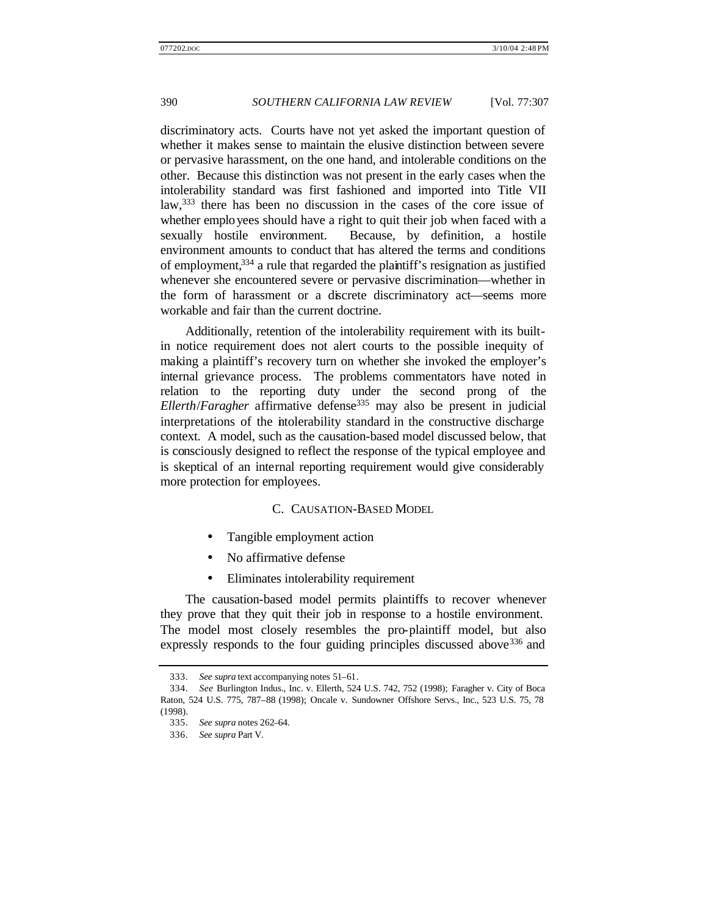discriminatory acts. Courts have not yet asked the important question of whether it makes sense to maintain the elusive distinction between severe or pervasive harassment, on the one hand, and intolerable conditions on the other. Because this distinction was not present in the early cases when the intolerability standard was first fashioned and imported into Title VII law,<sup>333</sup> there has been no discussion in the cases of the core issue of whether employees should have a right to quit their job when faced with a sexually hostile environment. Because, by definition, a hostile environment amounts to conduct that has altered the terms and conditions of employment,<sup>334</sup> a rule that regarded the plaintiff's resignation as justified whenever she encountered severe or pervasive discrimination—whether in the form of harassment or a discrete discriminatory act—seems more workable and fair than the current doctrine.

Additionally, retention of the intolerability requirement with its builtin notice requirement does not alert courts to the possible inequity of making a plaintiff's recovery turn on whether she invoked the employer's internal grievance process. The problems commentators have noted in relation to the reporting duty under the second prong of the *Ellerth*/*Faragher* affirmative defense<sup>335</sup> may also be present in judicial interpretations of the intolerability standard in the constructive discharge context. A model, such as the causation-based model discussed below, that is consciously designed to reflect the response of the typical employee and is skeptical of an internal reporting requirement would give considerably more protection for employees.

#### C. CAUSATION-BASED MODEL

- Tangible employment action
- No affirmative defense
- Eliminates intolerability requirement

The causation-based model permits plaintiffs to recover whenever they prove that they quit their job in response to a hostile environment. The model most closely resembles the pro-plaintiff model, but also expressly responds to the four guiding principles discussed above  $336$  and

<sup>333.</sup> *See supra* text accompanying notes 51–61.

<sup>334.</sup> *See* Burlington Indus., Inc. v. Ellerth, 524 U.S. 742, 752 (1998); Faragher v. City of Boca Raton, 524 U.S. 775, 787–88 (1998); Oncale v. Sundowner Offshore Servs., Inc., 523 U.S. 75, 78 (1998).

<sup>335.</sup> *See supra* notes 262–64.

<sup>336.</sup> *See supra* Part V.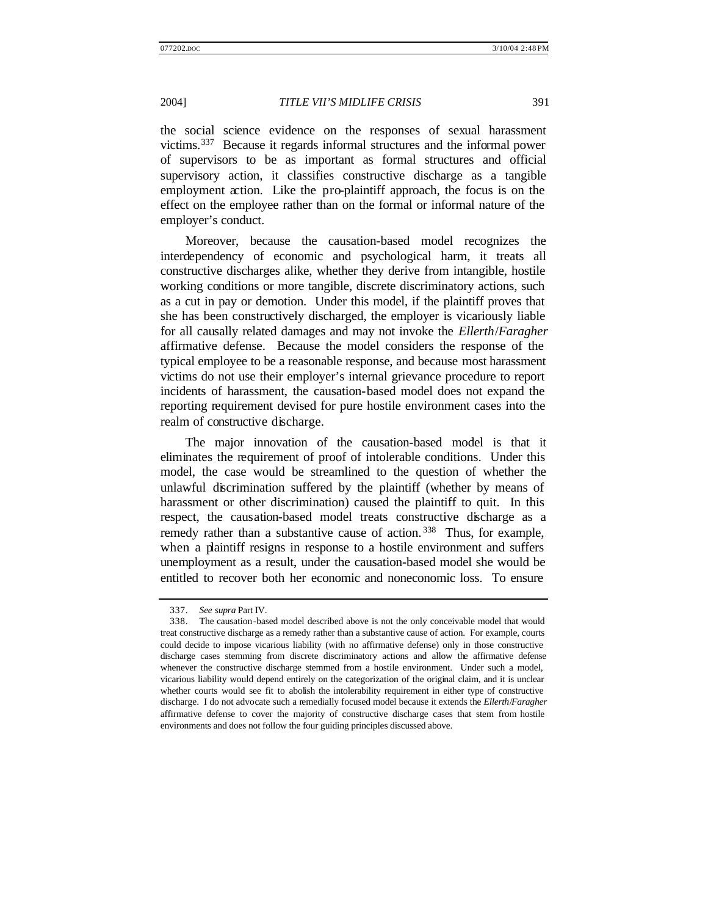the social science evidence on the responses of sexual harassment victims.<sup>337</sup> Because it regards informal structures and the informal power of supervisors to be as important as formal structures and official supervisory action, it classifies constructive discharge as a tangible employment action. Like the pro-plaintiff approach, the focus is on the effect on the employee rather than on the formal or informal nature of the employer's conduct.

Moreover, because the causation-based model recognizes the interdependency of economic and psychological harm, it treats all constructive discharges alike, whether they derive from intangible, hostile working conditions or more tangible, discrete discriminatory actions, such as a cut in pay or demotion. Under this model, if the plaintiff proves that she has been constructively discharged, the employer is vicariously liable for all causally related damages and may not invoke the *Ellerth*/*Faragher* affirmative defense. Because the model considers the response of the typical employee to be a reasonable response, and because most harassment victims do not use their employer's internal grievance procedure to report incidents of harassment, the causation-based model does not expand the reporting requirement devised for pure hostile environment cases into the realm of constructive discharge.

The major innovation of the causation-based model is that it eliminates the requirement of proof of intolerable conditions. Under this model, the case would be streamlined to the question of whether the unlawful discrimination suffered by the plaintiff (whether by means of harassment or other discrimination) caused the plaintiff to quit. In this respect, the causation-based model treats constructive discharge as a remedy rather than a substantive cause of action.<sup>338</sup> Thus, for example, when a plaintiff resigns in response to a hostile environment and suffers unemployment as a result, under the causation-based model she would be entitled to recover both her economic and noneconomic loss. To ensure

<sup>337.</sup> *See supra* Part IV.

<sup>338.</sup> The causation-based model described above is not the only conceivable model that would treat constructive discharge as a remedy rather than a substantive cause of action. For example, courts could decide to impose vicarious liability (with no affirmative defense) only in those constructive discharge cases stemming from discrete discriminatory actions and allow the affirmative defense whenever the constructive discharge stemmed from a hostile environment. Under such a model, vicarious liability would depend entirely on the categorization of the original claim, and it is unclear whether courts would see fit to abolish the intolerability requirement in either type of constructive discharge. I do not advocate such a remedially focused model because it extends the *Ellerth*/*Faragher* affirmative defense to cover the majority of constructive discharge cases that stem from hostile environments and does not follow the four guiding principles discussed above.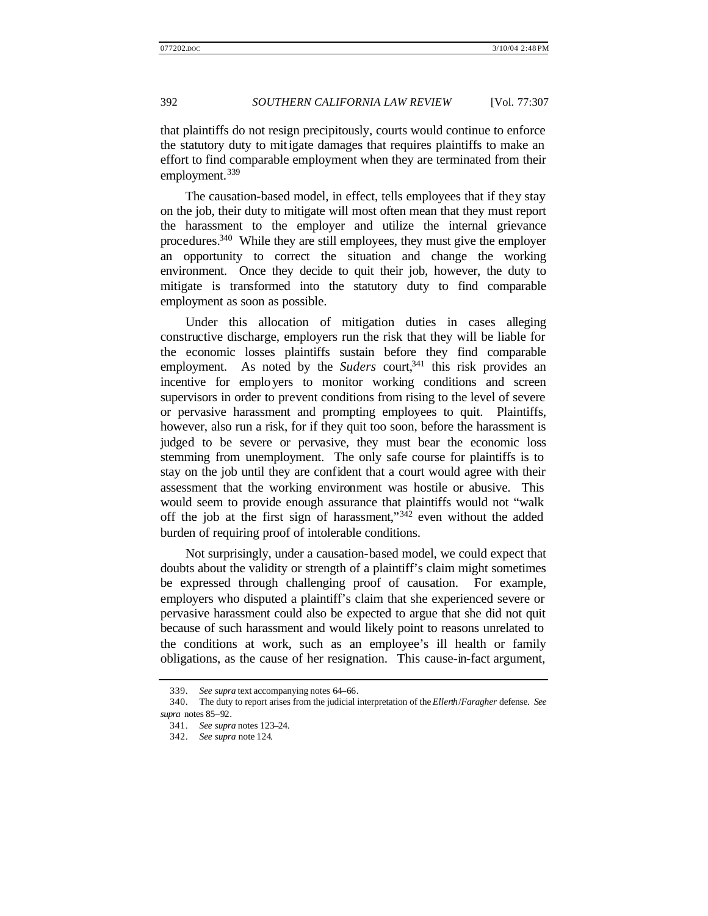that plaintiffs do not resign precipitously, courts would continue to enforce the statutory duty to mitigate damages that requires plaintiffs to make an effort to find comparable employment when they are terminated from their employment.<sup>339</sup>

The causation-based model, in effect, tells employees that if they stay on the job, their duty to mitigate will most often mean that they must report the harassment to the employer and utilize the internal grievance procedures.<sup>340</sup> While they are still employees, they must give the employer an opportunity to correct the situation and change the working environment. Once they decide to quit their job, however, the duty to mitigate is transformed into the statutory duty to find comparable employment as soon as possible.

Under this allocation of mitigation duties in cases alleging constructive discharge, employers run the risk that they will be liable for the economic losses plaintiffs sustain before they find comparable employment. As noted by the *Suders* court,<sup>341</sup> this risk provides an incentive for employers to monitor working conditions and screen supervisors in order to prevent conditions from rising to the level of severe or pervasive harassment and prompting employees to quit. Plaintiffs, however, also run a risk, for if they quit too soon, before the harassment is judged to be severe or pervasive, they must bear the economic loss stemming from unemployment. The only safe course for plaintiffs is to stay on the job until they are confident that a court would agree with their assessment that the working environment was hostile or abusive. This would seem to provide enough assurance that plaintiffs would not "walk off the job at the first sign of harassment,"<sup>342</sup> even without the added burden of requiring proof of intolerable conditions.

Not surprisingly, under a causation-based model, we could expect that doubts about the validity or strength of a plaintiff's claim might sometimes be expressed through challenging proof of causation. For example, employers who disputed a plaintiff's claim that she experienced severe or pervasive harassment could also be expected to argue that she did not quit because of such harassment and would likely point to reasons unrelated to the conditions at work, such as an employee's ill health or family obligations, as the cause of her resignation. This cause-in-fact argument,

<sup>339.</sup> *See supra* text accompanying notes 64–66.

<sup>340.</sup> The duty to report arises from the judicial interpretation of the *Ellerth*/*Faragher* defense. *See supra* notes 85–92.

<sup>341.</sup> *See supra* notes 123–24.

<sup>342.</sup> *See supra* note 124.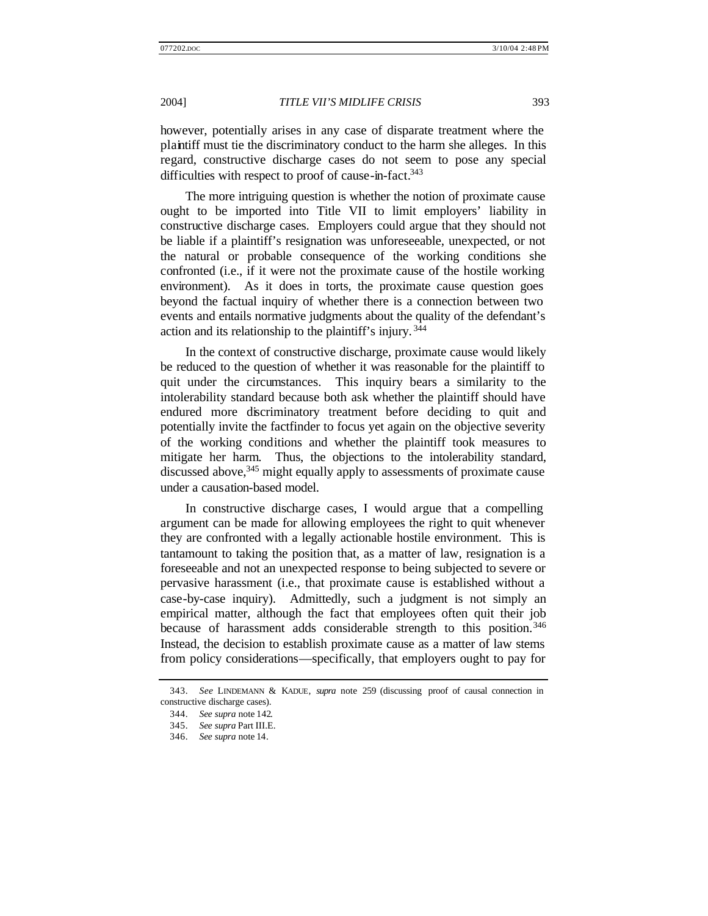however, potentially arises in any case of disparate treatment where the plaintiff must tie the discriminatory conduct to the harm she alleges. In this regard, constructive discharge cases do not seem to pose any special difficulties with respect to proof of cause-in-fact.<sup>343</sup>

The more intriguing question is whether the notion of proximate cause ought to be imported into Title VII to limit employers' liability in constructive discharge cases. Employers could argue that they should not be liable if a plaintiff's resignation was unforeseeable, unexpected, or not the natural or probable consequence of the working conditions she confronted (i.e., if it were not the proximate cause of the hostile working environment). As it does in torts, the proximate cause question goes beyond the factual inquiry of whether there is a connection between two events and entails normative judgments about the quality of the defendant's action and its relationship to the plaintiff's injury. <sup>344</sup>

In the context of constructive discharge, proximate cause would likely be reduced to the question of whether it was reasonable for the plaintiff to quit under the circumstances. This inquiry bears a similarity to the intolerability standard because both ask whether the plaintiff should have endured more discriminatory treatment before deciding to quit and potentially invite the factfinder to focus yet again on the objective severity of the working conditions and whether the plaintiff took measures to mitigate her harm. Thus, the objections to the intolerability standard, discussed above,<sup>345</sup> might equally apply to assessments of proximate cause under a causation-based model.

In constructive discharge cases, I would argue that a compelling argument can be made for allowing employees the right to quit whenever they are confronted with a legally actionable hostile environment. This is tantamount to taking the position that, as a matter of law, resignation is a foreseeable and not an unexpected response to being subjected to severe or pervasive harassment (i.e., that proximate cause is established without a case-by-case inquiry). Admittedly, such a judgment is not simply an empirical matter, although the fact that employees often quit their job because of harassment adds considerable strength to this position.<sup>346</sup> Instead, the decision to establish proximate cause as a matter of law stems from policy considerations—specifically, that employers ought to pay for

<sup>343.</sup> *See* LINDEMANN & KADUE, *supra* note 259 (discussing proof of causal connection in constructive discharge cases).

<sup>344.</sup> *See supra* note 142.

<sup>345.</sup> *See supra* Part III.E.

<sup>346.</sup> *See supra* note 14.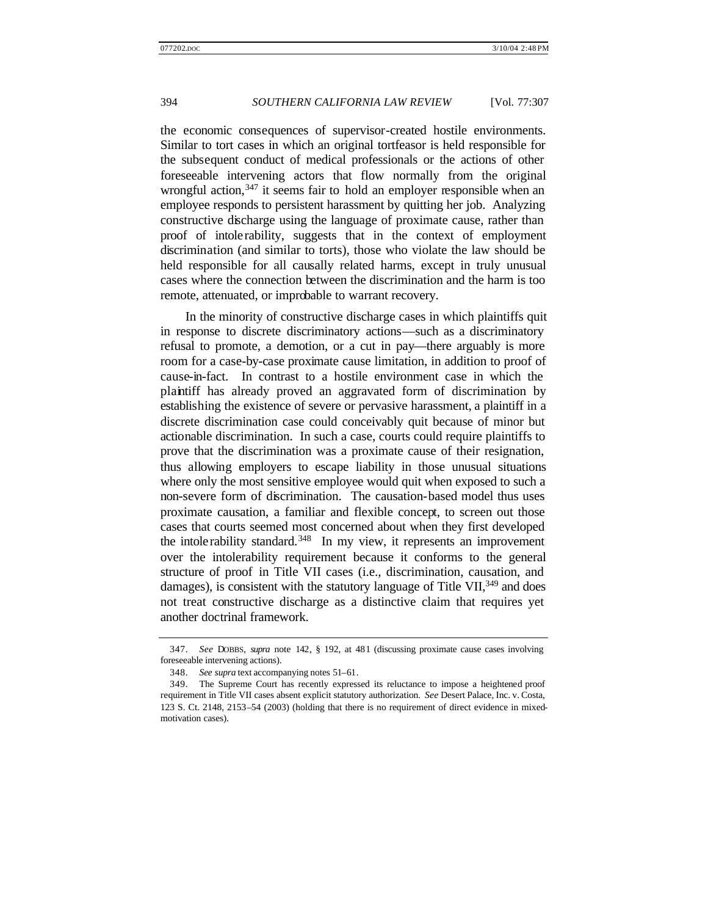the economic consequences of supervisor-created hostile environments. Similar to tort cases in which an original tortfeasor is held responsible for the subsequent conduct of medical professionals or the actions of other foreseeable intervening actors that flow normally from the original wrongful action,  $347$  it seems fair to hold an employer responsible when an employee responds to persistent harassment by quitting her job. Analyzing constructive discharge using the language of proximate cause, rather than proof of intolerability, suggests that in the context of employment discrimination (and similar to torts), those who violate the law should be held responsible for all causally related harms, except in truly unusual cases where the connection between the discrimination and the harm is too remote, attenuated, or improbable to warrant recovery.

In the minority of constructive discharge cases in which plaintiffs quit in response to discrete discriminatory actions—such as a discriminatory refusal to promote, a demotion, or a cut in pay—there arguably is more room for a case-by-case proximate cause limitation, in addition to proof of cause-in-fact. In contrast to a hostile environment case in which the plaintiff has already proved an aggravated form of discrimination by establishing the existence of severe or pervasive harassment, a plaintiff in a discrete discrimination case could conceivably quit because of minor but actionable discrimination. In such a case, courts could require plaintiffs to prove that the discrimination was a proximate cause of their resignation, thus allowing employers to escape liability in those unusual situations where only the most sensitive employee would quit when exposed to such a non-severe form of discrimination. The causation-based model thus uses proximate causation, a familiar and flexible concept, to screen out those cases that courts seemed most concerned about when they first developed the intolerability standard.<sup>348</sup> In my view, it represents an improvement over the intolerability requirement because it conforms to the general structure of proof in Title VII cases (i.e., discrimination, causation, and damages), is consistent with the statutory language of Title  $VII$ ,  $349$  and does not treat constructive discharge as a distinctive claim that requires yet another doctrinal framework.

<sup>347.</sup> *See* DOBBS, *supra* note 142, § 192, at 481 (discussing proximate cause cases involving foreseeable intervening actions).

<sup>348.</sup> *See supra* text accompanying notes 51–61.

<sup>349.</sup> The Supreme Court has recently expressed its reluctance to impose a heightened proof requirement in Title VII cases absent explicit statutory authorization. *See* Desert Palace, Inc. v. Costa, 123 S. Ct. 2148, 2153–54 (2003) (holding that there is no requirement of direct evidence in mixedmotivation cases).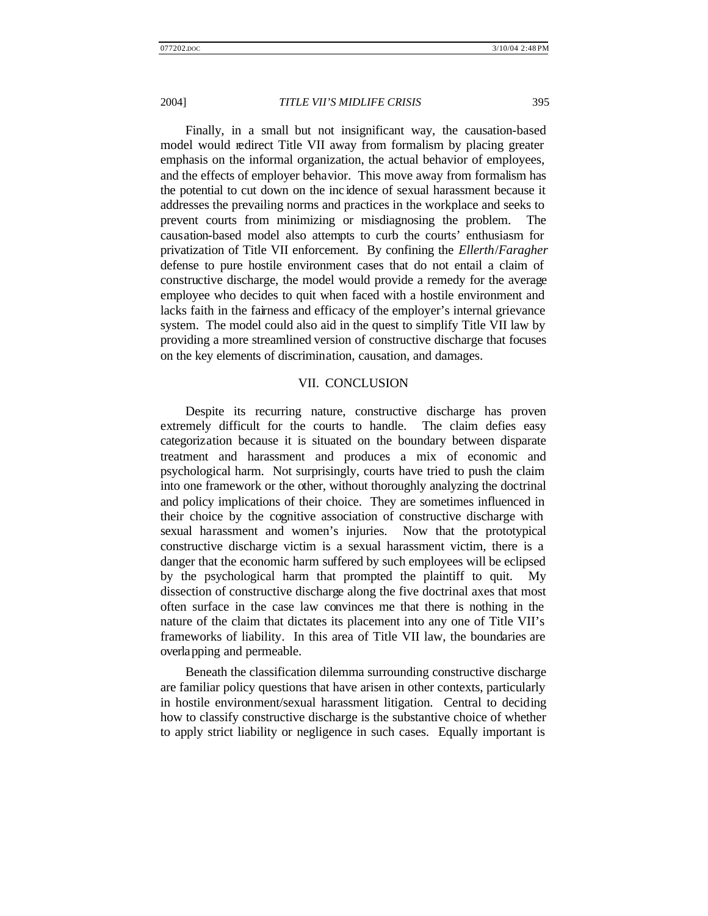Finally, in a small but not insignificant way, the causation-based model would redirect Title VII away from formalism by placing greater emphasis on the informal organization, the actual behavior of employees, and the effects of employer behavior. This move away from formalism has the potential to cut down on the inc idence of sexual harassment because it addresses the prevailing norms and practices in the workplace and seeks to prevent courts from minimizing or misdiagnosing the problem. The causation-based model also attempts to curb the courts' enthusiasm for privatization of Title VII enforcement. By confining the *Ellerth*/*Faragher* defense to pure hostile environment cases that do not entail a claim of constructive discharge, the model would provide a remedy for the average employee who decides to quit when faced with a hostile environment and lacks faith in the fairness and efficacy of the employer's internal grievance system. The model could also aid in the quest to simplify Title VII law by providing a more streamlined version of constructive discharge that focuses on the key elements of discrimination, causation, and damages.

#### VII. CONCLUSION

Despite its recurring nature, constructive discharge has proven extremely difficult for the courts to handle. The claim defies easy categorization because it is situated on the boundary between disparate treatment and harassment and produces a mix of economic and psychological harm. Not surprisingly, courts have tried to push the claim into one framework or the other, without thoroughly analyzing the doctrinal and policy implications of their choice. They are sometimes influenced in their choice by the cognitive association of constructive discharge with sexual harassment and women's injuries. Now that the prototypical constructive discharge victim is a sexual harassment victim, there is a danger that the economic harm suffered by such employees will be eclipsed by the psychological harm that prompted the plaintiff to quit. My dissection of constructive discharge along the five doctrinal axes that most often surface in the case law convinces me that there is nothing in the nature of the claim that dictates its placement into any one of Title VII's frameworks of liability. In this area of Title VII law, the boundaries are overlapping and permeable.

Beneath the classification dilemma surrounding constructive discharge are familiar policy questions that have arisen in other contexts, particularly in hostile environment/sexual harassment litigation. Central to deciding how to classify constructive discharge is the substantive choice of whether to apply strict liability or negligence in such cases. Equally important is